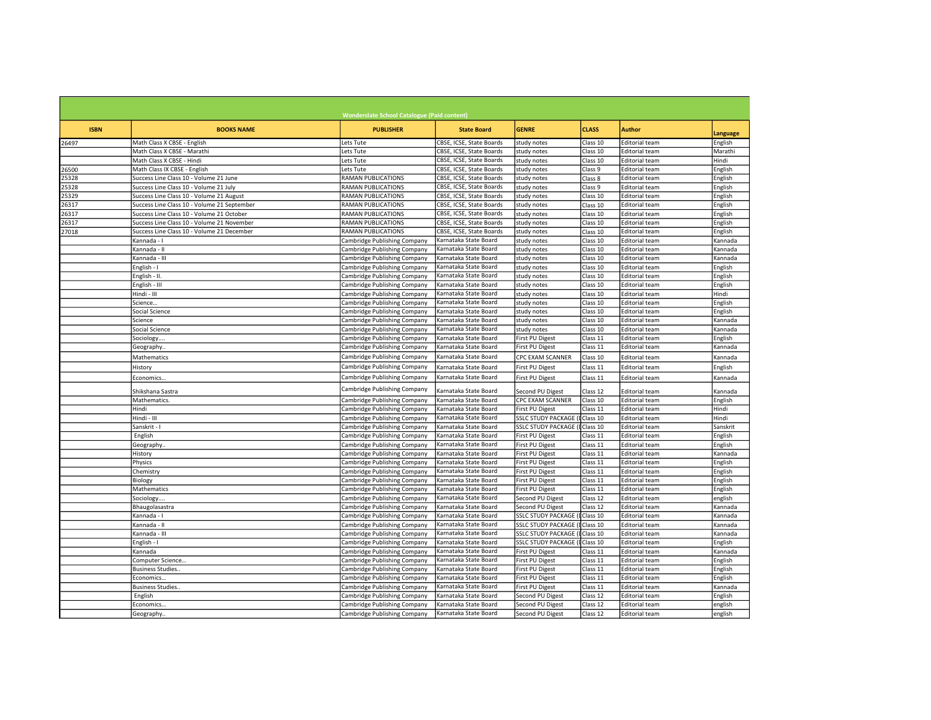|             |                                             | <b>Wonderslate School Catalogue (Paid content)</b> |                          |                               |              |                       |          |
|-------------|---------------------------------------------|----------------------------------------------------|--------------------------|-------------------------------|--------------|-----------------------|----------|
| <b>ISBN</b> | <b>BOOKS NAME</b>                           | <b>PUBLISHER</b>                                   | <b>State Board</b>       | <b>GENRE</b>                  | <b>CLASS</b> | <b>Author</b>         | Language |
| 26497       | Math Class X CBSE - English                 | Lets Tute                                          | CBSE, ICSE, State Boards | study notes                   | Class 10     | <b>Editorial team</b> | English  |
|             | Math Class X CBSE - Marathi                 | Lets Tute                                          | CBSE, ICSE, State Boards | study notes                   | Class 10     | <b>Editorial team</b> | Marathi  |
|             | Math Class X CBSE - Hindi                   | Lets Tute                                          | CBSE, ICSE, State Boards | study notes                   | Class 10     | <b>Editorial team</b> | Hindi    |
| 26500       | Math Class IX CBSE - English                | Lets Tute                                          | CBSE, ICSE, State Boards | study notes                   | Class 9      | <b>Editorial team</b> | English  |
| 25328       | Success Line Class 10 - Volume 21 June      | RAMAN PUBLICATIONS                                 | CBSE, ICSE, State Boards | study notes                   | Class 8      | <b>Editorial team</b> | English  |
| 25328       | Success Line Class 10 - Volume 21 July      | <b>RAMAN PUBLICATIONS</b>                          | CBSE, ICSE, State Boards | study notes                   | Class 9      | <b>Editorial team</b> | English  |
| 25329       | Success Line Class 10 - Volume 21 August    | RAMAN PUBLICATIONS                                 | CBSE, ICSE, State Boards | study notes                   | Class 10     | <b>Editorial team</b> | English  |
| 26317       | Success Line Class 10 - Volume 21 September | RAMAN PUBLICATIONS                                 | CBSE, ICSE, State Boards | study notes                   | Class 10     | <b>Editorial team</b> | English  |
| 26317       | Success Line Class 10 - Volume 21 October   | RAMAN PUBLICATIONS                                 | CBSE, ICSE, State Boards | study notes                   | Class 10     | <b>Editorial team</b> | English  |
| 26317       | Success Line Class 10 - Volume 21 November  | RAMAN PUBLICATIONS                                 | CBSE, ICSE, State Boards | study notes                   | Class 10     | <b>Editorial team</b> | English  |
| 27018       | Success Line Class 10 - Volume 21 December  | RAMAN PUBLICATIONS                                 | CBSE, ICSE, State Boards | study notes                   | Class 10     | <b>Editorial team</b> | English  |
|             | Kannada - I                                 | Cambridge Publishing Company                       | Karnataka State Board    | study notes                   | Class 10     | <b>Editorial team</b> | Kannada  |
|             | Kannada - II                                | Cambridge Publishing Company                       | Karnataka State Board    | study notes                   | Class 10     | <b>Editorial team</b> | Kannada  |
|             | Kannada - III                               | Cambridge Publishing Company                       | Karnataka State Board    | study notes                   | Class 10     | <b>Editorial team</b> | Kannada  |
|             | English - I                                 | Cambridge Publishing Company                       | Karnataka State Board    | study notes                   | Class 10     | <b>Editorial team</b> | English  |
|             | English - II.                               | Cambridge Publishing Company                       | Karnataka State Board    | study notes                   | Class 10     | <b>Editorial team</b> | English  |
|             | English - III                               | Cambridge Publishing Company                       | Karnataka State Board    | study notes                   | Class 10     | <b>Editorial team</b> | English  |
|             | Hindi - III                                 | Cambridge Publishing Company                       | Karnataka State Board    | study notes                   | Class 10     | <b>Editorial team</b> | Hindi    |
|             | Science                                     | Cambridge Publishing Company                       | Karnataka State Board    | study notes                   | Class 10     | <b>Editorial team</b> | English  |
|             | Social Science                              | Cambridge Publishing Company                       | Karnataka State Board    | study notes                   | Class 10     | <b>Editorial team</b> | English  |
|             | Science                                     | Cambridge Publishing Company                       | Karnataka State Board    | study notes                   | Class 10     | <b>Editorial team</b> | Kannada  |
|             | Social Science                              | Cambridge Publishing Company                       | Karnataka State Board    | study notes                   | Class 10     | <b>Editorial team</b> | Kannada  |
|             | Sociology                                   | Cambridge Publishing Company                       | Karnataka State Board    | First PU Digest               | Class 11     | <b>Editorial team</b> | English  |
|             |                                             | Cambridge Publishing Company                       | Karnataka State Board    | First PU Digest               | Class 11     | <b>Editorial team</b> |          |
|             | Geography.                                  |                                                    |                          |                               |              |                       | Kannada  |
|             | Mathematics                                 | Cambridge Publishing Company                       | Karnataka State Board    | CPC EXAM SCANNER              | Class 10     | <b>Editorial team</b> | Kannada  |
|             | History                                     | Cambridge Publishing Company                       | Karnataka State Board    | First PU Digest               | Class 11     | <b>Editorial team</b> | English  |
|             | Economics                                   | Cambridge Publishing Company                       | Karnataka State Board    | First PU Digest               | Class 11     | <b>Editorial team</b> | Kannada  |
|             | Shikshana Sastra                            | Cambridge Publishing Company                       | Karnataka State Board    | Second PU Digest              | Class 12     | <b>Editorial team</b> | Kannada  |
|             | Mathematics.                                | Cambridge Publishing Company                       | Karnataka State Board    | CPC EXAM SCANNER              | Class 10     | <b>Editorial team</b> | English  |
|             | Hindi                                       | Cambridge Publishing Company                       | Karnataka State Board    | First PU Digest               | Class 11     | <b>Editorial team</b> | Hindi    |
|             | Hindi - III                                 | Cambridge Publishing Company                       | Karnataka State Board    | <b>SSLC STUDY PACKAGE (</b>   | Class 10     | <b>Editorial team</b> | Hindi    |
|             | Sanskrit - I                                | Cambridge Publishing Company                       | Karnataka State Board    | SSLC STUDY PACKAGE (IClass 10 |              | <b>Editorial team</b> | Sanskrit |
|             | English                                     | Cambridge Publishing Company                       | Karnataka State Board    | First PU Digest               | Class 11     | <b>Editorial team</b> | English  |
|             | Geography                                   | Cambridge Publishing Company                       | Karnataka State Board    | First PU Digest               | Class 11     | <b>Editorial team</b> | English  |
|             | History                                     | Cambridge Publishing Company                       | Karnataka State Board    | First PU Digest               | Class 11     | <b>Editorial team</b> | Kannada  |
|             | Physics                                     | Cambridge Publishing Company                       | Karnataka State Board    | First PU Digest               | Class 11     | <b>Editorial team</b> | English  |
|             | Chemistry                                   | Cambridge Publishing Company                       | Karnataka State Board    | First PU Digest               | Class 11     | <b>Editorial team</b> | English  |
|             | Biology                                     | Cambridge Publishing Company                       | Karnataka State Board    | First PU Digest               | Class 11     | <b>Editorial team</b> | English  |
|             | Mathematics                                 | Cambridge Publishing Company                       | Karnataka State Board    | First PU Digest               | Class 11     | <b>Editorial team</b> | English  |
|             | Sociology                                   | Cambridge Publishing Company                       | Karnataka State Board    | Second PU Digest              | Class 12     | <b>Editorial team</b> | english  |
|             | Bhaugolasastra                              | Cambridge Publishing Company                       | Karnataka State Board    | Second PU Digest              | Class 12     | <b>Editorial team</b> | Kannada  |
|             | Kannada - I                                 | Cambridge Publishing Company                       | Karnataka State Board    | <b>SSLC STUDY PACKAGE (</b>   | Class 10     | <b>Editorial team</b> | Kannada  |
|             | Kannada - II                                | Cambridge Publishing Company                       | Karnataka State Board    | SSLC STUDY PACKAGE (IClass 10 |              | <b>Editorial team</b> | Kannada  |
|             | Kannada - III                               | Cambridge Publishing Company                       | Karnataka State Board    | <b>SSLC STUDY PACKAGE (</b>   | Class 10     | <b>Editorial team</b> | Kannada  |
|             | English - I                                 | Cambridge Publishing Company                       | Karnataka State Board    | <b>SSLC STUDY PACKAGE (I</b>  | Class 10     | <b>Editorial team</b> | English  |
|             | Kannada                                     | Cambridge Publishing Company                       | Karnataka State Board    | First PU Digest               | Class 11     | <b>Editorial team</b> | Kannada  |
|             | Computer Science                            | Cambridge Publishing Company                       | Karnataka State Board    | First PU Digest               | Class 11     | <b>Editorial team</b> | English  |
|             | <b>Business Studies.</b>                    | Cambridge Publishing Company                       | Karnataka State Board    | First PU Digest               | Class 11     | <b>Editorial team</b> | English  |
|             | Economics                                   |                                                    | Karnataka State Board    | First PU Digest               | Class 11     | <b>Editorial team</b> | English  |
|             |                                             | Cambridge Publishing Company                       | Karnataka State Board    |                               |              |                       |          |
|             | <b>Business Studies.</b>                    | Cambridge Publishing Company                       |                          | First PU Digest               | Class 11     | <b>Editorial team</b> | Kannada  |
|             | English                                     | Cambridge Publishing Company                       | Karnataka State Board    | Second PU Digest              | Class 12     | <b>Editorial team</b> | English  |
|             | Economics                                   | Cambridge Publishing Company                       | Karnataka State Board    | Second PU Digest              | Class 12     | <b>Editorial team</b> | english  |
|             | Geography                                   | Cambridge Publishing Company                       | Karnataka State Board    | Second PU Digest              | Class 12     | <b>Editorial team</b> | english  |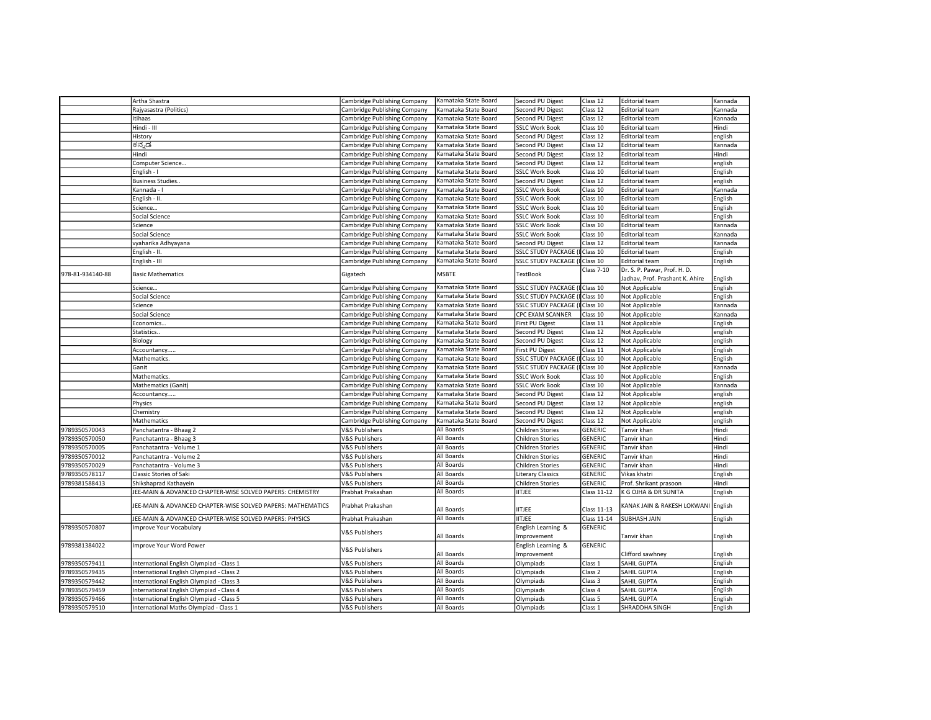|                  | Artha Shastra                                                                        | Cambridge Publishing Company | Karnataka State Board | Second PU Digest                  | Class 12           | <b>Editorial team</b>               | Kannada |
|------------------|--------------------------------------------------------------------------------------|------------------------------|-----------------------|-----------------------------------|--------------------|-------------------------------------|---------|
|                  | Rajyasastra (Politics)                                                               | Cambridge Publishing Company | Karnataka State Board | Second PU Digest                  | Class 12           | <b>Editorial team</b>               | Kannada |
|                  | Itihaas                                                                              | Cambridge Publishing Company | Karnataka State Board | Second PU Digest                  | Class 12           | <b>Editorial team</b>               | Kannada |
|                  | Hindi - III                                                                          | Cambridge Publishing Company | Karnataka State Board | <b>SSLC Work Book</b>             | Class 10           | <b>Editorial team</b>               | Hindi   |
|                  | History                                                                              | Cambridge Publishing Company | Karnataka State Board | Second PU Digest                  | Class 12           | <b>Editorial team</b>               | english |
|                  | ಕನ್ನಡ                                                                                | Cambridge Publishing Company | Karnataka State Board | Second PU Digest                  | Class 12           | <b>Editorial team</b>               | Kannada |
|                  | Hindi                                                                                | Cambridge Publishing Company | Karnataka State Board | Second PU Digest                  | Class 12           | <b>Editorial team</b>               | Hindi   |
|                  | Computer Science                                                                     | Cambridge Publishing Company | Karnataka State Board | Second PU Digest                  | Class 12           | <b>Editorial team</b>               | english |
|                  | English - I                                                                          | Cambridge Publishing Company | Karnataka State Board | <b>SSLC Work Book</b>             | Class 10           | <b>Editorial team</b>               | English |
|                  | <b>Business Studies.</b>                                                             | Cambridge Publishing Company | Karnataka State Board | Second PU Digest                  | Class 12           | <b>Editorial team</b>               | english |
|                  | Kannada - I                                                                          | Cambridge Publishing Company | Karnataka State Board | <b>SSLC Work Book</b>             | Class 10           | <b>Editorial team</b>               | Kannada |
|                  | English - II.                                                                        | Cambridge Publishing Company | Karnataka State Board | <b>SSLC Work Book</b>             | Class 10           | <b>Editorial team</b>               | English |
|                  | Science                                                                              | Cambridge Publishing Company | Karnataka State Board | <b>SSLC Work Book</b>             | Class 10           | <b>Editorial team</b>               | English |
|                  | Social Science                                                                       | Cambridge Publishing Company | Karnataka State Board | <b>SSLC Work Book</b>             | Class 10           | <b>Editorial team</b>               | English |
|                  | Science                                                                              | Cambridge Publishing Company | Karnataka State Board | <b>SSLC Work Book</b>             | Class 10           | <b>Editorial team</b>               | Kannada |
|                  | Social Science                                                                       | Cambridge Publishing Company | Karnataka State Board | <b>SSLC Work Book</b>             | Class 10           | <b>Editorial team</b>               | Kannada |
|                  | vyaharika Adhyayana                                                                  | Cambridge Publishing Company | Karnataka State Board | Second PU Digest                  | Class 12           | <b>Editorial team</b>               | Kannada |
|                  | English - II.                                                                        | Cambridge Publishing Company | Karnataka State Board | <b>SSLC STUDY PACKAGE</b>         | Class 10           | <b>Editorial team</b>               | English |
|                  | English - III                                                                        | Cambridge Publishing Company | Karnataka State Board | SSLC STUDY PACKAGE (I             | Class 10           | <b>Editorial team</b>               | English |
|                  |                                                                                      |                              |                       |                                   | Class 7-10         | Dr. S. P. Pawar, Prof. H. D.        |         |
| 978-81-934140-88 | <b>Basic Mathematics</b>                                                             | Gigatech                     | <b>MSBTE</b>          | <b>TextBook</b>                   |                    | Jadhav, Prof. Prashant K. Ahire     | English |
|                  | Science                                                                              | Cambridge Publishing Company | Karnataka State Board | SSLC STUDY PACKAGE (IClass 10     |                    | Not Applicable                      | English |
|                  | Social Science                                                                       | Cambridge Publishing Company | Karnataka State Board | <b>SSLC STUDY PACKAGE (</b>       | Class 10           | Not Applicable                      | English |
|                  | Science                                                                              | Cambridge Publishing Company | Karnataka State Board | SSLC STUDY PACKAGE (IClass 10     |                    | Not Applicable                      | Kannada |
|                  | Social Science                                                                       | Cambridge Publishing Company | Karnataka State Board | CPC EXAM SCANNER                  | Class 10           | Not Applicable                      | Kannada |
|                  | Economics                                                                            | Cambridge Publishing Company | Karnataka State Board | First PU Digest                   | Class 11           | Not Applicable                      | English |
|                  | Statistics                                                                           | Cambridge Publishing Company | Karnataka State Board | Second PU Digest                  | Class 12           | Not Applicable                      | english |
|                  | Biology                                                                              | Cambridge Publishing Company | Karnataka State Board | Second PU Digest                  | Class 12           | Not Applicable                      | english |
|                  | Accountancy                                                                          | Cambridge Publishing Company | Karnataka State Board | First PU Digest                   | Class 11           | Not Applicable                      | English |
|                  | Mathematics.                                                                         | Cambridge Publishing Company | Karnataka State Board | <b>SSLC STUDY PACKAGE (</b>       | Class 10           | Not Applicable                      | English |
|                  | Ganit                                                                                | Cambridge Publishing Company | Karnataka State Board | SSLC STUDY PACKAGE (IClass 10     |                    | Not Applicable                      | Kannada |
|                  | Mathematics.                                                                         | Cambridge Publishing Company | Karnataka State Board | <b>SSLC Work Book</b>             | Class 10           | Not Applicable                      | English |
|                  | Mathematics (Ganit)                                                                  |                              |                       | <b>SSLC Work Book</b>             | Class 10           |                                     | Kannada |
|                  |                                                                                      | Cambridge Publishing Company | Karnataka State Board |                                   | Class 12           | Not Applicable                      |         |
|                  | Accountancy                                                                          | Cambridge Publishing Company | Karnataka State Board | Second PU Digest                  |                    | Not Applicable                      | english |
|                  | Physics                                                                              | Cambridge Publishing Company | Karnataka State Board | Second PU Digest                  | Class 12           | Not Applicable                      | english |
|                  | Chemistry                                                                            | Cambridge Publishing Company | Karnataka State Board | Second PU Digest                  | Class 12           | Not Applicable                      | english |
|                  | Mathematics                                                                          | Cambridge Publishing Company | Karnataka State Board | Second PU Digest                  | Class 12           | Not Applicable                      | english |
| 9789350570043    | Panchatantra - Bhaag 2                                                               | <b>V&amp;S Publishers</b>    | All Boards            | <b>Children Stories</b>           | <b>GENERIC</b>     | Tanvir khan                         | Hindi   |
| 9789350570050    | Panchatantra - Bhaag 3                                                               | <b>V&amp;S Publishers</b>    | All Boards            | Children Stories                  | GENERIC            | Tanvir khan                         | Hindi   |
| 9789350570005    | Panchatantra - Volume 1                                                              | <b>V&amp;S Publishers</b>    | All Boards            | Children Stories                  | GENERIC            | Tanvir khan                         | Hindi   |
| 9789350570012    | Panchatantra - Volume 2                                                              | <b>V&amp;S Publishers</b>    | All Boards            | <b>Children Stories</b>           | GENERIC            | Tanvir khan                         | Hindi   |
| 9789350570029    | Panchatantra - Volume 3                                                              | V&S Publishers               | All Boards            | Children Stories                  | <b>GENERIC</b>     | Tanvir khan                         | Hindi   |
| 9789350578117    | Classic Stories of Saki                                                              | <b>V&amp;S Publishers</b>    | All Boards            | Literary Classics                 | GENERIC            | Vikas khatri                        | English |
| 9789381588413    | Shikshaprad Kathayein                                                                | <b>V&amp;S Publishers</b>    | All Boards            | <b>Children Stories</b>           | <b>GENERIC</b>     | Prof. Shrikant prasoon              | Hindi   |
|                  | JEE-MAIN & ADVANCED CHAPTER-WISE SOLVED PAPERS: CHEMISTRY                            | Prabhat Prakashan            | All Boards            | <b>IITJEE</b>                     | Class 11-12        | K G OJHA & DR SUNITA                | English |
|                  | JEE-MAIN & ADVANCED CHAPTER-WISE SOLVED PAPERS: MATHEMATICS                          | Prabhat Prakashan            | All Boards            | IITJEE                            | Class 11-13        | KANAK JAIN & RAKESH LOKWANI English |         |
|                  | JEE-MAIN & ADVANCED CHAPTER-WISE SOLVED PAPERS: PHYSICS                              | Prabhat Prakashan            | All Boards            | <b>IITJEE</b>                     | Class 11-14        | SUBHASH JAIN                        | English |
| 9789350570807    | Improve Your Vocabulary                                                              | <b>V&amp;S Publishers</b>    | All Boards            | English Learning &<br>Improvement | GENERIC            | Tanvir khan                         | English |
| 9789381384022    | Improve Your Word Power                                                              | <b>V&amp;S Publishers</b>    | All Boards            | English Learning &<br>Improvement | <b>GENERIC</b>     | Clifford sawhney                    | English |
| 9789350579411    | International English Olympiad - Class 1                                             | V&S Publishers               | All Boards            | Olympiads                         | Class 1            | SAHIL GUPTA                         | English |
| 9789350579435    | International English Olympiad - Class 2                                             | <b>V&amp;S Publishers</b>    | All Boards            | Olympiads                         | Class <sub>2</sub> | SAHIL GUPTA                         | English |
| 9789350579442    |                                                                                      | <b>V&amp;S Publishers</b>    | All Boards            | Olympiads                         | Class 3            | SAHIL GUPTA                         | English |
| 9789350579459    | International English Olympiad - Class 3<br>International English Olympiad - Class 4 | <b>V&amp;S Publishers</b>    | All Boards            | Olympiads                         | Class 4            | SAHIL GUPTA                         | English |
| 9789350579466    |                                                                                      | <b>V&amp;S Publishers</b>    | All Boards            | Olympiads                         | Class 5            | SAHIL GUPTA                         | English |
|                  | International English Olympiad - Class 5                                             |                              | All Boards            |                                   |                    | SHRADDHA SINGH                      |         |
| 9789350579510    | International Maths Olympiad - Class 1                                               | <b>V&amp;S Publishers</b>    |                       | Olympiads                         | Class 1            |                                     | English |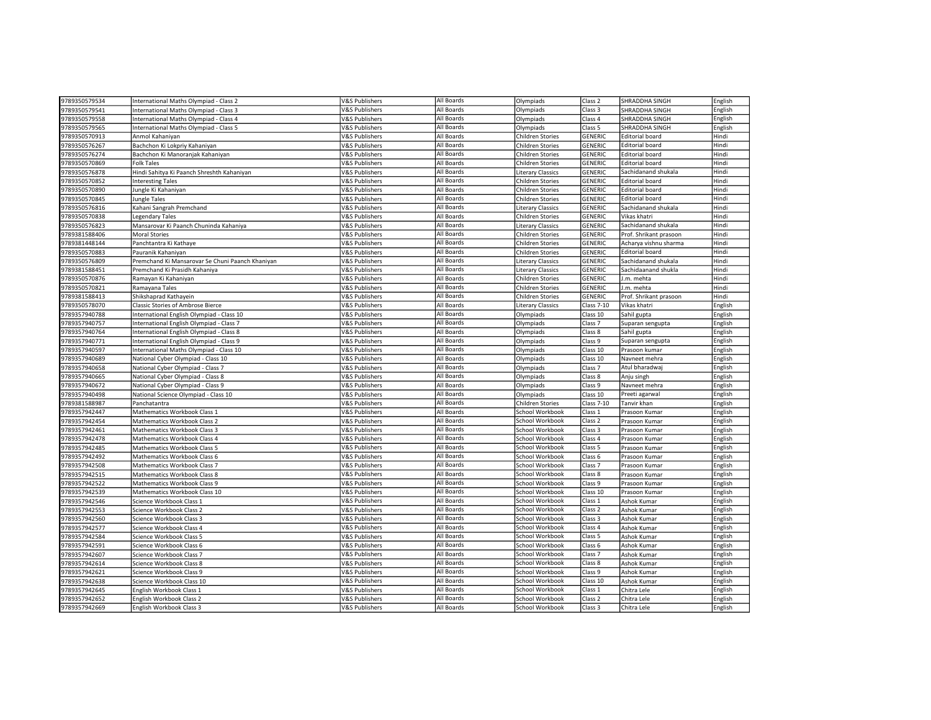| 9789350579534                  | International Maths Olympiad - Class 2           | V&S Publishers                                         | All Boards               | Olympiads                                  | Class <sub>2</sub>             | <b>SHRADDHA SINGH</b>             | English            |
|--------------------------------|--------------------------------------------------|--------------------------------------------------------|--------------------------|--------------------------------------------|--------------------------------|-----------------------------------|--------------------|
| 9789350579541                  | International Maths Olympiad - Class 3           | <b>V&amp;S Publishers</b>                              | All Boards               | Olympiads                                  | Class 3                        | <b>SHRADDHA SINGH</b>             | English            |
| 9789350579558                  | International Maths Olympiad - Class 4           | <b>V&amp;S Publishers</b>                              | All Boards               | Olympiads                                  | Class 4                        | SHRADDHA SINGH                    | English            |
| 9789350579565                  | International Maths Olympiad - Class 5           | V&S Publishers                                         | All Boards               | Olympiads                                  | Class 5                        | SHRADDHA SINGH                    | English            |
| 9789350570913                  | Anmol Kahaniyan                                  | <b>V&amp;S Publishers</b>                              | All Boards               | Children Stories                           | <b>GENERIC</b>                 | <b>Editorial board</b>            | Hindi              |
| 9789350576267                  | Bachchon Ki Lokpriy Kahaniyan                    | V&S Publishers                                         | All Boards               | Children Stories                           | <b>GENERIC</b>                 | Editorial board                   | Hindi              |
| 9789350576274                  | Bachchon Ki Manoranjak Kahaniyan                 | <b>V&amp;S Publishers</b>                              | All Boards               | Children Stories                           | <b>GENERIC</b>                 | <b>Editorial board</b>            | Hindi              |
| 9789350570869                  | <b>Folk Tales</b>                                | <b>V&amp;S Publishers</b>                              | All Boards               | Children Stories                           | <b>GENERIC</b>                 | <b>Editorial board</b>            | Hindi              |
| 9789350576878                  | Hindi Sahitya Ki Paanch Shreshth Kahaniyan       | V&S Publishers                                         | All Boards               | <b>Literary Classics</b>                   | <b>GENERIC</b>                 | Sachidanand shukala               | Hindi              |
| 9789350570852                  | <b>Interesting Tales</b>                         | <b>V&amp;S Publishers</b>                              | All Boards               | Children Stories                           | <b>GENERIC</b>                 | <b>Editorial board</b>            | Hindi              |
| 9789350570890                  | Jungle Ki Kahaniyan                              | V&S Publishers                                         | All Boards               | Children Stories                           | <b>GENERIC</b>                 | <b>Editorial board</b>            | Hindi              |
| 9789350570845                  | Jungle Tales                                     | <b>V&amp;S Publishers</b>                              | All Boards               | Children Stories                           | <b>GENERIC</b>                 | <b>Editorial board</b>            | Hindi              |
| 9789350576816                  | Kahani Sangrah Premchand                         | V&S Publishers                                         | All Boards               | <b>Literary Classics</b>                   | <b>GENERIC</b>                 | Sachidanand shukala               | Hindi              |
| 9789350570838                  | Legendary Tales                                  | <b>V&amp;S Publishers</b>                              | All Boards               | Children Stories                           | <b>GENERIC</b>                 | Vikas khatri                      | Hindi              |
| 9789350576823                  | Mansarovar Ki Paanch Chuninda Kahaniya           | <b>V&amp;S Publishers</b>                              | All Boards               | <b>Literary Classics</b>                   | <b>GENERIC</b>                 | Sachidanand shukala               | Hindi              |
| 9789381588406                  | <b>Moral Stories</b>                             | <b>V&amp;S Publishers</b>                              | All Boards               | Children Stories                           | GENERIC                        | Prof. Shrikant prasoon            | Hindi              |
| 9789381448144                  | Panchtantra Ki Kathaye                           | <b>V&amp;S Publishers</b>                              | All Boards               | Children Stories                           | <b>GENERIC</b>                 | Acharya vishnu sharma             | Hindi              |
| 9789350570883                  | Pauranik Kahaniyan                               | V&S Publishers                                         | All Boards               | Children Stories                           | <b>GENERIC</b>                 | <b>Editorial board</b>            | Hindi              |
| 9789350576809                  | Premchand Ki Mansarovar Se Chuni Paanch Khaniyan | <b>V&amp;S Publishers</b>                              | All Boards               | Literary Classics                          | <b>GENERIC</b>                 | Sachidanand shukala               | Hindi              |
| 9789381588451                  | Premchand Ki Prasidh Kahaniya                    | V&S Publishers                                         | All Boards               | <b>Literary Classics</b>                   | <b>GENERIC</b>                 | Sachidaanand shukla               | Hindi              |
| 9789350570876                  | Ramayan Ki Kahaniyan                             | <b>V&amp;S Publishers</b>                              | All Boards               | Children Stories                           | GENERIC                        | J.m. mehta                        | Hindi              |
| 9789350570821                  | Ramayana Tales                                   | <b>V&amp;S Publishers</b>                              | All Boards               | Children Stories                           | <b>GENERIC</b>                 | J.m. mehta                        | Hindi              |
| 9789381588413                  | Shikshaprad Kathayein                            | V&S Publishers                                         | All Boards               | Children Stories                           | <b>GENERIC</b>                 | Prof. Shrikant prasoon            | Hindi              |
| 9789350578070                  | <b>Classic Stories of Ambrose Bierce</b>         | <b>V&amp;S Publishers</b>                              | All Boards               | <b>Literary Classics</b>                   | <b>Class 7-10</b>              | Vikas khatri                      | English            |
| 9789357940788                  | International English Olympiad - Class 10        | V&S Publishers                                         | All Boards               | Olympiads                                  | Class 10                       | Sahil gupta                       | English            |
| 9789357940757                  | nternational English Olympiad - Class 7          | V&S Publishers                                         | All Boards               |                                            | Class 7                        | Suparan sengupta                  | English            |
| 9789357940764                  | International English Olympiad - Class 8         | V&S Publishers                                         | All Boards               | Olympiads<br>Olympiads                     | Class 8                        | Sahil gupta                       | English            |
| 9789357940771                  | International English Olympiad - Class 9         | <b>V&amp;S Publishers</b>                              | All Boards               |                                            | Class 9                        |                                   |                    |
| 9789357940597                  | International Maths Olympiad - Class 10          | <b>V&amp;S Publishers</b>                              | All Boards               | Olympiads<br>Olympiads                     | Class 10                       | Suparan sengupta<br>Prasoon kumar | English<br>English |
|                                |                                                  |                                                        | All Boards               |                                            |                                |                                   |                    |
| 9789357940689<br>9789357940658 | National Cyber Olympiad - Class 10               | V&S Publishers<br><b>V&amp;S Publishers</b>            | All Boards               | Olympiads                                  | Class 10<br>Class <sub>7</sub> | Navneet mehra<br>Atul bharadwaj   | English            |
|                                | National Cyber Olympiad - Class 7                |                                                        | All Boards               | Olympiads                                  |                                |                                   | English            |
| 9789357940665                  | National Cyber Olympiad - Class 8                | V&S Publishers                                         | All Boards               | Olympiads                                  | Class 8                        | Anju singh<br>Navneet mehra       | English            |
| 1789357940672                  | National Cyber Olympiad - Class 9                | V&S Publishers                                         | All Boards               | Olympiads                                  | Class 9                        |                                   | English            |
| 9789357940498                  | National Science Olympiad - Class 10             | V&S Publishers                                         | All Boards               | Olympiads                                  | Class 10                       | Preeti agarwal                    | English            |
| 9789381588987<br>9789357942447 | Panchatantra<br>Mathematics Workbook Class 1     | <b>V&amp;S Publishers</b><br><b>V&amp;S Publishers</b> | All Boards               | <b>Children Stories</b><br>School Workbook | <b>Class 7-10</b><br>Class 1   | Tanvir khan                       | English            |
|                                |                                                  |                                                        | All Boards               |                                            |                                | Prasoon Kumar                     | English            |
| 9789357942454                  | Mathematics Workbook Class 2                     | V&S Publishers<br><b>V&amp;S Publishers</b>            | All Boards               | School Workbook<br>School Workbook         | Class <sub>2</sub><br>Class 3  | Prasoon Kumar                     | English            |
| 9789357942461                  | Mathematics Workbook Class 3                     |                                                        | All Boards               | School Workbook                            | Class 4                        | Prasoon Kumar                     | English            |
| 9789357942478                  | Mathematics Workbook Class 4                     | V&S Publishers                                         |                          |                                            |                                | Prasoon Kumar                     | English            |
| 9789357942485                  | Mathematics Workbook Class 5                     | V&S Publishers                                         | All Boards<br>All Boards | School Workbook                            | Class 5                        | Prasoon Kumar                     | English            |
| 9789357942492                  | Mathematics Workbook Class 6                     | V&S Publishers                                         | All Boards               | School Workbook                            | Class 6                        | Prasoon Kumar                     | English            |
| 9789357942508                  | Mathematics Workbook Class 7                     | <b>V&amp;S Publishers</b>                              | All Boards               | School Workbook                            | Class <sub>7</sub>             | Prasoon Kumar                     | English            |
| 9789357942515                  | Mathematics Workbook Class 8                     | <b>V&amp;S Publishers</b>                              |                          | School Workbook                            | Class 8                        | Prasoon Kumar                     | English            |
| 9789357942522                  | Mathematics Workbook Class 9                     | V&S Publishers                                         | All Boards               | School Workbook                            | Class 9                        | Prasoon Kumar                     | English            |
| 9789357942539                  | Mathematics Workbook Class 10                    | V&S Publishers                                         | All Boards               | School Workbook                            | Class 10                       | Prasoon Kumar                     | English            |
| 9789357942546                  | Science Workbook Class 1                         | V&S Publishers                                         | All Boards               | School Workbook                            | Class 1                        | Ashok Kumar                       | English            |
| 1789357942553                  | Science Workbook Class 2                         | <b>V&amp;S Publishers</b>                              | All Boards               | School Workbook                            | Class <sub>2</sub>             | Ashok Kumar                       | English            |
| 9789357942560                  | Science Workbook Class 3                         | V&S Publishers                                         | All Boards               | School Workbook                            | Class 3                        | Ashok Kumar                       | English            |
| 9789357942577                  | Science Workbook Class 4                         | <b>V&amp;S Publishers</b>                              | All Boards               | School Workbook                            | Class 4                        | Ashok Kumar                       | English            |
| 1789357942584                  | Science Workbook Class 5                         | <b>V&amp;S Publishers</b>                              | All Boards               | School Workbook                            | Class <sub>5</sub>             | Ashok Kumar                       | English            |
| 9789357942591                  | Science Workbook Class 6                         | V&S Publishers                                         | All Boards               | School Workbook                            | Class 6                        | Ashok Kumar                       | English            |
| 9789357942607                  | Science Workbook Class 7                         | V&S Publishers                                         | All Boards               | School Workbook                            | Class <sub>7</sub>             | Ashok Kumar                       | English            |
| 9789357942614                  | Science Workbook Class 8                         | V&S Publishers                                         | All Boards               | School Workbook                            | Class 8                        | Ashok Kumar                       | English            |
| 9789357942621                  | Science Workbook Class 9                         | <b>V&amp;S Publishers</b>                              | All Boards               | School Workbook                            | Class 9                        | Ashok Kumar                       | English            |
| 9789357942638                  | Science Workbook Class 10                        | V&S Publishers                                         | All Boards               | School Workbook                            | Class 10                       | Ashok Kumar                       | English            |
| 9789357942645                  | English Workbook Class 1                         | <b>V&amp;S Publishers</b>                              | All Boards               | School Workbook                            | Class 1                        | Chitra Lele                       | English            |
| 9789357942652                  | English Workbook Class 2                         | <b>V&amp;S Publishers</b>                              | All Boards               | School Workbook                            | Class <sub>2</sub>             | Chitra Lele                       | English            |
| 9789357942669                  | English Workbook Class 3                         | V&S Publishers                                         | All Boards               | School Workbook                            | Class 3                        | Chitra Lele                       | English            |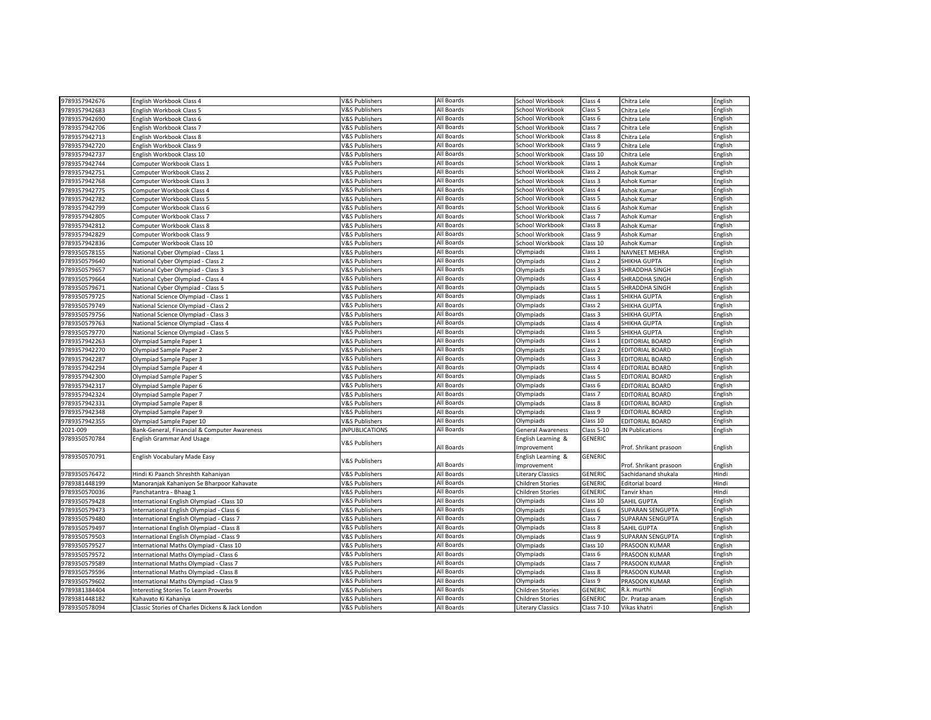| 9789357942683<br>V&S Publishers<br>All Boards<br>School Workbook<br>Class 5<br>Chitra Lele<br>English<br>English Workbook Class 5<br>9789357942690<br>All Boards<br>School Workbook<br>English Workbook Class 6<br><b>V&amp;S Publishers</b><br>Class 6<br>Chitra Lele<br>English<br>9789357942706<br>All Boards<br>English Workbook Class 7<br><b>V&amp;S Publishers</b><br>School Workbook<br>Class <sub>7</sub><br>Chitra Lele<br>English<br><b>V&amp;S Publishers</b><br>All Boards<br>9789357942713<br>School Workbook<br>Class 8<br>English<br>English Workbook Class 8<br>Chitra Lele<br>All Boards<br><b>V&amp;S Publishers</b><br>School Workbook<br>Class 9<br>English<br>9789357942720<br>English Workbook Class 9<br>Chitra Lele<br>All Boards<br>English<br>School Workbook<br>Class 10<br>9789357942737<br>English Workbook Class 10<br>V&S Publishers<br>Chitra Lele<br>1789357942744<br>All Boards<br>School Workbook<br>Class 1<br>English<br>Computer Workbook Class 1<br><b>V&amp;S Publishers</b><br>Ashok Kumar<br>9789357942751<br><b>V&amp;S Publishers</b><br>All Boards<br>School Workbook<br>Class <sub>2</sub><br>Ashok Kumar<br>English<br>Computer Workbook Class 2<br>9789357942768<br><b>V&amp;S Publishers</b><br>All Boards<br>School Workbook<br>Computer Workbook Class 3<br>Class 3<br>Ashok Kumar<br>English<br>9789357942775<br>All Boards<br>Computer Workbook Class 4<br><b>V&amp;S Publishers</b><br>School Workbook<br>Class 4<br>Ashok Kumar<br>English<br>All Boards<br><b>V&amp;S Publishers</b><br>School Workbook<br>English<br>9789357942782<br>Class 5<br>Computer Workbook Class 5<br>Ashok Kumar<br><b>V&amp;S Publishers</b><br>All Boards<br>School Workbook<br>Class <sub>6</sub><br>English<br>9789357942799<br>Computer Workbook Class 6<br>Ashok Kumar<br>All Boards<br>Class <sub>7</sub><br>English<br>9789357942805<br>School Workbook<br>Computer Workbook Class 7<br>V&S Publishers<br>Ashok Kumar<br>School Workbook<br>789357942812<br>All Boards<br>Class 8<br>English<br>Computer Workbook Class 8<br><b>V&amp;S Publishers</b><br>Ashok Kumar<br>9789357942829<br><b>V&amp;S Publishers</b><br>All Boards<br>School Workbook<br>Class 9<br>Ashok Kumar<br>English<br>Computer Workbook Class 9<br>9789357942836<br><b>V&amp;S Publishers</b><br>All Boards<br>School Workbook<br>Class 10<br>Ashok Kumar<br>Computer Workbook Class 10<br>English<br>All Boards<br>9789350578155<br><b>V&amp;S Publishers</b><br>Olympiads<br>Class 1<br>English<br>National Cyber Olympiad - Class 1<br><b>NAVNEET MEHRA</b><br>All Boards<br><b>V&amp;S Publishers</b><br>Class <sub>2</sub><br>789350579640<br>Olympiads<br>SHIKHA GUPTA<br>English<br>National Cyber Olympiad - Class 2<br>Olympiads<br>Class <sub>3</sub><br>English<br><b>V&amp;S Publishers</b><br>All Boards<br>9789350579657<br>National Cyber Olympiad - Class 3<br>SHRADDHA SINGH<br>All Boards<br>Class 4<br>English<br>9789350579664<br>Olympiads<br>National Cyber Olympiad - Class 4<br><b>V&amp;S Publishers</b><br>SHRADDHA SINGH<br>789350579671<br><b>V&amp;S Publishers</b><br>All Boards<br>Class <sub>5</sub><br>National Cyber Olympiad - Class 5<br>Olympiads<br>SHRADDHA SINGH<br>English<br>9789350579725<br>National Science Olympiad - Class 1<br><b>V&amp;S Publishers</b><br>All Boards<br>Olympiads<br>Class 1<br><b>SHIKHA GUPTA</b><br>English<br><b>V&amp;S Publishers</b><br>All Boards<br>Olympiads<br>Class 2<br>English<br>9789350579749<br>National Science Olympiad - Class 2<br><b>SHIKHA GUPTA</b><br><b>V&amp;S Publishers</b><br>All Boards<br>9789350579756<br>Olympiads<br>Class 3<br>English<br>National Science Olympiad - Class 3<br><b>SHIKHA GUPTA</b><br>All Boards<br>Olympiads<br>Class 4<br>English<br>9789350579763<br><b>V&amp;S Publishers</b><br>SHIKHA GUPTA<br>National Science Olympiad - Class 4<br>Class <sub>5</sub><br>English<br>All Boards<br>Olympiads<br>9789350579770<br>National Science Olympiad - Class 5<br><b>V&amp;S Publishers</b><br>SHIKHA GUPTA<br>All Boards<br>9789357942263<br><b>V&amp;S Publishers</b><br>Olympiads<br>Class 1<br><b>EDITORIAL BOARD</b><br>English<br>Olympiad Sample Paper 1<br>9789357942270<br><b>V&amp;S Publishers</b><br>All Boards<br>Olympiads<br>Class <sub>2</sub><br><b>EDITORIAL BOARD</b><br>Olympiad Sample Paper 2<br>English<br><b>V&amp;S Publishers</b><br>All Boards<br>Olympiads<br>Class <sub>3</sub><br>English<br>9789357942287<br>Olympiad Sample Paper 3<br><b>EDITORIAL BOARD</b><br><b>V&amp;S Publishers</b><br>All Boards<br>Olympiads<br>Class 4<br>English<br>9789357942294<br>EDITORIAL BOARD<br>Olympiad Sample Paper 4<br>Class 5<br>9789357942300<br><b>V&amp;S Publishers</b><br>All Boards<br>Olympiads<br><b>EDITORIAL BOARD</b><br>English<br>Olympiad Sample Paper 5<br>All Boards<br>Olympiads<br>Class 6<br>English<br>9789357942317<br><b>V&amp;S Publishers</b><br><b>EDITORIAL BOARD</b><br>Olympiad Sample Paper 6<br>All Boards<br>9789357942324<br><b>V&amp;S Publishers</b><br>Olympiads<br>Class <sub>7</sub><br>English<br>Olympiad Sample Paper 7<br><b>EDITORIAL BOARD</b><br>All Boards<br>9789357942331<br><b>V&amp;S Publishers</b><br>Olympiads<br>Class 8<br><b>EDITORIAL BOARD</b><br>English<br>Olympiad Sample Paper 8<br>All Boards<br>9789357942348<br><b>V&amp;S Publishers</b><br>Olympiads<br>Class 9<br>EDITORIAL BOARD<br>English<br>Olympiad Sample Paper 9<br>9789357942355<br><b>V&amp;S Publishers</b><br>All Boards<br>Olympiads<br>Class 10<br><b>EDITORIAL BOARD</b><br>English<br>Olympiad Sample Paper 10<br>2021-009<br><b>JNPUBLICATIONS</b><br>All Boards<br><b>General Awareness</b><br>Class 5-10<br>JN Publications<br>English<br>Bank-General, Financial & Computer Awareness<br>9789350570784<br><b>GENERIC</b><br><b>English Grammar And Usage</b><br>English Learning &<br>V&S Publishers<br>All Boards<br>mprovement<br>Prof. Shrikant prasoon<br>English<br>9789350570791<br>GENERIC<br>English Vocabulary Made Easy<br>English Learning &<br>V&S Publishers<br>All Boards<br>Improvement<br>Prof. Shrikant prasoon<br>English<br>All Boards<br>Hindi<br>9789350576472<br>Hindi Ki Paanch Shreshth Kahaniyan<br><b>V&amp;S Publishers</b><br><b>Literary Classics</b><br>GENERIC<br>Sachidanand shukala<br>All Boards<br>GENERIC<br>9789381448199<br>Manoranjak Kahaniyon Se Bharpoor Kahavate<br><b>V&amp;S Publishers</b><br><b>Children Stories</b><br><b>Editorial board</b><br>Hindi<br>All Boards<br><b>GENERIC</b><br>Tanvir khan<br>Hindi<br>9789350570036<br>Panchatantra - Bhaag 1<br><b>V&amp;S Publishers</b><br>Children Stories<br>All Boards<br>English<br>9789350579428<br>International English Olympiad - Class 10<br><b>V&amp;S Publishers</b><br>Olympiads<br>Class 10<br>SAHIL GUPTA<br>All Boards<br>9789350579473<br>International English Olympiad - Class 6<br><b>V&amp;S Publishers</b><br>Olympiads<br>Class 6<br>SUPARAN SENGUPTA<br>English<br>All Boards<br>9789350579480<br>International English Olympiad - Class 7<br><b>V&amp;S Publishers</b><br>Olympiads<br>Class <sub>7</sub><br>SUPARAN SENGUPTA<br>English<br>All Boards<br>English<br><b>V&amp;S Publishers</b><br>Olympiads<br>Class 8<br>9789350579497<br>International English Olympiad - Class 8<br>SAHIL GUPTA<br>All Boards<br><b>V&amp;S Publishers</b><br>Olympiads<br>Class 9<br>English<br>9789350579503<br>nternational English Olympiad - Class 9<br>SUPARAN SENGUPTA<br><b>V&amp;S Publishers</b><br>All Boards<br>Class 10<br>PRASOON KUMAR<br>English<br>9789350579527<br>International Maths Olympiad - Class 10<br>Olympiads<br>All Boards<br>Class 6<br>English<br>9789350579572<br>International Maths Olympiad - Class 6<br><b>V&amp;S Publishers</b><br>Olympiads<br>PRASOON KUMAR<br>All Boards<br>9789350579589<br>International Maths Olympiad - Class 7<br><b>V&amp;S Publishers</b><br>Olympiads<br>Class <sub>7</sub><br>PRASOON KUMAR<br>English<br>9789350579596<br>All Boards<br>International Maths Olympiad - Class 8<br><b>V&amp;S Publishers</b><br>Olympiads<br>Class 8<br>PRASOON KUMAR<br>English<br>All Boards<br><b>V&amp;S Publishers</b><br>Class 9<br>English<br>9789350579602<br>nternational Maths Olympiad - Class 9<br>Olympiads<br>PRASOON KUMAR<br>All Boards<br>English<br>9789381384404<br><b>V&amp;S Publishers</b><br><b>Children Stories</b><br><b>GENERIC</b><br>R.k. murthi<br>Interesting Stories To Learn Proverbs<br>9789381448182<br>All Boards<br>English<br>Kahavato Ki Kahaniya<br><b>V&amp;S Publishers</b><br><b>Children Stories</b><br>GENERIC<br>Dr. Pratap anam<br>9789350578094<br>Classic Stories of Charles Dickens & Jack London<br><b>V&amp;S Publishers</b><br>All Boards<br><b>Literary Classics</b><br><b>Class 7-10</b><br>Vikas khatri<br>English | 9789357942676 | English Workbook Class 4 | <b>V&amp;S Publishers</b> | All Boards | School Workbook | Class 4 | Chitra Lele | English |
|---------------------------------------------------------------------------------------------------------------------------------------------------------------------------------------------------------------------------------------------------------------------------------------------------------------------------------------------------------------------------------------------------------------------------------------------------------------------------------------------------------------------------------------------------------------------------------------------------------------------------------------------------------------------------------------------------------------------------------------------------------------------------------------------------------------------------------------------------------------------------------------------------------------------------------------------------------------------------------------------------------------------------------------------------------------------------------------------------------------------------------------------------------------------------------------------------------------------------------------------------------------------------------------------------------------------------------------------------------------------------------------------------------------------------------------------------------------------------------------------------------------------------------------------------------------------------------------------------------------------------------------------------------------------------------------------------------------------------------------------------------------------------------------------------------------------------------------------------------------------------------------------------------------------------------------------------------------------------------------------------------------------------------------------------------------------------------------------------------------------------------------------------------------------------------------------------------------------------------------------------------------------------------------------------------------------------------------------------------------------------------------------------------------------------------------------------------------------------------------------------------------------------------------------------------------------------------------------------------------------------------------------------------------------------------------------------------------------------------------------------------------------------------------------------------------------------------------------------------------------------------------------------------------------------------------------------------------------------------------------------------------------------------------------------------------------------------------------------------------------------------------------------------------------------------------------------------------------------------------------------------------------------------------------------------------------------------------------------------------------------------------------------------------------------------------------------------------------------------------------------------------------------------------------------------------------------------------------------------------------------------------------------------------------------------------------------------------------------------------------------------------------------------------------------------------------------------------------------------------------------------------------------------------------------------------------------------------------------------------------------------------------------------------------------------------------------------------------------------------------------------------------------------------------------------------------------------------------------------------------------------------------------------------------------------------------------------------------------------------------------------------------------------------------------------------------------------------------------------------------------------------------------------------------------------------------------------------------------------------------------------------------------------------------------------------------------------------------------------------------------------------------------------------------------------------------------------------------------------------------------------------------------------------------------------------------------------------------------------------------------------------------------------------------------------------------------------------------------------------------------------------------------------------------------------------------------------------------------------------------------------------------------------------------------------------------------------------------------------------------------------------------------------------------------------------------------------------------------------------------------------------------------------------------------------------------------------------------------------------------------------------------------------------------------------------------------------------------------------------------------------------------------------------------------------------------------------------------------------------------------------------------------------------------------------------------------------------------------------------------------------------------------------------------------------------------------------------------------------------------------------------------------------------------------------------------------------------------------------------------------------------------------------------------------------------------------------------------------------------------------------------------------------------------------------------------------------------------------------------------------------------------------------------------------------------------------------------------------------------------------------------------------------------------------------------------------------------------------------------------------------------------------------------------------------------------------------------------------------------------------------------------------------------------------------------------------------------------------------------------------------------------------------------------------------------------------------------------------------------------------------------------------------------------------------------------------------------------------------------------------------------------------------------------------------------------------------------------------------------------------------------------------------------------------------------------------------------------------------------------------------------------------------------------------------------------------------------------------------------------------------------------------------------------------------------------------------------------------------------------------------------------------------------------------------------------------------------------------------------------------------------------------------------------------------------------------------------------------------------------------------------------------------------------------------------------------------------------------------------------------------------------------------------------------------------------------------------------------------------------------------------------------------------------------------------------------------------------------------------------------------------------------------------------------------------------------------------------------------------------------------------------------------------------------------------------------------------------------------------------------------------------------------------------------------------------------------------------------------------------------------------------------------------------------------------------------------------------|---------------|--------------------------|---------------------------|------------|-----------------|---------|-------------|---------|
|                                                                                                                                                                                                                                                                                                                                                                                                                                                                                                                                                                                                                                                                                                                                                                                                                                                                                                                                                                                                                                                                                                                                                                                                                                                                                                                                                                                                                                                                                                                                                                                                                                                                                                                                                                                                                                                                                                                                                                                                                                                                                                                                                                                                                                                                                                                                                                                                                                                                                                                                                                                                                                                                                                                                                                                                                                                                                                                                                                                                                                                                                                                                                                                                                                                                                                                                                                                                                                                                                                                                                                                                                                                                                                                                                                                                                                                                                                                                                                                                                                                                                                                                                                                                                                                                                                                                                                                                                                                                                                                                                                                                                                                                                                                                                                                                                                                                                                                                                                                                                                                                                                                                                                                                                                                                                                                                                                                                                                                                                                                                                                                                                                                                                                                                                                                                                                                                                                                                                                                                                                                                                                                                                                                                                                                                                                                                                                                                                                                                                                                                                                                                                                                                                                                                                                                                                                                                                                                                                                                                                                                                                                                                                                                                                                                                                                                                                                                                                                                                                                                                                                                                                                                                                                                                                                                                                                                                                                                                                                                                                                                                                                                                                                                                                                                                                                                                                                                                                                                                                                                                                                                                                                                                                                                                                                                                                                             |               |                          |                           |            |                 |         |             |         |
|                                                                                                                                                                                                                                                                                                                                                                                                                                                                                                                                                                                                                                                                                                                                                                                                                                                                                                                                                                                                                                                                                                                                                                                                                                                                                                                                                                                                                                                                                                                                                                                                                                                                                                                                                                                                                                                                                                                                                                                                                                                                                                                                                                                                                                                                                                                                                                                                                                                                                                                                                                                                                                                                                                                                                                                                                                                                                                                                                                                                                                                                                                                                                                                                                                                                                                                                                                                                                                                                                                                                                                                                                                                                                                                                                                                                                                                                                                                                                                                                                                                                                                                                                                                                                                                                                                                                                                                                                                                                                                                                                                                                                                                                                                                                                                                                                                                                                                                                                                                                                                                                                                                                                                                                                                                                                                                                                                                                                                                                                                                                                                                                                                                                                                                                                                                                                                                                                                                                                                                                                                                                                                                                                                                                                                                                                                                                                                                                                                                                                                                                                                                                                                                                                                                                                                                                                                                                                                                                                                                                                                                                                                                                                                                                                                                                                                                                                                                                                                                                                                                                                                                                                                                                                                                                                                                                                                                                                                                                                                                                                                                                                                                                                                                                                                                                                                                                                                                                                                                                                                                                                                                                                                                                                                                                                                                                                                             |               |                          |                           |            |                 |         |             |         |
|                                                                                                                                                                                                                                                                                                                                                                                                                                                                                                                                                                                                                                                                                                                                                                                                                                                                                                                                                                                                                                                                                                                                                                                                                                                                                                                                                                                                                                                                                                                                                                                                                                                                                                                                                                                                                                                                                                                                                                                                                                                                                                                                                                                                                                                                                                                                                                                                                                                                                                                                                                                                                                                                                                                                                                                                                                                                                                                                                                                                                                                                                                                                                                                                                                                                                                                                                                                                                                                                                                                                                                                                                                                                                                                                                                                                                                                                                                                                                                                                                                                                                                                                                                                                                                                                                                                                                                                                                                                                                                                                                                                                                                                                                                                                                                                                                                                                                                                                                                                                                                                                                                                                                                                                                                                                                                                                                                                                                                                                                                                                                                                                                                                                                                                                                                                                                                                                                                                                                                                                                                                                                                                                                                                                                                                                                                                                                                                                                                                                                                                                                                                                                                                                                                                                                                                                                                                                                                                                                                                                                                                                                                                                                                                                                                                                                                                                                                                                                                                                                                                                                                                                                                                                                                                                                                                                                                                                                                                                                                                                                                                                                                                                                                                                                                                                                                                                                                                                                                                                                                                                                                                                                                                                                                                                                                                                                                             |               |                          |                           |            |                 |         |             |         |
|                                                                                                                                                                                                                                                                                                                                                                                                                                                                                                                                                                                                                                                                                                                                                                                                                                                                                                                                                                                                                                                                                                                                                                                                                                                                                                                                                                                                                                                                                                                                                                                                                                                                                                                                                                                                                                                                                                                                                                                                                                                                                                                                                                                                                                                                                                                                                                                                                                                                                                                                                                                                                                                                                                                                                                                                                                                                                                                                                                                                                                                                                                                                                                                                                                                                                                                                                                                                                                                                                                                                                                                                                                                                                                                                                                                                                                                                                                                                                                                                                                                                                                                                                                                                                                                                                                                                                                                                                                                                                                                                                                                                                                                                                                                                                                                                                                                                                                                                                                                                                                                                                                                                                                                                                                                                                                                                                                                                                                                                                                                                                                                                                                                                                                                                                                                                                                                                                                                                                                                                                                                                                                                                                                                                                                                                                                                                                                                                                                                                                                                                                                                                                                                                                                                                                                                                                                                                                                                                                                                                                                                                                                                                                                                                                                                                                                                                                                                                                                                                                                                                                                                                                                                                                                                                                                                                                                                                                                                                                                                                                                                                                                                                                                                                                                                                                                                                                                                                                                                                                                                                                                                                                                                                                                                                                                                                                                             |               |                          |                           |            |                 |         |             |         |
|                                                                                                                                                                                                                                                                                                                                                                                                                                                                                                                                                                                                                                                                                                                                                                                                                                                                                                                                                                                                                                                                                                                                                                                                                                                                                                                                                                                                                                                                                                                                                                                                                                                                                                                                                                                                                                                                                                                                                                                                                                                                                                                                                                                                                                                                                                                                                                                                                                                                                                                                                                                                                                                                                                                                                                                                                                                                                                                                                                                                                                                                                                                                                                                                                                                                                                                                                                                                                                                                                                                                                                                                                                                                                                                                                                                                                                                                                                                                                                                                                                                                                                                                                                                                                                                                                                                                                                                                                                                                                                                                                                                                                                                                                                                                                                                                                                                                                                                                                                                                                                                                                                                                                                                                                                                                                                                                                                                                                                                                                                                                                                                                                                                                                                                                                                                                                                                                                                                                                                                                                                                                                                                                                                                                                                                                                                                                                                                                                                                                                                                                                                                                                                                                                                                                                                                                                                                                                                                                                                                                                                                                                                                                                                                                                                                                                                                                                                                                                                                                                                                                                                                                                                                                                                                                                                                                                                                                                                                                                                                                                                                                                                                                                                                                                                                                                                                                                                                                                                                                                                                                                                                                                                                                                                                                                                                                                                             |               |                          |                           |            |                 |         |             |         |
|                                                                                                                                                                                                                                                                                                                                                                                                                                                                                                                                                                                                                                                                                                                                                                                                                                                                                                                                                                                                                                                                                                                                                                                                                                                                                                                                                                                                                                                                                                                                                                                                                                                                                                                                                                                                                                                                                                                                                                                                                                                                                                                                                                                                                                                                                                                                                                                                                                                                                                                                                                                                                                                                                                                                                                                                                                                                                                                                                                                                                                                                                                                                                                                                                                                                                                                                                                                                                                                                                                                                                                                                                                                                                                                                                                                                                                                                                                                                                                                                                                                                                                                                                                                                                                                                                                                                                                                                                                                                                                                                                                                                                                                                                                                                                                                                                                                                                                                                                                                                                                                                                                                                                                                                                                                                                                                                                                                                                                                                                                                                                                                                                                                                                                                                                                                                                                                                                                                                                                                                                                                                                                                                                                                                                                                                                                                                                                                                                                                                                                                                                                                                                                                                                                                                                                                                                                                                                                                                                                                                                                                                                                                                                                                                                                                                                                                                                                                                                                                                                                                                                                                                                                                                                                                                                                                                                                                                                                                                                                                                                                                                                                                                                                                                                                                                                                                                                                                                                                                                                                                                                                                                                                                                                                                                                                                                                                             |               |                          |                           |            |                 |         |             |         |
|                                                                                                                                                                                                                                                                                                                                                                                                                                                                                                                                                                                                                                                                                                                                                                                                                                                                                                                                                                                                                                                                                                                                                                                                                                                                                                                                                                                                                                                                                                                                                                                                                                                                                                                                                                                                                                                                                                                                                                                                                                                                                                                                                                                                                                                                                                                                                                                                                                                                                                                                                                                                                                                                                                                                                                                                                                                                                                                                                                                                                                                                                                                                                                                                                                                                                                                                                                                                                                                                                                                                                                                                                                                                                                                                                                                                                                                                                                                                                                                                                                                                                                                                                                                                                                                                                                                                                                                                                                                                                                                                                                                                                                                                                                                                                                                                                                                                                                                                                                                                                                                                                                                                                                                                                                                                                                                                                                                                                                                                                                                                                                                                                                                                                                                                                                                                                                                                                                                                                                                                                                                                                                                                                                                                                                                                                                                                                                                                                                                                                                                                                                                                                                                                                                                                                                                                                                                                                                                                                                                                                                                                                                                                                                                                                                                                                                                                                                                                                                                                                                                                                                                                                                                                                                                                                                                                                                                                                                                                                                                                                                                                                                                                                                                                                                                                                                                                                                                                                                                                                                                                                                                                                                                                                                                                                                                                                                             |               |                          |                           |            |                 |         |             |         |
|                                                                                                                                                                                                                                                                                                                                                                                                                                                                                                                                                                                                                                                                                                                                                                                                                                                                                                                                                                                                                                                                                                                                                                                                                                                                                                                                                                                                                                                                                                                                                                                                                                                                                                                                                                                                                                                                                                                                                                                                                                                                                                                                                                                                                                                                                                                                                                                                                                                                                                                                                                                                                                                                                                                                                                                                                                                                                                                                                                                                                                                                                                                                                                                                                                                                                                                                                                                                                                                                                                                                                                                                                                                                                                                                                                                                                                                                                                                                                                                                                                                                                                                                                                                                                                                                                                                                                                                                                                                                                                                                                                                                                                                                                                                                                                                                                                                                                                                                                                                                                                                                                                                                                                                                                                                                                                                                                                                                                                                                                                                                                                                                                                                                                                                                                                                                                                                                                                                                                                                                                                                                                                                                                                                                                                                                                                                                                                                                                                                                                                                                                                                                                                                                                                                                                                                                                                                                                                                                                                                                                                                                                                                                                                                                                                                                                                                                                                                                                                                                                                                                                                                                                                                                                                                                                                                                                                                                                                                                                                                                                                                                                                                                                                                                                                                                                                                                                                                                                                                                                                                                                                                                                                                                                                                                                                                                                                             |               |                          |                           |            |                 |         |             |         |
|                                                                                                                                                                                                                                                                                                                                                                                                                                                                                                                                                                                                                                                                                                                                                                                                                                                                                                                                                                                                                                                                                                                                                                                                                                                                                                                                                                                                                                                                                                                                                                                                                                                                                                                                                                                                                                                                                                                                                                                                                                                                                                                                                                                                                                                                                                                                                                                                                                                                                                                                                                                                                                                                                                                                                                                                                                                                                                                                                                                                                                                                                                                                                                                                                                                                                                                                                                                                                                                                                                                                                                                                                                                                                                                                                                                                                                                                                                                                                                                                                                                                                                                                                                                                                                                                                                                                                                                                                                                                                                                                                                                                                                                                                                                                                                                                                                                                                                                                                                                                                                                                                                                                                                                                                                                                                                                                                                                                                                                                                                                                                                                                                                                                                                                                                                                                                                                                                                                                                                                                                                                                                                                                                                                                                                                                                                                                                                                                                                                                                                                                                                                                                                                                                                                                                                                                                                                                                                                                                                                                                                                                                                                                                                                                                                                                                                                                                                                                                                                                                                                                                                                                                                                                                                                                                                                                                                                                                                                                                                                                                                                                                                                                                                                                                                                                                                                                                                                                                                                                                                                                                                                                                                                                                                                                                                                                                                             |               |                          |                           |            |                 |         |             |         |
|                                                                                                                                                                                                                                                                                                                                                                                                                                                                                                                                                                                                                                                                                                                                                                                                                                                                                                                                                                                                                                                                                                                                                                                                                                                                                                                                                                                                                                                                                                                                                                                                                                                                                                                                                                                                                                                                                                                                                                                                                                                                                                                                                                                                                                                                                                                                                                                                                                                                                                                                                                                                                                                                                                                                                                                                                                                                                                                                                                                                                                                                                                                                                                                                                                                                                                                                                                                                                                                                                                                                                                                                                                                                                                                                                                                                                                                                                                                                                                                                                                                                                                                                                                                                                                                                                                                                                                                                                                                                                                                                                                                                                                                                                                                                                                                                                                                                                                                                                                                                                                                                                                                                                                                                                                                                                                                                                                                                                                                                                                                                                                                                                                                                                                                                                                                                                                                                                                                                                                                                                                                                                                                                                                                                                                                                                                                                                                                                                                                                                                                                                                                                                                                                                                                                                                                                                                                                                                                                                                                                                                                                                                                                                                                                                                                                                                                                                                                                                                                                                                                                                                                                                                                                                                                                                                                                                                                                                                                                                                                                                                                                                                                                                                                                                                                                                                                                                                                                                                                                                                                                                                                                                                                                                                                                                                                                                                             |               |                          |                           |            |                 |         |             |         |
|                                                                                                                                                                                                                                                                                                                                                                                                                                                                                                                                                                                                                                                                                                                                                                                                                                                                                                                                                                                                                                                                                                                                                                                                                                                                                                                                                                                                                                                                                                                                                                                                                                                                                                                                                                                                                                                                                                                                                                                                                                                                                                                                                                                                                                                                                                                                                                                                                                                                                                                                                                                                                                                                                                                                                                                                                                                                                                                                                                                                                                                                                                                                                                                                                                                                                                                                                                                                                                                                                                                                                                                                                                                                                                                                                                                                                                                                                                                                                                                                                                                                                                                                                                                                                                                                                                                                                                                                                                                                                                                                                                                                                                                                                                                                                                                                                                                                                                                                                                                                                                                                                                                                                                                                                                                                                                                                                                                                                                                                                                                                                                                                                                                                                                                                                                                                                                                                                                                                                                                                                                                                                                                                                                                                                                                                                                                                                                                                                                                                                                                                                                                                                                                                                                                                                                                                                                                                                                                                                                                                                                                                                                                                                                                                                                                                                                                                                                                                                                                                                                                                                                                                                                                                                                                                                                                                                                                                                                                                                                                                                                                                                                                                                                                                                                                                                                                                                                                                                                                                                                                                                                                                                                                                                                                                                                                                                                             |               |                          |                           |            |                 |         |             |         |
|                                                                                                                                                                                                                                                                                                                                                                                                                                                                                                                                                                                                                                                                                                                                                                                                                                                                                                                                                                                                                                                                                                                                                                                                                                                                                                                                                                                                                                                                                                                                                                                                                                                                                                                                                                                                                                                                                                                                                                                                                                                                                                                                                                                                                                                                                                                                                                                                                                                                                                                                                                                                                                                                                                                                                                                                                                                                                                                                                                                                                                                                                                                                                                                                                                                                                                                                                                                                                                                                                                                                                                                                                                                                                                                                                                                                                                                                                                                                                                                                                                                                                                                                                                                                                                                                                                                                                                                                                                                                                                                                                                                                                                                                                                                                                                                                                                                                                                                                                                                                                                                                                                                                                                                                                                                                                                                                                                                                                                                                                                                                                                                                                                                                                                                                                                                                                                                                                                                                                                                                                                                                                                                                                                                                                                                                                                                                                                                                                                                                                                                                                                                                                                                                                                                                                                                                                                                                                                                                                                                                                                                                                                                                                                                                                                                                                                                                                                                                                                                                                                                                                                                                                                                                                                                                                                                                                                                                                                                                                                                                                                                                                                                                                                                                                                                                                                                                                                                                                                                                                                                                                                                                                                                                                                                                                                                                                                             |               |                          |                           |            |                 |         |             |         |
|                                                                                                                                                                                                                                                                                                                                                                                                                                                                                                                                                                                                                                                                                                                                                                                                                                                                                                                                                                                                                                                                                                                                                                                                                                                                                                                                                                                                                                                                                                                                                                                                                                                                                                                                                                                                                                                                                                                                                                                                                                                                                                                                                                                                                                                                                                                                                                                                                                                                                                                                                                                                                                                                                                                                                                                                                                                                                                                                                                                                                                                                                                                                                                                                                                                                                                                                                                                                                                                                                                                                                                                                                                                                                                                                                                                                                                                                                                                                                                                                                                                                                                                                                                                                                                                                                                                                                                                                                                                                                                                                                                                                                                                                                                                                                                                                                                                                                                                                                                                                                                                                                                                                                                                                                                                                                                                                                                                                                                                                                                                                                                                                                                                                                                                                                                                                                                                                                                                                                                                                                                                                                                                                                                                                                                                                                                                                                                                                                                                                                                                                                                                                                                                                                                                                                                                                                                                                                                                                                                                                                                                                                                                                                                                                                                                                                                                                                                                                                                                                                                                                                                                                                                                                                                                                                                                                                                                                                                                                                                                                                                                                                                                                                                                                                                                                                                                                                                                                                                                                                                                                                                                                                                                                                                                                                                                                                                             |               |                          |                           |            |                 |         |             |         |
|                                                                                                                                                                                                                                                                                                                                                                                                                                                                                                                                                                                                                                                                                                                                                                                                                                                                                                                                                                                                                                                                                                                                                                                                                                                                                                                                                                                                                                                                                                                                                                                                                                                                                                                                                                                                                                                                                                                                                                                                                                                                                                                                                                                                                                                                                                                                                                                                                                                                                                                                                                                                                                                                                                                                                                                                                                                                                                                                                                                                                                                                                                                                                                                                                                                                                                                                                                                                                                                                                                                                                                                                                                                                                                                                                                                                                                                                                                                                                                                                                                                                                                                                                                                                                                                                                                                                                                                                                                                                                                                                                                                                                                                                                                                                                                                                                                                                                                                                                                                                                                                                                                                                                                                                                                                                                                                                                                                                                                                                                                                                                                                                                                                                                                                                                                                                                                                                                                                                                                                                                                                                                                                                                                                                                                                                                                                                                                                                                                                                                                                                                                                                                                                                                                                                                                                                                                                                                                                                                                                                                                                                                                                                                                                                                                                                                                                                                                                                                                                                                                                                                                                                                                                                                                                                                                                                                                                                                                                                                                                                                                                                                                                                                                                                                                                                                                                                                                                                                                                                                                                                                                                                                                                                                                                                                                                                                                             |               |                          |                           |            |                 |         |             |         |
|                                                                                                                                                                                                                                                                                                                                                                                                                                                                                                                                                                                                                                                                                                                                                                                                                                                                                                                                                                                                                                                                                                                                                                                                                                                                                                                                                                                                                                                                                                                                                                                                                                                                                                                                                                                                                                                                                                                                                                                                                                                                                                                                                                                                                                                                                                                                                                                                                                                                                                                                                                                                                                                                                                                                                                                                                                                                                                                                                                                                                                                                                                                                                                                                                                                                                                                                                                                                                                                                                                                                                                                                                                                                                                                                                                                                                                                                                                                                                                                                                                                                                                                                                                                                                                                                                                                                                                                                                                                                                                                                                                                                                                                                                                                                                                                                                                                                                                                                                                                                                                                                                                                                                                                                                                                                                                                                                                                                                                                                                                                                                                                                                                                                                                                                                                                                                                                                                                                                                                                                                                                                                                                                                                                                                                                                                                                                                                                                                                                                                                                                                                                                                                                                                                                                                                                                                                                                                                                                                                                                                                                                                                                                                                                                                                                                                                                                                                                                                                                                                                                                                                                                                                                                                                                                                                                                                                                                                                                                                                                                                                                                                                                                                                                                                                                                                                                                                                                                                                                                                                                                                                                                                                                                                                                                                                                                                                             |               |                          |                           |            |                 |         |             |         |
|                                                                                                                                                                                                                                                                                                                                                                                                                                                                                                                                                                                                                                                                                                                                                                                                                                                                                                                                                                                                                                                                                                                                                                                                                                                                                                                                                                                                                                                                                                                                                                                                                                                                                                                                                                                                                                                                                                                                                                                                                                                                                                                                                                                                                                                                                                                                                                                                                                                                                                                                                                                                                                                                                                                                                                                                                                                                                                                                                                                                                                                                                                                                                                                                                                                                                                                                                                                                                                                                                                                                                                                                                                                                                                                                                                                                                                                                                                                                                                                                                                                                                                                                                                                                                                                                                                                                                                                                                                                                                                                                                                                                                                                                                                                                                                                                                                                                                                                                                                                                                                                                                                                                                                                                                                                                                                                                                                                                                                                                                                                                                                                                                                                                                                                                                                                                                                                                                                                                                                                                                                                                                                                                                                                                                                                                                                                                                                                                                                                                                                                                                                                                                                                                                                                                                                                                                                                                                                                                                                                                                                                                                                                                                                                                                                                                                                                                                                                                                                                                                                                                                                                                                                                                                                                                                                                                                                                                                                                                                                                                                                                                                                                                                                                                                                                                                                                                                                                                                                                                                                                                                                                                                                                                                                                                                                                                                                             |               |                          |                           |            |                 |         |             |         |
|                                                                                                                                                                                                                                                                                                                                                                                                                                                                                                                                                                                                                                                                                                                                                                                                                                                                                                                                                                                                                                                                                                                                                                                                                                                                                                                                                                                                                                                                                                                                                                                                                                                                                                                                                                                                                                                                                                                                                                                                                                                                                                                                                                                                                                                                                                                                                                                                                                                                                                                                                                                                                                                                                                                                                                                                                                                                                                                                                                                                                                                                                                                                                                                                                                                                                                                                                                                                                                                                                                                                                                                                                                                                                                                                                                                                                                                                                                                                                                                                                                                                                                                                                                                                                                                                                                                                                                                                                                                                                                                                                                                                                                                                                                                                                                                                                                                                                                                                                                                                                                                                                                                                                                                                                                                                                                                                                                                                                                                                                                                                                                                                                                                                                                                                                                                                                                                                                                                                                                                                                                                                                                                                                                                                                                                                                                                                                                                                                                                                                                                                                                                                                                                                                                                                                                                                                                                                                                                                                                                                                                                                                                                                                                                                                                                                                                                                                                                                                                                                                                                                                                                                                                                                                                                                                                                                                                                                                                                                                                                                                                                                                                                                                                                                                                                                                                                                                                                                                                                                                                                                                                                                                                                                                                                                                                                                                                             |               |                          |                           |            |                 |         |             |         |
|                                                                                                                                                                                                                                                                                                                                                                                                                                                                                                                                                                                                                                                                                                                                                                                                                                                                                                                                                                                                                                                                                                                                                                                                                                                                                                                                                                                                                                                                                                                                                                                                                                                                                                                                                                                                                                                                                                                                                                                                                                                                                                                                                                                                                                                                                                                                                                                                                                                                                                                                                                                                                                                                                                                                                                                                                                                                                                                                                                                                                                                                                                                                                                                                                                                                                                                                                                                                                                                                                                                                                                                                                                                                                                                                                                                                                                                                                                                                                                                                                                                                                                                                                                                                                                                                                                                                                                                                                                                                                                                                                                                                                                                                                                                                                                                                                                                                                                                                                                                                                                                                                                                                                                                                                                                                                                                                                                                                                                                                                                                                                                                                                                                                                                                                                                                                                                                                                                                                                                                                                                                                                                                                                                                                                                                                                                                                                                                                                                                                                                                                                                                                                                                                                                                                                                                                                                                                                                                                                                                                                                                                                                                                                                                                                                                                                                                                                                                                                                                                                                                                                                                                                                                                                                                                                                                                                                                                                                                                                                                                                                                                                                                                                                                                                                                                                                                                                                                                                                                                                                                                                                                                                                                                                                                                                                                                                                             |               |                          |                           |            |                 |         |             |         |
|                                                                                                                                                                                                                                                                                                                                                                                                                                                                                                                                                                                                                                                                                                                                                                                                                                                                                                                                                                                                                                                                                                                                                                                                                                                                                                                                                                                                                                                                                                                                                                                                                                                                                                                                                                                                                                                                                                                                                                                                                                                                                                                                                                                                                                                                                                                                                                                                                                                                                                                                                                                                                                                                                                                                                                                                                                                                                                                                                                                                                                                                                                                                                                                                                                                                                                                                                                                                                                                                                                                                                                                                                                                                                                                                                                                                                                                                                                                                                                                                                                                                                                                                                                                                                                                                                                                                                                                                                                                                                                                                                                                                                                                                                                                                                                                                                                                                                                                                                                                                                                                                                                                                                                                                                                                                                                                                                                                                                                                                                                                                                                                                                                                                                                                                                                                                                                                                                                                                                                                                                                                                                                                                                                                                                                                                                                                                                                                                                                                                                                                                                                                                                                                                                                                                                                                                                                                                                                                                                                                                                                                                                                                                                                                                                                                                                                                                                                                                                                                                                                                                                                                                                                                                                                                                                                                                                                                                                                                                                                                                                                                                                                                                                                                                                                                                                                                                                                                                                                                                                                                                                                                                                                                                                                                                                                                                                                             |               |                          |                           |            |                 |         |             |         |
|                                                                                                                                                                                                                                                                                                                                                                                                                                                                                                                                                                                                                                                                                                                                                                                                                                                                                                                                                                                                                                                                                                                                                                                                                                                                                                                                                                                                                                                                                                                                                                                                                                                                                                                                                                                                                                                                                                                                                                                                                                                                                                                                                                                                                                                                                                                                                                                                                                                                                                                                                                                                                                                                                                                                                                                                                                                                                                                                                                                                                                                                                                                                                                                                                                                                                                                                                                                                                                                                                                                                                                                                                                                                                                                                                                                                                                                                                                                                                                                                                                                                                                                                                                                                                                                                                                                                                                                                                                                                                                                                                                                                                                                                                                                                                                                                                                                                                                                                                                                                                                                                                                                                                                                                                                                                                                                                                                                                                                                                                                                                                                                                                                                                                                                                                                                                                                                                                                                                                                                                                                                                                                                                                                                                                                                                                                                                                                                                                                                                                                                                                                                                                                                                                                                                                                                                                                                                                                                                                                                                                                                                                                                                                                                                                                                                                                                                                                                                                                                                                                                                                                                                                                                                                                                                                                                                                                                                                                                                                                                                                                                                                                                                                                                                                                                                                                                                                                                                                                                                                                                                                                                                                                                                                                                                                                                                                                             |               |                          |                           |            |                 |         |             |         |
|                                                                                                                                                                                                                                                                                                                                                                                                                                                                                                                                                                                                                                                                                                                                                                                                                                                                                                                                                                                                                                                                                                                                                                                                                                                                                                                                                                                                                                                                                                                                                                                                                                                                                                                                                                                                                                                                                                                                                                                                                                                                                                                                                                                                                                                                                                                                                                                                                                                                                                                                                                                                                                                                                                                                                                                                                                                                                                                                                                                                                                                                                                                                                                                                                                                                                                                                                                                                                                                                                                                                                                                                                                                                                                                                                                                                                                                                                                                                                                                                                                                                                                                                                                                                                                                                                                                                                                                                                                                                                                                                                                                                                                                                                                                                                                                                                                                                                                                                                                                                                                                                                                                                                                                                                                                                                                                                                                                                                                                                                                                                                                                                                                                                                                                                                                                                                                                                                                                                                                                                                                                                                                                                                                                                                                                                                                                                                                                                                                                                                                                                                                                                                                                                                                                                                                                                                                                                                                                                                                                                                                                                                                                                                                                                                                                                                                                                                                                                                                                                                                                                                                                                                                                                                                                                                                                                                                                                                                                                                                                                                                                                                                                                                                                                                                                                                                                                                                                                                                                                                                                                                                                                                                                                                                                                                                                                                                             |               |                          |                           |            |                 |         |             |         |
|                                                                                                                                                                                                                                                                                                                                                                                                                                                                                                                                                                                                                                                                                                                                                                                                                                                                                                                                                                                                                                                                                                                                                                                                                                                                                                                                                                                                                                                                                                                                                                                                                                                                                                                                                                                                                                                                                                                                                                                                                                                                                                                                                                                                                                                                                                                                                                                                                                                                                                                                                                                                                                                                                                                                                                                                                                                                                                                                                                                                                                                                                                                                                                                                                                                                                                                                                                                                                                                                                                                                                                                                                                                                                                                                                                                                                                                                                                                                                                                                                                                                                                                                                                                                                                                                                                                                                                                                                                                                                                                                                                                                                                                                                                                                                                                                                                                                                                                                                                                                                                                                                                                                                                                                                                                                                                                                                                                                                                                                                                                                                                                                                                                                                                                                                                                                                                                                                                                                                                                                                                                                                                                                                                                                                                                                                                                                                                                                                                                                                                                                                                                                                                                                                                                                                                                                                                                                                                                                                                                                                                                                                                                                                                                                                                                                                                                                                                                                                                                                                                                                                                                                                                                                                                                                                                                                                                                                                                                                                                                                                                                                                                                                                                                                                                                                                                                                                                                                                                                                                                                                                                                                                                                                                                                                                                                                                                             |               |                          |                           |            |                 |         |             |         |
|                                                                                                                                                                                                                                                                                                                                                                                                                                                                                                                                                                                                                                                                                                                                                                                                                                                                                                                                                                                                                                                                                                                                                                                                                                                                                                                                                                                                                                                                                                                                                                                                                                                                                                                                                                                                                                                                                                                                                                                                                                                                                                                                                                                                                                                                                                                                                                                                                                                                                                                                                                                                                                                                                                                                                                                                                                                                                                                                                                                                                                                                                                                                                                                                                                                                                                                                                                                                                                                                                                                                                                                                                                                                                                                                                                                                                                                                                                                                                                                                                                                                                                                                                                                                                                                                                                                                                                                                                                                                                                                                                                                                                                                                                                                                                                                                                                                                                                                                                                                                                                                                                                                                                                                                                                                                                                                                                                                                                                                                                                                                                                                                                                                                                                                                                                                                                                                                                                                                                                                                                                                                                                                                                                                                                                                                                                                                                                                                                                                                                                                                                                                                                                                                                                                                                                                                                                                                                                                                                                                                                                                                                                                                                                                                                                                                                                                                                                                                                                                                                                                                                                                                                                                                                                                                                                                                                                                                                                                                                                                                                                                                                                                                                                                                                                                                                                                                                                                                                                                                                                                                                                                                                                                                                                                                                                                                                                             |               |                          |                           |            |                 |         |             |         |
|                                                                                                                                                                                                                                                                                                                                                                                                                                                                                                                                                                                                                                                                                                                                                                                                                                                                                                                                                                                                                                                                                                                                                                                                                                                                                                                                                                                                                                                                                                                                                                                                                                                                                                                                                                                                                                                                                                                                                                                                                                                                                                                                                                                                                                                                                                                                                                                                                                                                                                                                                                                                                                                                                                                                                                                                                                                                                                                                                                                                                                                                                                                                                                                                                                                                                                                                                                                                                                                                                                                                                                                                                                                                                                                                                                                                                                                                                                                                                                                                                                                                                                                                                                                                                                                                                                                                                                                                                                                                                                                                                                                                                                                                                                                                                                                                                                                                                                                                                                                                                                                                                                                                                                                                                                                                                                                                                                                                                                                                                                                                                                                                                                                                                                                                                                                                                                                                                                                                                                                                                                                                                                                                                                                                                                                                                                                                                                                                                                                                                                                                                                                                                                                                                                                                                                                                                                                                                                                                                                                                                                                                                                                                                                                                                                                                                                                                                                                                                                                                                                                                                                                                                                                                                                                                                                                                                                                                                                                                                                                                                                                                                                                                                                                                                                                                                                                                                                                                                                                                                                                                                                                                                                                                                                                                                                                                                                             |               |                          |                           |            |                 |         |             |         |
|                                                                                                                                                                                                                                                                                                                                                                                                                                                                                                                                                                                                                                                                                                                                                                                                                                                                                                                                                                                                                                                                                                                                                                                                                                                                                                                                                                                                                                                                                                                                                                                                                                                                                                                                                                                                                                                                                                                                                                                                                                                                                                                                                                                                                                                                                                                                                                                                                                                                                                                                                                                                                                                                                                                                                                                                                                                                                                                                                                                                                                                                                                                                                                                                                                                                                                                                                                                                                                                                                                                                                                                                                                                                                                                                                                                                                                                                                                                                                                                                                                                                                                                                                                                                                                                                                                                                                                                                                                                                                                                                                                                                                                                                                                                                                                                                                                                                                                                                                                                                                                                                                                                                                                                                                                                                                                                                                                                                                                                                                                                                                                                                                                                                                                                                                                                                                                                                                                                                                                                                                                                                                                                                                                                                                                                                                                                                                                                                                                                                                                                                                                                                                                                                                                                                                                                                                                                                                                                                                                                                                                                                                                                                                                                                                                                                                                                                                                                                                                                                                                                                                                                                                                                                                                                                                                                                                                                                                                                                                                                                                                                                                                                                                                                                                                                                                                                                                                                                                                                                                                                                                                                                                                                                                                                                                                                                                                             |               |                          |                           |            |                 |         |             |         |
|                                                                                                                                                                                                                                                                                                                                                                                                                                                                                                                                                                                                                                                                                                                                                                                                                                                                                                                                                                                                                                                                                                                                                                                                                                                                                                                                                                                                                                                                                                                                                                                                                                                                                                                                                                                                                                                                                                                                                                                                                                                                                                                                                                                                                                                                                                                                                                                                                                                                                                                                                                                                                                                                                                                                                                                                                                                                                                                                                                                                                                                                                                                                                                                                                                                                                                                                                                                                                                                                                                                                                                                                                                                                                                                                                                                                                                                                                                                                                                                                                                                                                                                                                                                                                                                                                                                                                                                                                                                                                                                                                                                                                                                                                                                                                                                                                                                                                                                                                                                                                                                                                                                                                                                                                                                                                                                                                                                                                                                                                                                                                                                                                                                                                                                                                                                                                                                                                                                                                                                                                                                                                                                                                                                                                                                                                                                                                                                                                                                                                                                                                                                                                                                                                                                                                                                                                                                                                                                                                                                                                                                                                                                                                                                                                                                                                                                                                                                                                                                                                                                                                                                                                                                                                                                                                                                                                                                                                                                                                                                                                                                                                                                                                                                                                                                                                                                                                                                                                                                                                                                                                                                                                                                                                                                                                                                                                                             |               |                          |                           |            |                 |         |             |         |
|                                                                                                                                                                                                                                                                                                                                                                                                                                                                                                                                                                                                                                                                                                                                                                                                                                                                                                                                                                                                                                                                                                                                                                                                                                                                                                                                                                                                                                                                                                                                                                                                                                                                                                                                                                                                                                                                                                                                                                                                                                                                                                                                                                                                                                                                                                                                                                                                                                                                                                                                                                                                                                                                                                                                                                                                                                                                                                                                                                                                                                                                                                                                                                                                                                                                                                                                                                                                                                                                                                                                                                                                                                                                                                                                                                                                                                                                                                                                                                                                                                                                                                                                                                                                                                                                                                                                                                                                                                                                                                                                                                                                                                                                                                                                                                                                                                                                                                                                                                                                                                                                                                                                                                                                                                                                                                                                                                                                                                                                                                                                                                                                                                                                                                                                                                                                                                                                                                                                                                                                                                                                                                                                                                                                                                                                                                                                                                                                                                                                                                                                                                                                                                                                                                                                                                                                                                                                                                                                                                                                                                                                                                                                                                                                                                                                                                                                                                                                                                                                                                                                                                                                                                                                                                                                                                                                                                                                                                                                                                                                                                                                                                                                                                                                                                                                                                                                                                                                                                                                                                                                                                                                                                                                                                                                                                                                                                             |               |                          |                           |            |                 |         |             |         |
|                                                                                                                                                                                                                                                                                                                                                                                                                                                                                                                                                                                                                                                                                                                                                                                                                                                                                                                                                                                                                                                                                                                                                                                                                                                                                                                                                                                                                                                                                                                                                                                                                                                                                                                                                                                                                                                                                                                                                                                                                                                                                                                                                                                                                                                                                                                                                                                                                                                                                                                                                                                                                                                                                                                                                                                                                                                                                                                                                                                                                                                                                                                                                                                                                                                                                                                                                                                                                                                                                                                                                                                                                                                                                                                                                                                                                                                                                                                                                                                                                                                                                                                                                                                                                                                                                                                                                                                                                                                                                                                                                                                                                                                                                                                                                                                                                                                                                                                                                                                                                                                                                                                                                                                                                                                                                                                                                                                                                                                                                                                                                                                                                                                                                                                                                                                                                                                                                                                                                                                                                                                                                                                                                                                                                                                                                                                                                                                                                                                                                                                                                                                                                                                                                                                                                                                                                                                                                                                                                                                                                                                                                                                                                                                                                                                                                                                                                                                                                                                                                                                                                                                                                                                                                                                                                                                                                                                                                                                                                                                                                                                                                                                                                                                                                                                                                                                                                                                                                                                                                                                                                                                                                                                                                                                                                                                                                                             |               |                          |                           |            |                 |         |             |         |
|                                                                                                                                                                                                                                                                                                                                                                                                                                                                                                                                                                                                                                                                                                                                                                                                                                                                                                                                                                                                                                                                                                                                                                                                                                                                                                                                                                                                                                                                                                                                                                                                                                                                                                                                                                                                                                                                                                                                                                                                                                                                                                                                                                                                                                                                                                                                                                                                                                                                                                                                                                                                                                                                                                                                                                                                                                                                                                                                                                                                                                                                                                                                                                                                                                                                                                                                                                                                                                                                                                                                                                                                                                                                                                                                                                                                                                                                                                                                                                                                                                                                                                                                                                                                                                                                                                                                                                                                                                                                                                                                                                                                                                                                                                                                                                                                                                                                                                                                                                                                                                                                                                                                                                                                                                                                                                                                                                                                                                                                                                                                                                                                                                                                                                                                                                                                                                                                                                                                                                                                                                                                                                                                                                                                                                                                                                                                                                                                                                                                                                                                                                                                                                                                                                                                                                                                                                                                                                                                                                                                                                                                                                                                                                                                                                                                                                                                                                                                                                                                                                                                                                                                                                                                                                                                                                                                                                                                                                                                                                                                                                                                                                                                                                                                                                                                                                                                                                                                                                                                                                                                                                                                                                                                                                                                                                                                                                             |               |                          |                           |            |                 |         |             |         |
|                                                                                                                                                                                                                                                                                                                                                                                                                                                                                                                                                                                                                                                                                                                                                                                                                                                                                                                                                                                                                                                                                                                                                                                                                                                                                                                                                                                                                                                                                                                                                                                                                                                                                                                                                                                                                                                                                                                                                                                                                                                                                                                                                                                                                                                                                                                                                                                                                                                                                                                                                                                                                                                                                                                                                                                                                                                                                                                                                                                                                                                                                                                                                                                                                                                                                                                                                                                                                                                                                                                                                                                                                                                                                                                                                                                                                                                                                                                                                                                                                                                                                                                                                                                                                                                                                                                                                                                                                                                                                                                                                                                                                                                                                                                                                                                                                                                                                                                                                                                                                                                                                                                                                                                                                                                                                                                                                                                                                                                                                                                                                                                                                                                                                                                                                                                                                                                                                                                                                                                                                                                                                                                                                                                                                                                                                                                                                                                                                                                                                                                                                                                                                                                                                                                                                                                                                                                                                                                                                                                                                                                                                                                                                                                                                                                                                                                                                                                                                                                                                                                                                                                                                                                                                                                                                                                                                                                                                                                                                                                                                                                                                                                                                                                                                                                                                                                                                                                                                                                                                                                                                                                                                                                                                                                                                                                                                                             |               |                          |                           |            |                 |         |             |         |
|                                                                                                                                                                                                                                                                                                                                                                                                                                                                                                                                                                                                                                                                                                                                                                                                                                                                                                                                                                                                                                                                                                                                                                                                                                                                                                                                                                                                                                                                                                                                                                                                                                                                                                                                                                                                                                                                                                                                                                                                                                                                                                                                                                                                                                                                                                                                                                                                                                                                                                                                                                                                                                                                                                                                                                                                                                                                                                                                                                                                                                                                                                                                                                                                                                                                                                                                                                                                                                                                                                                                                                                                                                                                                                                                                                                                                                                                                                                                                                                                                                                                                                                                                                                                                                                                                                                                                                                                                                                                                                                                                                                                                                                                                                                                                                                                                                                                                                                                                                                                                                                                                                                                                                                                                                                                                                                                                                                                                                                                                                                                                                                                                                                                                                                                                                                                                                                                                                                                                                                                                                                                                                                                                                                                                                                                                                                                                                                                                                                                                                                                                                                                                                                                                                                                                                                                                                                                                                                                                                                                                                                                                                                                                                                                                                                                                                                                                                                                                                                                                                                                                                                                                                                                                                                                                                                                                                                                                                                                                                                                                                                                                                                                                                                                                                                                                                                                                                                                                                                                                                                                                                                                                                                                                                                                                                                                                                             |               |                          |                           |            |                 |         |             |         |
|                                                                                                                                                                                                                                                                                                                                                                                                                                                                                                                                                                                                                                                                                                                                                                                                                                                                                                                                                                                                                                                                                                                                                                                                                                                                                                                                                                                                                                                                                                                                                                                                                                                                                                                                                                                                                                                                                                                                                                                                                                                                                                                                                                                                                                                                                                                                                                                                                                                                                                                                                                                                                                                                                                                                                                                                                                                                                                                                                                                                                                                                                                                                                                                                                                                                                                                                                                                                                                                                                                                                                                                                                                                                                                                                                                                                                                                                                                                                                                                                                                                                                                                                                                                                                                                                                                                                                                                                                                                                                                                                                                                                                                                                                                                                                                                                                                                                                                                                                                                                                                                                                                                                                                                                                                                                                                                                                                                                                                                                                                                                                                                                                                                                                                                                                                                                                                                                                                                                                                                                                                                                                                                                                                                                                                                                                                                                                                                                                                                                                                                                                                                                                                                                                                                                                                                                                                                                                                                                                                                                                                                                                                                                                                                                                                                                                                                                                                                                                                                                                                                                                                                                                                                                                                                                                                                                                                                                                                                                                                                                                                                                                                                                                                                                                                                                                                                                                                                                                                                                                                                                                                                                                                                                                                                                                                                                                                             |               |                          |                           |            |                 |         |             |         |
|                                                                                                                                                                                                                                                                                                                                                                                                                                                                                                                                                                                                                                                                                                                                                                                                                                                                                                                                                                                                                                                                                                                                                                                                                                                                                                                                                                                                                                                                                                                                                                                                                                                                                                                                                                                                                                                                                                                                                                                                                                                                                                                                                                                                                                                                                                                                                                                                                                                                                                                                                                                                                                                                                                                                                                                                                                                                                                                                                                                                                                                                                                                                                                                                                                                                                                                                                                                                                                                                                                                                                                                                                                                                                                                                                                                                                                                                                                                                                                                                                                                                                                                                                                                                                                                                                                                                                                                                                                                                                                                                                                                                                                                                                                                                                                                                                                                                                                                                                                                                                                                                                                                                                                                                                                                                                                                                                                                                                                                                                                                                                                                                                                                                                                                                                                                                                                                                                                                                                                                                                                                                                                                                                                                                                                                                                                                                                                                                                                                                                                                                                                                                                                                                                                                                                                                                                                                                                                                                                                                                                                                                                                                                                                                                                                                                                                                                                                                                                                                                                                                                                                                                                                                                                                                                                                                                                                                                                                                                                                                                                                                                                                                                                                                                                                                                                                                                                                                                                                                                                                                                                                                                                                                                                                                                                                                                                                             |               |                          |                           |            |                 |         |             |         |
|                                                                                                                                                                                                                                                                                                                                                                                                                                                                                                                                                                                                                                                                                                                                                                                                                                                                                                                                                                                                                                                                                                                                                                                                                                                                                                                                                                                                                                                                                                                                                                                                                                                                                                                                                                                                                                                                                                                                                                                                                                                                                                                                                                                                                                                                                                                                                                                                                                                                                                                                                                                                                                                                                                                                                                                                                                                                                                                                                                                                                                                                                                                                                                                                                                                                                                                                                                                                                                                                                                                                                                                                                                                                                                                                                                                                                                                                                                                                                                                                                                                                                                                                                                                                                                                                                                                                                                                                                                                                                                                                                                                                                                                                                                                                                                                                                                                                                                                                                                                                                                                                                                                                                                                                                                                                                                                                                                                                                                                                                                                                                                                                                                                                                                                                                                                                                                                                                                                                                                                                                                                                                                                                                                                                                                                                                                                                                                                                                                                                                                                                                                                                                                                                                                                                                                                                                                                                                                                                                                                                                                                                                                                                                                                                                                                                                                                                                                                                                                                                                                                                                                                                                                                                                                                                                                                                                                                                                                                                                                                                                                                                                                                                                                                                                                                                                                                                                                                                                                                                                                                                                                                                                                                                                                                                                                                                                                             |               |                          |                           |            |                 |         |             |         |
|                                                                                                                                                                                                                                                                                                                                                                                                                                                                                                                                                                                                                                                                                                                                                                                                                                                                                                                                                                                                                                                                                                                                                                                                                                                                                                                                                                                                                                                                                                                                                                                                                                                                                                                                                                                                                                                                                                                                                                                                                                                                                                                                                                                                                                                                                                                                                                                                                                                                                                                                                                                                                                                                                                                                                                                                                                                                                                                                                                                                                                                                                                                                                                                                                                                                                                                                                                                                                                                                                                                                                                                                                                                                                                                                                                                                                                                                                                                                                                                                                                                                                                                                                                                                                                                                                                                                                                                                                                                                                                                                                                                                                                                                                                                                                                                                                                                                                                                                                                                                                                                                                                                                                                                                                                                                                                                                                                                                                                                                                                                                                                                                                                                                                                                                                                                                                                                                                                                                                                                                                                                                                                                                                                                                                                                                                                                                                                                                                                                                                                                                                                                                                                                                                                                                                                                                                                                                                                                                                                                                                                                                                                                                                                                                                                                                                                                                                                                                                                                                                                                                                                                                                                                                                                                                                                                                                                                                                                                                                                                                                                                                                                                                                                                                                                                                                                                                                                                                                                                                                                                                                                                                                                                                                                                                                                                                                                             |               |                          |                           |            |                 |         |             |         |
|                                                                                                                                                                                                                                                                                                                                                                                                                                                                                                                                                                                                                                                                                                                                                                                                                                                                                                                                                                                                                                                                                                                                                                                                                                                                                                                                                                                                                                                                                                                                                                                                                                                                                                                                                                                                                                                                                                                                                                                                                                                                                                                                                                                                                                                                                                                                                                                                                                                                                                                                                                                                                                                                                                                                                                                                                                                                                                                                                                                                                                                                                                                                                                                                                                                                                                                                                                                                                                                                                                                                                                                                                                                                                                                                                                                                                                                                                                                                                                                                                                                                                                                                                                                                                                                                                                                                                                                                                                                                                                                                                                                                                                                                                                                                                                                                                                                                                                                                                                                                                                                                                                                                                                                                                                                                                                                                                                                                                                                                                                                                                                                                                                                                                                                                                                                                                                                                                                                                                                                                                                                                                                                                                                                                                                                                                                                                                                                                                                                                                                                                                                                                                                                                                                                                                                                                                                                                                                                                                                                                                                                                                                                                                                                                                                                                                                                                                                                                                                                                                                                                                                                                                                                                                                                                                                                                                                                                                                                                                                                                                                                                                                                                                                                                                                                                                                                                                                                                                                                                                                                                                                                                                                                                                                                                                                                                                                             |               |                          |                           |            |                 |         |             |         |
|                                                                                                                                                                                                                                                                                                                                                                                                                                                                                                                                                                                                                                                                                                                                                                                                                                                                                                                                                                                                                                                                                                                                                                                                                                                                                                                                                                                                                                                                                                                                                                                                                                                                                                                                                                                                                                                                                                                                                                                                                                                                                                                                                                                                                                                                                                                                                                                                                                                                                                                                                                                                                                                                                                                                                                                                                                                                                                                                                                                                                                                                                                                                                                                                                                                                                                                                                                                                                                                                                                                                                                                                                                                                                                                                                                                                                                                                                                                                                                                                                                                                                                                                                                                                                                                                                                                                                                                                                                                                                                                                                                                                                                                                                                                                                                                                                                                                                                                                                                                                                                                                                                                                                                                                                                                                                                                                                                                                                                                                                                                                                                                                                                                                                                                                                                                                                                                                                                                                                                                                                                                                                                                                                                                                                                                                                                                                                                                                                                                                                                                                                                                                                                                                                                                                                                                                                                                                                                                                                                                                                                                                                                                                                                                                                                                                                                                                                                                                                                                                                                                                                                                                                                                                                                                                                                                                                                                                                                                                                                                                                                                                                                                                                                                                                                                                                                                                                                                                                                                                                                                                                                                                                                                                                                                                                                                                                                             |               |                          |                           |            |                 |         |             |         |
|                                                                                                                                                                                                                                                                                                                                                                                                                                                                                                                                                                                                                                                                                                                                                                                                                                                                                                                                                                                                                                                                                                                                                                                                                                                                                                                                                                                                                                                                                                                                                                                                                                                                                                                                                                                                                                                                                                                                                                                                                                                                                                                                                                                                                                                                                                                                                                                                                                                                                                                                                                                                                                                                                                                                                                                                                                                                                                                                                                                                                                                                                                                                                                                                                                                                                                                                                                                                                                                                                                                                                                                                                                                                                                                                                                                                                                                                                                                                                                                                                                                                                                                                                                                                                                                                                                                                                                                                                                                                                                                                                                                                                                                                                                                                                                                                                                                                                                                                                                                                                                                                                                                                                                                                                                                                                                                                                                                                                                                                                                                                                                                                                                                                                                                                                                                                                                                                                                                                                                                                                                                                                                                                                                                                                                                                                                                                                                                                                                                                                                                                                                                                                                                                                                                                                                                                                                                                                                                                                                                                                                                                                                                                                                                                                                                                                                                                                                                                                                                                                                                                                                                                                                                                                                                                                                                                                                                                                                                                                                                                                                                                                                                                                                                                                                                                                                                                                                                                                                                                                                                                                                                                                                                                                                                                                                                                                                             |               |                          |                           |            |                 |         |             |         |
|                                                                                                                                                                                                                                                                                                                                                                                                                                                                                                                                                                                                                                                                                                                                                                                                                                                                                                                                                                                                                                                                                                                                                                                                                                                                                                                                                                                                                                                                                                                                                                                                                                                                                                                                                                                                                                                                                                                                                                                                                                                                                                                                                                                                                                                                                                                                                                                                                                                                                                                                                                                                                                                                                                                                                                                                                                                                                                                                                                                                                                                                                                                                                                                                                                                                                                                                                                                                                                                                                                                                                                                                                                                                                                                                                                                                                                                                                                                                                                                                                                                                                                                                                                                                                                                                                                                                                                                                                                                                                                                                                                                                                                                                                                                                                                                                                                                                                                                                                                                                                                                                                                                                                                                                                                                                                                                                                                                                                                                                                                                                                                                                                                                                                                                                                                                                                                                                                                                                                                                                                                                                                                                                                                                                                                                                                                                                                                                                                                                                                                                                                                                                                                                                                                                                                                                                                                                                                                                                                                                                                                                                                                                                                                                                                                                                                                                                                                                                                                                                                                                                                                                                                                                                                                                                                                                                                                                                                                                                                                                                                                                                                                                                                                                                                                                                                                                                                                                                                                                                                                                                                                                                                                                                                                                                                                                                                                             |               |                          |                           |            |                 |         |             |         |
|                                                                                                                                                                                                                                                                                                                                                                                                                                                                                                                                                                                                                                                                                                                                                                                                                                                                                                                                                                                                                                                                                                                                                                                                                                                                                                                                                                                                                                                                                                                                                                                                                                                                                                                                                                                                                                                                                                                                                                                                                                                                                                                                                                                                                                                                                                                                                                                                                                                                                                                                                                                                                                                                                                                                                                                                                                                                                                                                                                                                                                                                                                                                                                                                                                                                                                                                                                                                                                                                                                                                                                                                                                                                                                                                                                                                                                                                                                                                                                                                                                                                                                                                                                                                                                                                                                                                                                                                                                                                                                                                                                                                                                                                                                                                                                                                                                                                                                                                                                                                                                                                                                                                                                                                                                                                                                                                                                                                                                                                                                                                                                                                                                                                                                                                                                                                                                                                                                                                                                                                                                                                                                                                                                                                                                                                                                                                                                                                                                                                                                                                                                                                                                                                                                                                                                                                                                                                                                                                                                                                                                                                                                                                                                                                                                                                                                                                                                                                                                                                                                                                                                                                                                                                                                                                                                                                                                                                                                                                                                                                                                                                                                                                                                                                                                                                                                                                                                                                                                                                                                                                                                                                                                                                                                                                                                                                                                             |               |                          |                           |            |                 |         |             |         |
|                                                                                                                                                                                                                                                                                                                                                                                                                                                                                                                                                                                                                                                                                                                                                                                                                                                                                                                                                                                                                                                                                                                                                                                                                                                                                                                                                                                                                                                                                                                                                                                                                                                                                                                                                                                                                                                                                                                                                                                                                                                                                                                                                                                                                                                                                                                                                                                                                                                                                                                                                                                                                                                                                                                                                                                                                                                                                                                                                                                                                                                                                                                                                                                                                                                                                                                                                                                                                                                                                                                                                                                                                                                                                                                                                                                                                                                                                                                                                                                                                                                                                                                                                                                                                                                                                                                                                                                                                                                                                                                                                                                                                                                                                                                                                                                                                                                                                                                                                                                                                                                                                                                                                                                                                                                                                                                                                                                                                                                                                                                                                                                                                                                                                                                                                                                                                                                                                                                                                                                                                                                                                                                                                                                                                                                                                                                                                                                                                                                                                                                                                                                                                                                                                                                                                                                                                                                                                                                                                                                                                                                                                                                                                                                                                                                                                                                                                                                                                                                                                                                                                                                                                                                                                                                                                                                                                                                                                                                                                                                                                                                                                                                                                                                                                                                                                                                                                                                                                                                                                                                                                                                                                                                                                                                                                                                                                                             |               |                          |                           |            |                 |         |             |         |
|                                                                                                                                                                                                                                                                                                                                                                                                                                                                                                                                                                                                                                                                                                                                                                                                                                                                                                                                                                                                                                                                                                                                                                                                                                                                                                                                                                                                                                                                                                                                                                                                                                                                                                                                                                                                                                                                                                                                                                                                                                                                                                                                                                                                                                                                                                                                                                                                                                                                                                                                                                                                                                                                                                                                                                                                                                                                                                                                                                                                                                                                                                                                                                                                                                                                                                                                                                                                                                                                                                                                                                                                                                                                                                                                                                                                                                                                                                                                                                                                                                                                                                                                                                                                                                                                                                                                                                                                                                                                                                                                                                                                                                                                                                                                                                                                                                                                                                                                                                                                                                                                                                                                                                                                                                                                                                                                                                                                                                                                                                                                                                                                                                                                                                                                                                                                                                                                                                                                                                                                                                                                                                                                                                                                                                                                                                                                                                                                                                                                                                                                                                                                                                                                                                                                                                                                                                                                                                                                                                                                                                                                                                                                                                                                                                                                                                                                                                                                                                                                                                                                                                                                                                                                                                                                                                                                                                                                                                                                                                                                                                                                                                                                                                                                                                                                                                                                                                                                                                                                                                                                                                                                                                                                                                                                                                                                                                             |               |                          |                           |            |                 |         |             |         |
|                                                                                                                                                                                                                                                                                                                                                                                                                                                                                                                                                                                                                                                                                                                                                                                                                                                                                                                                                                                                                                                                                                                                                                                                                                                                                                                                                                                                                                                                                                                                                                                                                                                                                                                                                                                                                                                                                                                                                                                                                                                                                                                                                                                                                                                                                                                                                                                                                                                                                                                                                                                                                                                                                                                                                                                                                                                                                                                                                                                                                                                                                                                                                                                                                                                                                                                                                                                                                                                                                                                                                                                                                                                                                                                                                                                                                                                                                                                                                                                                                                                                                                                                                                                                                                                                                                                                                                                                                                                                                                                                                                                                                                                                                                                                                                                                                                                                                                                                                                                                                                                                                                                                                                                                                                                                                                                                                                                                                                                                                                                                                                                                                                                                                                                                                                                                                                                                                                                                                                                                                                                                                                                                                                                                                                                                                                                                                                                                                                                                                                                                                                                                                                                                                                                                                                                                                                                                                                                                                                                                                                                                                                                                                                                                                                                                                                                                                                                                                                                                                                                                                                                                                                                                                                                                                                                                                                                                                                                                                                                                                                                                                                                                                                                                                                                                                                                                                                                                                                                                                                                                                                                                                                                                                                                                                                                                                                             |               |                          |                           |            |                 |         |             |         |
|                                                                                                                                                                                                                                                                                                                                                                                                                                                                                                                                                                                                                                                                                                                                                                                                                                                                                                                                                                                                                                                                                                                                                                                                                                                                                                                                                                                                                                                                                                                                                                                                                                                                                                                                                                                                                                                                                                                                                                                                                                                                                                                                                                                                                                                                                                                                                                                                                                                                                                                                                                                                                                                                                                                                                                                                                                                                                                                                                                                                                                                                                                                                                                                                                                                                                                                                                                                                                                                                                                                                                                                                                                                                                                                                                                                                                                                                                                                                                                                                                                                                                                                                                                                                                                                                                                                                                                                                                                                                                                                                                                                                                                                                                                                                                                                                                                                                                                                                                                                                                                                                                                                                                                                                                                                                                                                                                                                                                                                                                                                                                                                                                                                                                                                                                                                                                                                                                                                                                                                                                                                                                                                                                                                                                                                                                                                                                                                                                                                                                                                                                                                                                                                                                                                                                                                                                                                                                                                                                                                                                                                                                                                                                                                                                                                                                                                                                                                                                                                                                                                                                                                                                                                                                                                                                                                                                                                                                                                                                                                                                                                                                                                                                                                                                                                                                                                                                                                                                                                                                                                                                                                                                                                                                                                                                                                                                                             |               |                          |                           |            |                 |         |             |         |
|                                                                                                                                                                                                                                                                                                                                                                                                                                                                                                                                                                                                                                                                                                                                                                                                                                                                                                                                                                                                                                                                                                                                                                                                                                                                                                                                                                                                                                                                                                                                                                                                                                                                                                                                                                                                                                                                                                                                                                                                                                                                                                                                                                                                                                                                                                                                                                                                                                                                                                                                                                                                                                                                                                                                                                                                                                                                                                                                                                                                                                                                                                                                                                                                                                                                                                                                                                                                                                                                                                                                                                                                                                                                                                                                                                                                                                                                                                                                                                                                                                                                                                                                                                                                                                                                                                                                                                                                                                                                                                                                                                                                                                                                                                                                                                                                                                                                                                                                                                                                                                                                                                                                                                                                                                                                                                                                                                                                                                                                                                                                                                                                                                                                                                                                                                                                                                                                                                                                                                                                                                                                                                                                                                                                                                                                                                                                                                                                                                                                                                                                                                                                                                                                                                                                                                                                                                                                                                                                                                                                                                                                                                                                                                                                                                                                                                                                                                                                                                                                                                                                                                                                                                                                                                                                                                                                                                                                                                                                                                                                                                                                                                                                                                                                                                                                                                                                                                                                                                                                                                                                                                                                                                                                                                                                                                                                                                             |               |                          |                           |            |                 |         |             |         |
|                                                                                                                                                                                                                                                                                                                                                                                                                                                                                                                                                                                                                                                                                                                                                                                                                                                                                                                                                                                                                                                                                                                                                                                                                                                                                                                                                                                                                                                                                                                                                                                                                                                                                                                                                                                                                                                                                                                                                                                                                                                                                                                                                                                                                                                                                                                                                                                                                                                                                                                                                                                                                                                                                                                                                                                                                                                                                                                                                                                                                                                                                                                                                                                                                                                                                                                                                                                                                                                                                                                                                                                                                                                                                                                                                                                                                                                                                                                                                                                                                                                                                                                                                                                                                                                                                                                                                                                                                                                                                                                                                                                                                                                                                                                                                                                                                                                                                                                                                                                                                                                                                                                                                                                                                                                                                                                                                                                                                                                                                                                                                                                                                                                                                                                                                                                                                                                                                                                                                                                                                                                                                                                                                                                                                                                                                                                                                                                                                                                                                                                                                                                                                                                                                                                                                                                                                                                                                                                                                                                                                                                                                                                                                                                                                                                                                                                                                                                                                                                                                                                                                                                                                                                                                                                                                                                                                                                                                                                                                                                                                                                                                                                                                                                                                                                                                                                                                                                                                                                                                                                                                                                                                                                                                                                                                                                                                                             |               |                          |                           |            |                 |         |             |         |
|                                                                                                                                                                                                                                                                                                                                                                                                                                                                                                                                                                                                                                                                                                                                                                                                                                                                                                                                                                                                                                                                                                                                                                                                                                                                                                                                                                                                                                                                                                                                                                                                                                                                                                                                                                                                                                                                                                                                                                                                                                                                                                                                                                                                                                                                                                                                                                                                                                                                                                                                                                                                                                                                                                                                                                                                                                                                                                                                                                                                                                                                                                                                                                                                                                                                                                                                                                                                                                                                                                                                                                                                                                                                                                                                                                                                                                                                                                                                                                                                                                                                                                                                                                                                                                                                                                                                                                                                                                                                                                                                                                                                                                                                                                                                                                                                                                                                                                                                                                                                                                                                                                                                                                                                                                                                                                                                                                                                                                                                                                                                                                                                                                                                                                                                                                                                                                                                                                                                                                                                                                                                                                                                                                                                                                                                                                                                                                                                                                                                                                                                                                                                                                                                                                                                                                                                                                                                                                                                                                                                                                                                                                                                                                                                                                                                                                                                                                                                                                                                                                                                                                                                                                                                                                                                                                                                                                                                                                                                                                                                                                                                                                                                                                                                                                                                                                                                                                                                                                                                                                                                                                                                                                                                                                                                                                                                                                             |               |                          |                           |            |                 |         |             |         |
|                                                                                                                                                                                                                                                                                                                                                                                                                                                                                                                                                                                                                                                                                                                                                                                                                                                                                                                                                                                                                                                                                                                                                                                                                                                                                                                                                                                                                                                                                                                                                                                                                                                                                                                                                                                                                                                                                                                                                                                                                                                                                                                                                                                                                                                                                                                                                                                                                                                                                                                                                                                                                                                                                                                                                                                                                                                                                                                                                                                                                                                                                                                                                                                                                                                                                                                                                                                                                                                                                                                                                                                                                                                                                                                                                                                                                                                                                                                                                                                                                                                                                                                                                                                                                                                                                                                                                                                                                                                                                                                                                                                                                                                                                                                                                                                                                                                                                                                                                                                                                                                                                                                                                                                                                                                                                                                                                                                                                                                                                                                                                                                                                                                                                                                                                                                                                                                                                                                                                                                                                                                                                                                                                                                                                                                                                                                                                                                                                                                                                                                                                                                                                                                                                                                                                                                                                                                                                                                                                                                                                                                                                                                                                                                                                                                                                                                                                                                                                                                                                                                                                                                                                                                                                                                                                                                                                                                                                                                                                                                                                                                                                                                                                                                                                                                                                                                                                                                                                                                                                                                                                                                                                                                                                                                                                                                                                                             |               |                          |                           |            |                 |         |             |         |
|                                                                                                                                                                                                                                                                                                                                                                                                                                                                                                                                                                                                                                                                                                                                                                                                                                                                                                                                                                                                                                                                                                                                                                                                                                                                                                                                                                                                                                                                                                                                                                                                                                                                                                                                                                                                                                                                                                                                                                                                                                                                                                                                                                                                                                                                                                                                                                                                                                                                                                                                                                                                                                                                                                                                                                                                                                                                                                                                                                                                                                                                                                                                                                                                                                                                                                                                                                                                                                                                                                                                                                                                                                                                                                                                                                                                                                                                                                                                                                                                                                                                                                                                                                                                                                                                                                                                                                                                                                                                                                                                                                                                                                                                                                                                                                                                                                                                                                                                                                                                                                                                                                                                                                                                                                                                                                                                                                                                                                                                                                                                                                                                                                                                                                                                                                                                                                                                                                                                                                                                                                                                                                                                                                                                                                                                                                                                                                                                                                                                                                                                                                                                                                                                                                                                                                                                                                                                                                                                                                                                                                                                                                                                                                                                                                                                                                                                                                                                                                                                                                                                                                                                                                                                                                                                                                                                                                                                                                                                                                                                                                                                                                                                                                                                                                                                                                                                                                                                                                                                                                                                                                                                                                                                                                                                                                                                                                             |               |                          |                           |            |                 |         |             |         |
|                                                                                                                                                                                                                                                                                                                                                                                                                                                                                                                                                                                                                                                                                                                                                                                                                                                                                                                                                                                                                                                                                                                                                                                                                                                                                                                                                                                                                                                                                                                                                                                                                                                                                                                                                                                                                                                                                                                                                                                                                                                                                                                                                                                                                                                                                                                                                                                                                                                                                                                                                                                                                                                                                                                                                                                                                                                                                                                                                                                                                                                                                                                                                                                                                                                                                                                                                                                                                                                                                                                                                                                                                                                                                                                                                                                                                                                                                                                                                                                                                                                                                                                                                                                                                                                                                                                                                                                                                                                                                                                                                                                                                                                                                                                                                                                                                                                                                                                                                                                                                                                                                                                                                                                                                                                                                                                                                                                                                                                                                                                                                                                                                                                                                                                                                                                                                                                                                                                                                                                                                                                                                                                                                                                                                                                                                                                                                                                                                                                                                                                                                                                                                                                                                                                                                                                                                                                                                                                                                                                                                                                                                                                                                                                                                                                                                                                                                                                                                                                                                                                                                                                                                                                                                                                                                                                                                                                                                                                                                                                                                                                                                                                                                                                                                                                                                                                                                                                                                                                                                                                                                                                                                                                                                                                                                                                                                                             |               |                          |                           |            |                 |         |             |         |
|                                                                                                                                                                                                                                                                                                                                                                                                                                                                                                                                                                                                                                                                                                                                                                                                                                                                                                                                                                                                                                                                                                                                                                                                                                                                                                                                                                                                                                                                                                                                                                                                                                                                                                                                                                                                                                                                                                                                                                                                                                                                                                                                                                                                                                                                                                                                                                                                                                                                                                                                                                                                                                                                                                                                                                                                                                                                                                                                                                                                                                                                                                                                                                                                                                                                                                                                                                                                                                                                                                                                                                                                                                                                                                                                                                                                                                                                                                                                                                                                                                                                                                                                                                                                                                                                                                                                                                                                                                                                                                                                                                                                                                                                                                                                                                                                                                                                                                                                                                                                                                                                                                                                                                                                                                                                                                                                                                                                                                                                                                                                                                                                                                                                                                                                                                                                                                                                                                                                                                                                                                                                                                                                                                                                                                                                                                                                                                                                                                                                                                                                                                                                                                                                                                                                                                                                                                                                                                                                                                                                                                                                                                                                                                                                                                                                                                                                                                                                                                                                                                                                                                                                                                                                                                                                                                                                                                                                                                                                                                                                                                                                                                                                                                                                                                                                                                                                                                                                                                                                                                                                                                                                                                                                                                                                                                                                                                             |               |                          |                           |            |                 |         |             |         |
|                                                                                                                                                                                                                                                                                                                                                                                                                                                                                                                                                                                                                                                                                                                                                                                                                                                                                                                                                                                                                                                                                                                                                                                                                                                                                                                                                                                                                                                                                                                                                                                                                                                                                                                                                                                                                                                                                                                                                                                                                                                                                                                                                                                                                                                                                                                                                                                                                                                                                                                                                                                                                                                                                                                                                                                                                                                                                                                                                                                                                                                                                                                                                                                                                                                                                                                                                                                                                                                                                                                                                                                                                                                                                                                                                                                                                                                                                                                                                                                                                                                                                                                                                                                                                                                                                                                                                                                                                                                                                                                                                                                                                                                                                                                                                                                                                                                                                                                                                                                                                                                                                                                                                                                                                                                                                                                                                                                                                                                                                                                                                                                                                                                                                                                                                                                                                                                                                                                                                                                                                                                                                                                                                                                                                                                                                                                                                                                                                                                                                                                                                                                                                                                                                                                                                                                                                                                                                                                                                                                                                                                                                                                                                                                                                                                                                                                                                                                                                                                                                                                                                                                                                                                                                                                                                                                                                                                                                                                                                                                                                                                                                                                                                                                                                                                                                                                                                                                                                                                                                                                                                                                                                                                                                                                                                                                                                                             |               |                          |                           |            |                 |         |             |         |
|                                                                                                                                                                                                                                                                                                                                                                                                                                                                                                                                                                                                                                                                                                                                                                                                                                                                                                                                                                                                                                                                                                                                                                                                                                                                                                                                                                                                                                                                                                                                                                                                                                                                                                                                                                                                                                                                                                                                                                                                                                                                                                                                                                                                                                                                                                                                                                                                                                                                                                                                                                                                                                                                                                                                                                                                                                                                                                                                                                                                                                                                                                                                                                                                                                                                                                                                                                                                                                                                                                                                                                                                                                                                                                                                                                                                                                                                                                                                                                                                                                                                                                                                                                                                                                                                                                                                                                                                                                                                                                                                                                                                                                                                                                                                                                                                                                                                                                                                                                                                                                                                                                                                                                                                                                                                                                                                                                                                                                                                                                                                                                                                                                                                                                                                                                                                                                                                                                                                                                                                                                                                                                                                                                                                                                                                                                                                                                                                                                                                                                                                                                                                                                                                                                                                                                                                                                                                                                                                                                                                                                                                                                                                                                                                                                                                                                                                                                                                                                                                                                                                                                                                                                                                                                                                                                                                                                                                                                                                                                                                                                                                                                                                                                                                                                                                                                                                                                                                                                                                                                                                                                                                                                                                                                                                                                                                                                             |               |                          |                           |            |                 |         |             |         |
|                                                                                                                                                                                                                                                                                                                                                                                                                                                                                                                                                                                                                                                                                                                                                                                                                                                                                                                                                                                                                                                                                                                                                                                                                                                                                                                                                                                                                                                                                                                                                                                                                                                                                                                                                                                                                                                                                                                                                                                                                                                                                                                                                                                                                                                                                                                                                                                                                                                                                                                                                                                                                                                                                                                                                                                                                                                                                                                                                                                                                                                                                                                                                                                                                                                                                                                                                                                                                                                                                                                                                                                                                                                                                                                                                                                                                                                                                                                                                                                                                                                                                                                                                                                                                                                                                                                                                                                                                                                                                                                                                                                                                                                                                                                                                                                                                                                                                                                                                                                                                                                                                                                                                                                                                                                                                                                                                                                                                                                                                                                                                                                                                                                                                                                                                                                                                                                                                                                                                                                                                                                                                                                                                                                                                                                                                                                                                                                                                                                                                                                                                                                                                                                                                                                                                                                                                                                                                                                                                                                                                                                                                                                                                                                                                                                                                                                                                                                                                                                                                                                                                                                                                                                                                                                                                                                                                                                                                                                                                                                                                                                                                                                                                                                                                                                                                                                                                                                                                                                                                                                                                                                                                                                                                                                                                                                                                                             |               |                          |                           |            |                 |         |             |         |
|                                                                                                                                                                                                                                                                                                                                                                                                                                                                                                                                                                                                                                                                                                                                                                                                                                                                                                                                                                                                                                                                                                                                                                                                                                                                                                                                                                                                                                                                                                                                                                                                                                                                                                                                                                                                                                                                                                                                                                                                                                                                                                                                                                                                                                                                                                                                                                                                                                                                                                                                                                                                                                                                                                                                                                                                                                                                                                                                                                                                                                                                                                                                                                                                                                                                                                                                                                                                                                                                                                                                                                                                                                                                                                                                                                                                                                                                                                                                                                                                                                                                                                                                                                                                                                                                                                                                                                                                                                                                                                                                                                                                                                                                                                                                                                                                                                                                                                                                                                                                                                                                                                                                                                                                                                                                                                                                                                                                                                                                                                                                                                                                                                                                                                                                                                                                                                                                                                                                                                                                                                                                                                                                                                                                                                                                                                                                                                                                                                                                                                                                                                                                                                                                                                                                                                                                                                                                                                                                                                                                                                                                                                                                                                                                                                                                                                                                                                                                                                                                                                                                                                                                                                                                                                                                                                                                                                                                                                                                                                                                                                                                                                                                                                                                                                                                                                                                                                                                                                                                                                                                                                                                                                                                                                                                                                                                                                             |               |                          |                           |            |                 |         |             |         |
|                                                                                                                                                                                                                                                                                                                                                                                                                                                                                                                                                                                                                                                                                                                                                                                                                                                                                                                                                                                                                                                                                                                                                                                                                                                                                                                                                                                                                                                                                                                                                                                                                                                                                                                                                                                                                                                                                                                                                                                                                                                                                                                                                                                                                                                                                                                                                                                                                                                                                                                                                                                                                                                                                                                                                                                                                                                                                                                                                                                                                                                                                                                                                                                                                                                                                                                                                                                                                                                                                                                                                                                                                                                                                                                                                                                                                                                                                                                                                                                                                                                                                                                                                                                                                                                                                                                                                                                                                                                                                                                                                                                                                                                                                                                                                                                                                                                                                                                                                                                                                                                                                                                                                                                                                                                                                                                                                                                                                                                                                                                                                                                                                                                                                                                                                                                                                                                                                                                                                                                                                                                                                                                                                                                                                                                                                                                                                                                                                                                                                                                                                                                                                                                                                                                                                                                                                                                                                                                                                                                                                                                                                                                                                                                                                                                                                                                                                                                                                                                                                                                                                                                                                                                                                                                                                                                                                                                                                                                                                                                                                                                                                                                                                                                                                                                                                                                                                                                                                                                                                                                                                                                                                                                                                                                                                                                                                                             |               |                          |                           |            |                 |         |             |         |
|                                                                                                                                                                                                                                                                                                                                                                                                                                                                                                                                                                                                                                                                                                                                                                                                                                                                                                                                                                                                                                                                                                                                                                                                                                                                                                                                                                                                                                                                                                                                                                                                                                                                                                                                                                                                                                                                                                                                                                                                                                                                                                                                                                                                                                                                                                                                                                                                                                                                                                                                                                                                                                                                                                                                                                                                                                                                                                                                                                                                                                                                                                                                                                                                                                                                                                                                                                                                                                                                                                                                                                                                                                                                                                                                                                                                                                                                                                                                                                                                                                                                                                                                                                                                                                                                                                                                                                                                                                                                                                                                                                                                                                                                                                                                                                                                                                                                                                                                                                                                                                                                                                                                                                                                                                                                                                                                                                                                                                                                                                                                                                                                                                                                                                                                                                                                                                                                                                                                                                                                                                                                                                                                                                                                                                                                                                                                                                                                                                                                                                                                                                                                                                                                                                                                                                                                                                                                                                                                                                                                                                                                                                                                                                                                                                                                                                                                                                                                                                                                                                                                                                                                                                                                                                                                                                                                                                                                                                                                                                                                                                                                                                                                                                                                                                                                                                                                                                                                                                                                                                                                                                                                                                                                                                                                                                                                                                             |               |                          |                           |            |                 |         |             |         |
|                                                                                                                                                                                                                                                                                                                                                                                                                                                                                                                                                                                                                                                                                                                                                                                                                                                                                                                                                                                                                                                                                                                                                                                                                                                                                                                                                                                                                                                                                                                                                                                                                                                                                                                                                                                                                                                                                                                                                                                                                                                                                                                                                                                                                                                                                                                                                                                                                                                                                                                                                                                                                                                                                                                                                                                                                                                                                                                                                                                                                                                                                                                                                                                                                                                                                                                                                                                                                                                                                                                                                                                                                                                                                                                                                                                                                                                                                                                                                                                                                                                                                                                                                                                                                                                                                                                                                                                                                                                                                                                                                                                                                                                                                                                                                                                                                                                                                                                                                                                                                                                                                                                                                                                                                                                                                                                                                                                                                                                                                                                                                                                                                                                                                                                                                                                                                                                                                                                                                                                                                                                                                                                                                                                                                                                                                                                                                                                                                                                                                                                                                                                                                                                                                                                                                                                                                                                                                                                                                                                                                                                                                                                                                                                                                                                                                                                                                                                                                                                                                                                                                                                                                                                                                                                                                                                                                                                                                                                                                                                                                                                                                                                                                                                                                                                                                                                                                                                                                                                                                                                                                                                                                                                                                                                                                                                                                                             |               |                          |                           |            |                 |         |             |         |
|                                                                                                                                                                                                                                                                                                                                                                                                                                                                                                                                                                                                                                                                                                                                                                                                                                                                                                                                                                                                                                                                                                                                                                                                                                                                                                                                                                                                                                                                                                                                                                                                                                                                                                                                                                                                                                                                                                                                                                                                                                                                                                                                                                                                                                                                                                                                                                                                                                                                                                                                                                                                                                                                                                                                                                                                                                                                                                                                                                                                                                                                                                                                                                                                                                                                                                                                                                                                                                                                                                                                                                                                                                                                                                                                                                                                                                                                                                                                                                                                                                                                                                                                                                                                                                                                                                                                                                                                                                                                                                                                                                                                                                                                                                                                                                                                                                                                                                                                                                                                                                                                                                                                                                                                                                                                                                                                                                                                                                                                                                                                                                                                                                                                                                                                                                                                                                                                                                                                                                                                                                                                                                                                                                                                                                                                                                                                                                                                                                                                                                                                                                                                                                                                                                                                                                                                                                                                                                                                                                                                                                                                                                                                                                                                                                                                                                                                                                                                                                                                                                                                                                                                                                                                                                                                                                                                                                                                                                                                                                                                                                                                                                                                                                                                                                                                                                                                                                                                                                                                                                                                                                                                                                                                                                                                                                                                                                             |               |                          |                           |            |                 |         |             |         |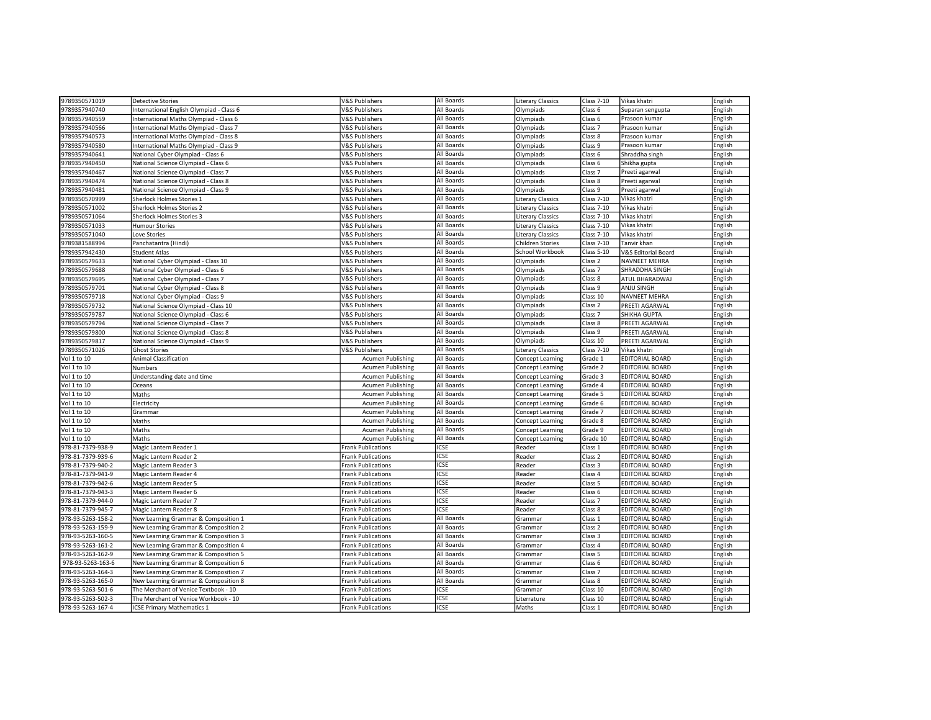| 9789350571019                  | <b>Detective Stories</b>                 | V&S Publishers            | All Boards  | <b>Literary Classics</b> | <b>Class 7-10</b>  | Vikas khatri           | English |
|--------------------------------|------------------------------------------|---------------------------|-------------|--------------------------|--------------------|------------------------|---------|
| 9789357940740                  |                                          | <b>V&amp;S Publishers</b> | All Boards  |                          |                    |                        |         |
|                                | International English Olympiad - Class 6 |                           |             | Olympiads                | Class 6            | Suparan sengupta       | English |
| 9789357940559                  | International Maths Olympiad - Class 6   | V&S Publishers            | All Boards  | Olympiads                | Class 6            | Prasoon kumar          | English |
| 9789357940566                  | International Maths Olympiad - Class 7   | <b>V&amp;S Publishers</b> | All Boards  | Olympiads                | Class <sub>7</sub> | Prasoon kumar          | English |
| 9789357940573                  | International Maths Olympiad - Class 8   | <b>V&amp;S Publishers</b> | All Boards  | Olympiads                | Class 8            | Prasoon kumar          | English |
| 9789357940580                  | International Maths Olympiad - Class 9   | V&S Publishers            | All Boards  | Olympiads                | Class 9            | Prasoon kumar          | English |
| 9789357940641                  | National Cyber Olympiad - Class 6        | V&S Publishers            | All Boards  | Olympiads                | Class 6            | Shraddha singh         | English |
| 9789357940450                  | National Science Olympiad - Class 6      | V&S Publishers            | All Boards  | Olympiads                | Class 6            | Shikha gupta           | English |
| 9789357940467                  | National Science Olympiad - Class 7      | V&S Publishers            | All Boards  | Olympiads                | Class <sub>7</sub> | Preeti agarwa          | English |
| 9789357940474                  | National Science Olympiad - Class 8      | <b>V&amp;S Publishers</b> | All Boards  | Olympiads                | Class 8            | Preeti agarwal         | English |
| 9789357940481                  | National Science Olympiad - Class 9      | <b>V&amp;S Publishers</b> | All Boards  | Olympiads                | Class 9            | Preeti agarwal         | English |
| 9789350570999                  | Sherlock Holmes Stories 1                | V&S Publishers            | All Boards  | <b>Literary Classics</b> | <b>Class 7-10</b>  | Vikas khatri           | English |
| 9789350571002                  | Sherlock Holmes Stories 2                | V&S Publishers            | All Boards  | <b>Literary Classics</b> | Class 7-10         | Vikas khatri           | English |
| 9789350571064                  | Sherlock Holmes Stories 3                | <b>V&amp;S Publishers</b> | All Boards  | Literary Classics        | <b>Class 7-10</b>  | Vikas khatri           | English |
| 9789350571033                  | <b>Humour Stories</b>                    | <b>V&amp;S Publishers</b> | All Boards  | <b>Literary Classics</b> | <b>Class 7-10</b>  | Vikas khatri           | English |
| 9789350571040                  | Love Stories                             | V&S Publishers            | All Boards  | <b>Literary Classics</b> | Class 7-10         | Vikas khatri           | English |
| 9789381588994                  | Panchatantra (Hindi)                     | <b>V&amp;S Publishers</b> | All Boards  | Children Stories         | <b>Class 7-10</b>  | Tanvir khan            | English |
| 9789357942430                  | <b>Student Atlas</b>                     | <b>V&amp;S Publishers</b> | All Boards  | School Workbook          | Class 5-10         | V&S Editorial Board    | English |
| 9789350579633                  | National Cyber Olympiad - Class 10       | <b>V&amp;S Publishers</b> | All Boards  | Olympiads                | Class <sub>2</sub> | <b>NAVNEET MEHRA</b>   | English |
| 9789350579688                  | National Cyber Olympiad - Class 6        | V&S Publishers            | All Boards  | Olympiads                | Class <sub>7</sub> | SHRADDHA SINGH         | English |
| 9789350579695                  | National Cyber Olympiad - Class 7        | <b>V&amp;S Publishers</b> | All Boards  | Olympiads                | Class 8            | ATUL BHARADWAJ         | English |
| 9789350579701                  | National Cyber Olympiad - Class 8        | V&S Publishers            | All Boards  | Olympiads                | Class 9            | ANJU SINGH             | English |
| 9789350579718                  | National Cyber Olympiad - Class 9        | V&S Publishers            | All Boards  | Olympiads                | Class 10           | NAVNEET MEHRA          | English |
| 9789350579732                  | National Science Olympiad - Class 10     | <b>V&amp;S Publishers</b> | All Boards  | Olympiads                | Class 2            | PREETI AGARWAL         | English |
| 9789350579787                  | National Science Olympiad - Class 6      | <b>V&amp;S Publishers</b> | All Boards  | Olympiads                | Class <sub>7</sub> | SHIKHA GUPTA           | English |
| 9789350579794                  | National Science Olympiad - Class 7      | <b>V&amp;S Publishers</b> | All Boards  | Olympiads                | Class 8            | PREETI AGARWAL         | English |
|                                |                                          |                           | All Boards  | Olympiads                | Class 9            |                        | English |
| 9789350579800<br>9789350579817 | National Science Olympiad - Class 8      | <b>V&amp;S Publishers</b> | All Boards  | Olympiads                | Class 10           | PREETI AGARWAL         |         |
|                                | National Science Olympiad - Class 9      | V&S Publishers            |             |                          |                    | PREETI AGARWAL         | English |
| 9789350571026                  | <b>Ghost Stories</b>                     | V&S Publishers            | All Boards  | <b>Literary Classics</b> | <b>Class 7-10</b>  | Vikas khatri           | English |
| Vol 1 to 10                    | <b>Animal Classification</b>             | <b>Acumen Publishing</b>  | All Boards  | Concept Learning         | Grade 1            | <b>EDITORIAL BOARD</b> | English |
| Vol 1 to 10                    | Numbers                                  | <b>Acumen Publishing</b>  | All Boards  | Concept Learning         | Grade 2            | <b>EDITORIAL BOARD</b> | English |
| Vol 1 to 10                    | Understanding date and time              | Acumen Publishing         | All Boards  | Concept Learning         | Grade 3            | <b>EDITORIAL BOARD</b> | English |
| Vol 1 to 10                    | Oceans                                   | <b>Acumen Publishing</b>  | All Boards  | Concept Learning         | Grade 4            | <b>EDITORIAL BOARD</b> | English |
| Vol 1 to 10                    | Maths                                    | <b>Acumen Publishing</b>  | All Boards  | Concept Learning         | Grade 5            | <b>EDITORIAL BOARD</b> | English |
| Vol 1 to 10                    | Electricity                              | <b>Acumen Publishing</b>  | All Boards  | Concept Learning         | Grade 6            | <b>EDITORIAL BOARD</b> | English |
| Vol 1 to 10                    | Grammar                                  | <b>Acumen Publishing</b>  | All Boards  | Concept Learning         | Grade 7            | <b>EDITORIAL BOARD</b> | English |
| Vol 1 to 10                    | Maths                                    | <b>Acumen Publishing</b>  | All Boards  | Concept Learning         | Grade 8            | <b>EDITORIAL BOARD</b> | English |
| Vol 1 to 10                    | Maths                                    | <b>Acumen Publishing</b>  | All Boards  | Concept Learning         | Grade 9            | <b>EDITORIAL BOARD</b> | English |
| Vol 1 to 10                    | Maths                                    | Acumen Publishing         | All Boards  | Concept Learning         | Grade 10           | <b>EDITORIAL BOARD</b> | English |
| 978-81-7379-938-9              | Magic Lantern Reader 1                   | <b>Frank Publications</b> | <b>ICSE</b> | Reader                   | Class 1            | <b>EDITORIAL BOARD</b> | English |
| 978-81-7379-939-6              | Magic Lantern Reader 2                   | <b>Frank Publications</b> | <b>ICSE</b> | Reader                   | Class <sub>2</sub> | <b>EDITORIAL BOARD</b> | English |
| 978-81-7379-940-2              | Magic Lantern Reader 3                   | <b>Frank Publications</b> | <b>ICSE</b> | Reader                   | Class 3            | <b>EDITORIAL BOARD</b> | English |
| 978-81-7379-941-9              | Magic Lantern Reader 4                   | Frank Publications        | <b>ICSE</b> | Reader                   | Class 4            | <b>EDITORIAL BOARD</b> | English |
| 978-81-7379-942-6              | Magic Lantern Reader 5                   | <b>Frank Publications</b> | <b>ICSE</b> | Reader                   | Class 5            | <b>EDITORIAL BOARD</b> | English |
| 978-81-7379-943-3              | Magic Lantern Reader 6                   | <b>Frank Publications</b> | <b>ICSE</b> | Reader                   | Class 6            | <b>EDITORIAL BOARD</b> | English |
| 978-81-7379-944-0              | Magic Lantern Reader 7                   | <b>Frank Publications</b> | <b>ICSE</b> | Reader                   | Class <sub>7</sub> | <b>EDITORIAL BOARD</b> | English |
| 978-81-7379-945-7              | Magic Lantern Reader 8                   | <b>Frank Publications</b> | <b>ICSE</b> | Reader                   | Class 8            | <b>EDITORIAL BOARD</b> | English |
| 978-93-5263-158-2              | New Learning Grammar & Composition 1     | <b>Frank Publications</b> | All Boards  | Grammar                  | Class 1            | <b>EDITORIAL BOARD</b> | English |
| 978-93-5263-159-9              | New Learning Grammar & Composition 2     | <b>Frank Publications</b> | All Boards  | Grammar                  | Class 2            | <b>EDITORIAL BOARD</b> | English |
| 978-93-5263-160-5              | New Learning Grammar & Composition 3     | Frank Publications        | All Boards  | Grammar                  | Class 3            | <b>EDITORIAL BOARD</b> | English |
| 978-93-5263-161-2              | New Learning Grammar & Composition 4     | <b>Frank Publications</b> | All Boards  | Grammar                  | Class 4            | <b>EDITORIAL BOARD</b> | English |
| 978-93-5263-162-9              | New Learning Grammar & Composition 5     | <b>Frank Publications</b> | All Boards  | Grammar                  | Class 5            | <b>EDITORIAL BOARD</b> | English |
| 978-93-5263-163-6              | New Learning Grammar & Composition 6     | <b>Frank Publications</b> | All Boards  | Grammar                  | Class 6            | <b>EDITORIAL BOARD</b> | English |
| 978-93-5263-164-3              | New Learning Grammar & Composition 7     | <b>Frank Publications</b> | All Boards  | Grammar                  | Class <sub>7</sub> | <b>EDITORIAL BOARD</b> | English |
| 978-93-5263-165-0              | New Learning Grammar & Composition 8     | <b>Frank Publications</b> | All Boards  | Grammar                  | Class 8            | <b>EDITORIAL BOARD</b> | English |
| 978-93-5263-501-6              | The Merchant of Venice Textbook - 10     | <b>Frank Publications</b> | <b>ICSE</b> | Grammar                  | Class 10           | <b>EDITORIAL BOARD</b> | English |
| 978-93-5263-502-3              | The Merchant of Venice Workbook - 10     | <b>Frank Publications</b> | <b>ICSE</b> | Literrature              | Class 10           | <b>EDITORIAL BOARD</b> | English |
| 978-93-5263-167-4              | <b>ICSE Primary Mathematics 1</b>        | <b>Frank Publications</b> | <b>ICSE</b> | Maths                    | Class 1            | <b>EDITORIAL BOARD</b> |         |
|                                |                                          |                           |             |                          |                    |                        | English |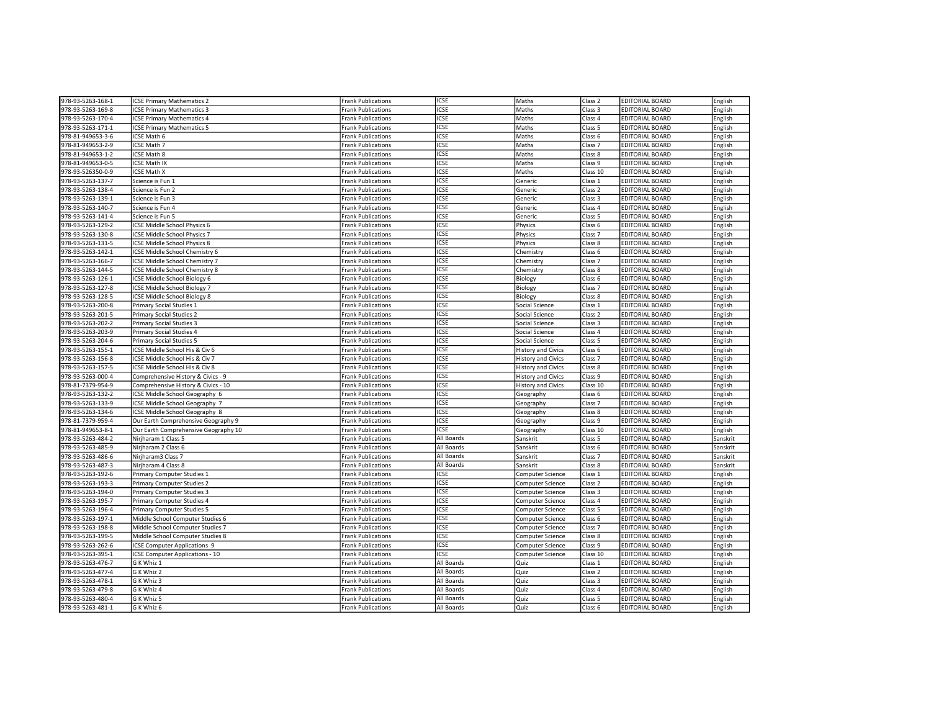| <b>ICSE</b><br>Class 3<br><b>EDITORIAL BOARD</b><br>978-93-5263-169-8<br><b>ICSE Primary Mathematics 3</b><br><b>Frank Publications</b><br>Maths<br>English<br>ICSE<br>978-93-5263-170-4<br>Class 4<br><b>ICSE Primary Mathematics 4</b><br><b>Frank Publications</b><br>Maths<br><b>EDITORIAL BOARD</b><br>English<br><b>ICSE</b><br>978-93-5263-171-1<br><b>ICSE Primary Mathematics 5</b><br>Class 5<br><b>EDITORIAL BOARD</b><br>English<br><b>Frank Publications</b><br>Maths<br><b>ICSE</b><br>978-81-949653-3-6<br>ICSE Math 6<br><b>Frank Publications</b><br>Maths<br>Class 6<br><b>EDITORIAL BOARD</b><br>English<br><b>ICSE</b><br>978-81-949653-2-9<br>ICSE Math 7<br><b>Frank Publications</b><br>Maths<br>Class <sub>7</sub><br><b>EDITORIAL BOARD</b><br>English<br>978-81-949653-1-2<br><b>ICSE</b><br>Class 8<br><b>EDITORIAL BOARD</b><br>ICSE Math 8<br>Maths<br>English<br>Frank Publications<br><b>ICSE</b><br>978-81-949653-0-5<br><b>ICSE Math IX</b><br>Maths<br>Class 9<br><b>EDITORIAL BOARD</b><br>English<br><b>Frank Publications</b><br><b>ICSE</b><br>Class 10<br>English<br>978-93-526350-0-9<br><b>ICSE Math X</b><br><b>Frank Publications</b><br>Maths<br><b>EDITORIAL BOARD</b><br><b>ICSE</b><br>978-93-5263-137-7<br>Science is Fun 1<br><b>Frank Publications</b><br>Generic<br>Class 1<br><b>EDITORIAL BOARD</b><br>English<br><b>ICSE</b><br>978-93-5263-138-4<br>Class <sub>2</sub><br><b>EDITORIAL BOARD</b><br>English<br>Science is Fun 2<br><b>Frank Publications</b><br>Generic<br><b>ICSE</b><br>Class 3<br><b>EDITORIAL BOARD</b><br>978-93-5263-139-1<br>Science is Fun 3<br><b>Frank Publications</b><br>Generic<br>English<br>ICSE<br>978-93-5263-140-7<br>Science is Fun 4<br><b>Frank Publications</b><br>Generic<br>Class 4<br><b>EDITORIAL BOARD</b><br>English<br>978-93-5263-141-4<br><b>ICSE</b><br>Class <sub>5</sub><br><b>EDITORIAL BOARD</b><br>Science is Fun 5<br>Generic<br>English<br>Frank Publications<br><b>ICSE</b><br>978-93-5263-129-2<br>ICSE Middle School Physics 6<br>Physics<br>Class 6<br><b>EDITORIAL BOARD</b><br>English<br><b>Frank Publications</b><br><b>ICSE</b><br>Class <sub>7</sub><br>English<br>978-93-5263-130-8<br>ICSE Middle School Physics 7<br><b>Frank Publications</b><br>Physics<br><b>EDITORIAL BOARD</b><br>ICSE<br>978-93-5263-131-5<br>ICSE Middle School Physics 8<br><b>Frank Publications</b><br>Physics<br>Class 8<br><b>EDITORIAL BOARD</b><br>English<br>ICSE<br>978-93-5263-142-1<br>Class <sub>6</sub><br><b>EDITORIAL BOARD</b><br>English<br>ICSE Middle School Chemistry 6<br><b>Frank Publications</b><br>Chemistry<br><b>ICSE</b><br>978-93-5263-166-7<br>ICSE Middle School Chemistry 7<br><b>Frank Publications</b><br>Chemistry<br>Class <sub>7</sub><br><b>EDITORIAL BOARD</b><br>English<br>ICSE<br>978-93-5263-144-5<br>ICSE Middle School Chemistry 8<br><b>Frank Publications</b><br>Chemistry<br>Class 8<br><b>EDITORIAL BOARD</b><br>English<br><b>ICSE</b><br>Class <sub>6</sub><br>978-93-5263-126-1<br>ICSE Middle School Biology 6<br><b>Frank Publications</b><br><b>EDITORIAL BOARD</b><br>English<br>Biology<br><b>ICSE</b><br>Class <sub>7</sub><br>978-93-5263-127-8<br><b>ICSE Middle School Biology 7</b><br><b>EDITORIAL BOARD</b><br>English<br><b>Frank Publications</b><br>Biology<br><b>ICSE</b><br>Class 8<br><b>EDITORIAL BOARD</b><br>English<br>978-93-5263-128-5<br>ICSE Middle School Biology 8<br><b>Frank Publications</b><br>Biology<br>ICSE<br>978-93-5263-200-8<br><b>Primary Social Studies 1</b><br><b>Frank Publications</b><br>Class 1<br><b>EDITORIAL BOARD</b><br>English<br>Social Science<br><b>ICSE</b><br>978-93-5263-201-5<br>Primary Social Studies 2<br>Class <sub>2</sub><br><b>EDITORIAL BOARD</b><br><b>Frank Publications</b><br>Social Science<br>English<br><b>ICSE</b><br>Class 3<br><b>EDITORIAL BOARD</b><br>978-93-5263-202-2<br><b>Primary Social Studies 3</b><br><b>Frank Publications</b><br>Social Science<br>English<br><b>ICSE</b><br>978-93-5263-203-9<br>Primary Social Studies 4<br><b>Frank Publications</b><br>Social Science<br>Class 4<br><b>EDITORIAL BOARD</b><br>English<br>ICSE<br>978-93-5263-204-6<br>Primary Social Studies 5<br>Social Science<br>Class 5<br><b>EDITORIAL BOARD</b><br>English<br><b>Frank Publications</b><br><b>ICSE</b><br>978-93-5263-155-1<br>ICSE Middle School His & Civ 6<br><b>History and Civics</b><br>Class 6<br><b>EDITORIAL BOARD</b><br>English<br><b>Frank Publications</b><br><b>ICSE</b><br><b>EDITORIAL BOARD</b><br>English<br>978-93-5263-156-8<br>ICSE Middle School His & Civ 7<br><b>Frank Publications</b><br><b>History and Civics</b><br>Class <sub>7</sub><br>ICSE<br>978-93-5263-157-5<br>ICSE Middle School His & Civ 8<br><b>Frank Publications</b><br><b>History and Civics</b><br>Class 8<br><b>EDITORIAL BOARD</b><br>English<br><b>ICSE</b><br>978-93-5263-000-4<br>Class 9<br><b>EDITORIAL BOARD</b><br>English<br>Comprehensive History & Civics - 9<br><b>Frank Publications</b><br><b>History and Civics</b><br><b>ICSE</b><br><b>EDITORIAL BOARD</b><br>978-81-7379-954-9<br>Comprehensive History & Civics - 10<br><b>Frank Publications</b><br><b>History and Civics</b><br>Class 10<br>English<br><b>ICSE</b><br>Class 6<br>978-93-5263-132-2<br>ICSE Middle School Geography 6<br><b>EDITORIAL BOARD</b><br>English<br><b>Frank Publications</b><br>Geography<br>ICSE<br>978-93-5263-133-9<br>ICSE Middle School Geography 7<br>Class <sub>7</sub><br><b>EDITORIAL BOARD</b><br>English<br>Frank Publications<br>Geography<br><b>ICSE</b><br>978-93-5263-134-6<br><b>Frank Publications</b><br>Class 8<br><b>EDITORIAL BOARD</b><br>English<br>ICSE Middle School Geography 8<br>Geography<br><b>ICSE</b><br>Class 9<br><b>EDITORIAL BOARD</b><br>978-81-7379-959-4<br>Our Earth Comprehensive Geography 9<br><b>Frank Publications</b><br>Geography<br>English<br><b>ICSE</b><br>978-81-949653-8-1<br>Our Earth Comprehensive Geography 10<br><b>Frank Publications</b><br>Class 10<br><b>EDITORIAL BOARD</b><br>English<br>Geography<br>978-93-5263-484-2<br>Nirjharam 1 Class 5<br>All Boards<br>Class 5<br><b>EDITORIAL BOARD</b><br>Sanskrit<br><b>Frank Publications</b><br>Sanskrit<br>Nirjharam 2 Class 6<br><b>EDITORIAL BOARD</b><br>Sanskrit<br>978-93-5263-485-9<br><b>Frank Publications</b><br>All Boards<br>Sanskrit<br>Class 6<br>All Boards<br>Class <sub>7</sub><br>978-93-5263-486-6<br>Nirjharam3 Class 7<br>Sanskrit<br><b>EDITORIAL BOARD</b><br>Sanskrit<br><b>Frank Publications</b><br>All Boards<br>978-93-5263-487-3<br>Nirjharam 4 Class 8<br>Sanskrit<br>Class 8<br><b>EDITORIAL BOARD</b><br>Sanskrit<br><b>Frank Publications</b><br>ICSE<br>978-93-5263-192-6<br>Primary Computer Studies 1<br><b>Frank Publications</b><br>Computer Science<br>Class 1<br><b>EDITORIAL BOARD</b><br>English<br>ICSE<br><b>EDITORIAL BOARD</b><br>978-93-5263-193-3<br>Primary Computer Studies 2<br><b>Frank Publications</b><br>Computer Science<br>Class <sub>2</sub><br>English<br><b>ICSE</b><br>978-93-5263-194-0<br><b>Primary Computer Studies 3</b><br><b>Frank Publications</b><br>Computer Science<br>Class 3<br><b>EDITORIAL BOARD</b><br>English<br><b>ICSE</b><br>978-93-5263-195-7<br>Class 4<br><b>EDITORIAL BOARD</b><br>English<br>Primary Computer Studies 4<br><b>Frank Publications</b><br>Computer Science<br><b>ICSE</b><br>978-93-5263-196-4<br><b>EDITORIAL BOARD</b><br>Primary Computer Studies 5<br>Computer Science<br>Class 5<br>English<br><b>Frank Publications</b><br><b>ICSE</b><br>978-93-5263-197-1<br>Class 6<br><b>EDITORIAL BOARD</b><br>English<br>Middle School Computer Studies 6<br><b>Frank Publications</b><br>Computer Science<br>ICSE<br>978-93-5263-198-8<br>Middle School Computer Studies 7<br>Class <sub>7</sub><br><b>EDITORIAL BOARD</b><br>English<br>Frank Publications<br>Computer Science<br>ICSE<br>978-93-5263-199-5<br>Middle School Computer Studies 8<br>Computer Science<br>Class 8<br><b>EDITORIAL BOARD</b><br>English<br><b>Frank Publications</b><br>ICSE<br>978-93-5263-262-6<br><b>ICSE Computer Applications 9</b><br><b>Frank Publications</b><br>Computer Science<br>Class 9<br><b>EDITORIAL BOARD</b><br>English<br><b>ICSE</b><br>978-93-5263-395-1<br><b>ICSE Computer Applications - 10</b><br><b>Frank Publications</b><br>Computer Science<br>Class 10<br><b>EDITORIAL BOARD</b><br>English<br>All Boards<br>978-93-5263-476-7<br>G K Whiz 1<br><b>Frank Publications</b><br>Quiz<br>Class 1<br><b>EDITORIAL BOARD</b><br>English<br>All Boards<br>978-93-5263-477-4<br>G K Whiz 2<br>Quiz<br>Class <sub>2</sub><br><b>EDITORIAL BOARD</b><br>English<br><b>Frank Publications</b><br>All Boards<br>978-93-5263-478-1<br>G K Whiz 3<br>Quiz<br>Class <sub>3</sub><br><b>EDITORIAL BOARD</b><br>English<br><b>Frank Publications</b><br>All Boards<br>978-93-5263-479-8<br>G K Whiz 4<br>Quiz<br>Class 4<br><b>EDITORIAL BOARD</b><br>English<br><b>Frank Publications</b> | 978-93-5263-168-1 | <b>ICSE Primary Mathematics 2</b> | <b>Frank Publications</b> | ICSE       | Maths | Class <sub>2</sub> | <b>EDITORIAL BOARD</b> | English |
|--------------------------------------------------------------------------------------------------------------------------------------------------------------------------------------------------------------------------------------------------------------------------------------------------------------------------------------------------------------------------------------------------------------------------------------------------------------------------------------------------------------------------------------------------------------------------------------------------------------------------------------------------------------------------------------------------------------------------------------------------------------------------------------------------------------------------------------------------------------------------------------------------------------------------------------------------------------------------------------------------------------------------------------------------------------------------------------------------------------------------------------------------------------------------------------------------------------------------------------------------------------------------------------------------------------------------------------------------------------------------------------------------------------------------------------------------------------------------------------------------------------------------------------------------------------------------------------------------------------------------------------------------------------------------------------------------------------------------------------------------------------------------------------------------------------------------------------------------------------------------------------------------------------------------------------------------------------------------------------------------------------------------------------------------------------------------------------------------------------------------------------------------------------------------------------------------------------------------------------------------------------------------------------------------------------------------------------------------------------------------------------------------------------------------------------------------------------------------------------------------------------------------------------------------------------------------------------------------------------------------------------------------------------------------------------------------------------------------------------------------------------------------------------------------------------------------------------------------------------------------------------------------------------------------------------------------------------------------------------------------------------------------------------------------------------------------------------------------------------------------------------------------------------------------------------------------------------------------------------------------------------------------------------------------------------------------------------------------------------------------------------------------------------------------------------------------------------------------------------------------------------------------------------------------------------------------------------------------------------------------------------------------------------------------------------------------------------------------------------------------------------------------------------------------------------------------------------------------------------------------------------------------------------------------------------------------------------------------------------------------------------------------------------------------------------------------------------------------------------------------------------------------------------------------------------------------------------------------------------------------------------------------------------------------------------------------------------------------------------------------------------------------------------------------------------------------------------------------------------------------------------------------------------------------------------------------------------------------------------------------------------------------------------------------------------------------------------------------------------------------------------------------------------------------------------------------------------------------------------------------------------------------------------------------------------------------------------------------------------------------------------------------------------------------------------------------------------------------------------------------------------------------------------------------------------------------------------------------------------------------------------------------------------------------------------------------------------------------------------------------------------------------------------------------------------------------------------------------------------------------------------------------------------------------------------------------------------------------------------------------------------------------------------------------------------------------------------------------------------------------------------------------------------------------------------------------------------------------------------------------------------------------------------------------------------------------------------------------------------------------------------------------------------------------------------------------------------------------------------------------------------------------------------------------------------------------------------------------------------------------------------------------------------------------------------------------------------------------------------------------------------------------------------------------------------------------------------------------------------------------------------------------------------------------------------------------------------------------------------------------------------------------------------------------------------------------------------------------------------------------------------------------------------------------------------------------------------------------------------------------------------------------------------------------------------------------------------------------------------------------------------------------------------------------------------------------------------------------------------------------------------------------------------------------------------------------------------------------------------------------------------------------------------------------------------------------------------------------------------------------------------------------------------------------------------------------------------------------------------------------------------------------------------------------------------------------------------------------------------------------------------------------------------------------------------------------------------------------------------------------------------------------------------------------------------------------------------------------------------------------------------------------------------------------------------------------------------------------------------------------------------------------------------------------------------------------------------------------------------------------------------------------------------------------------------------------------------------------------------------------------------------------------------------------------------------------------------------------------------------------------------------------------------------------------------------------------------------------------------------------------------------------------------------------------------------------------------------------------------------------------------------------------------------------------------------------------------------------------------------------------------------------------------------------------------------------------------------------------------------------------------------------------------------------------------------------------------------------------------------------------------------------------------------|-------------------|-----------------------------------|---------------------------|------------|-------|--------------------|------------------------|---------|
|                                                                                                                                                                                                                                                                                                                                                                                                                                                                                                                                                                                                                                                                                                                                                                                                                                                                                                                                                                                                                                                                                                                                                                                                                                                                                                                                                                                                                                                                                                                                                                                                                                                                                                                                                                                                                                                                                                                                                                                                                                                                                                                                                                                                                                                                                                                                                                                                                                                                                                                                                                                                                                                                                                                                                                                                                                                                                                                                                                                                                                                                                                                                                                                                                                                                                                                                                                                                                                                                                                                                                                                                                                                                                                                                                                                                                                                                                                                                                                                                                                                                                                                                                                                                                                                                                                                                                                                                                                                                                                                                                                                                                                                                                                                                                                                                                                                                                                                                                                                                                                                                                                                                                                                                                                                                                                                                                                                                                                                                                                                                                                                                                                                                                                                                                                                                                                                                                                                                                                                                                                                                                                                                                                                                                                                                                                                                                                                                                                                                                                                                                                                                                                                                                                                                                                                                                                                                                                                                                                                                                                                                                                                                                                                                                                                                                                                                                                                                                                                                                                                                                                                                                                                                                                                                                                                                                                                                                                                                                                                                                                                                                                                                                                                                                                                                                                                                                                                                                                                                                                                                                                                                                                                                                                                                                                                                                                                                                                                                                                                                                                            |                   |                                   |                           |            |       |                    |                        |         |
|                                                                                                                                                                                                                                                                                                                                                                                                                                                                                                                                                                                                                                                                                                                                                                                                                                                                                                                                                                                                                                                                                                                                                                                                                                                                                                                                                                                                                                                                                                                                                                                                                                                                                                                                                                                                                                                                                                                                                                                                                                                                                                                                                                                                                                                                                                                                                                                                                                                                                                                                                                                                                                                                                                                                                                                                                                                                                                                                                                                                                                                                                                                                                                                                                                                                                                                                                                                                                                                                                                                                                                                                                                                                                                                                                                                                                                                                                                                                                                                                                                                                                                                                                                                                                                                                                                                                                                                                                                                                                                                                                                                                                                                                                                                                                                                                                                                                                                                                                                                                                                                                                                                                                                                                                                                                                                                                                                                                                                                                                                                                                                                                                                                                                                                                                                                                                                                                                                                                                                                                                                                                                                                                                                                                                                                                                                                                                                                                                                                                                                                                                                                                                                                                                                                                                                                                                                                                                                                                                                                                                                                                                                                                                                                                                                                                                                                                                                                                                                                                                                                                                                                                                                                                                                                                                                                                                                                                                                                                                                                                                                                                                                                                                                                                                                                                                                                                                                                                                                                                                                                                                                                                                                                                                                                                                                                                                                                                                                                                                                                                                                            |                   |                                   |                           |            |       |                    |                        |         |
|                                                                                                                                                                                                                                                                                                                                                                                                                                                                                                                                                                                                                                                                                                                                                                                                                                                                                                                                                                                                                                                                                                                                                                                                                                                                                                                                                                                                                                                                                                                                                                                                                                                                                                                                                                                                                                                                                                                                                                                                                                                                                                                                                                                                                                                                                                                                                                                                                                                                                                                                                                                                                                                                                                                                                                                                                                                                                                                                                                                                                                                                                                                                                                                                                                                                                                                                                                                                                                                                                                                                                                                                                                                                                                                                                                                                                                                                                                                                                                                                                                                                                                                                                                                                                                                                                                                                                                                                                                                                                                                                                                                                                                                                                                                                                                                                                                                                                                                                                                                                                                                                                                                                                                                                                                                                                                                                                                                                                                                                                                                                                                                                                                                                                                                                                                                                                                                                                                                                                                                                                                                                                                                                                                                                                                                                                                                                                                                                                                                                                                                                                                                                                                                                                                                                                                                                                                                                                                                                                                                                                                                                                                                                                                                                                                                                                                                                                                                                                                                                                                                                                                                                                                                                                                                                                                                                                                                                                                                                                                                                                                                                                                                                                                                                                                                                                                                                                                                                                                                                                                                                                                                                                                                                                                                                                                                                                                                                                                                                                                                                                                            |                   |                                   |                           |            |       |                    |                        |         |
|                                                                                                                                                                                                                                                                                                                                                                                                                                                                                                                                                                                                                                                                                                                                                                                                                                                                                                                                                                                                                                                                                                                                                                                                                                                                                                                                                                                                                                                                                                                                                                                                                                                                                                                                                                                                                                                                                                                                                                                                                                                                                                                                                                                                                                                                                                                                                                                                                                                                                                                                                                                                                                                                                                                                                                                                                                                                                                                                                                                                                                                                                                                                                                                                                                                                                                                                                                                                                                                                                                                                                                                                                                                                                                                                                                                                                                                                                                                                                                                                                                                                                                                                                                                                                                                                                                                                                                                                                                                                                                                                                                                                                                                                                                                                                                                                                                                                                                                                                                                                                                                                                                                                                                                                                                                                                                                                                                                                                                                                                                                                                                                                                                                                                                                                                                                                                                                                                                                                                                                                                                                                                                                                                                                                                                                                                                                                                                                                                                                                                                                                                                                                                                                                                                                                                                                                                                                                                                                                                                                                                                                                                                                                                                                                                                                                                                                                                                                                                                                                                                                                                                                                                                                                                                                                                                                                                                                                                                                                                                                                                                                                                                                                                                                                                                                                                                                                                                                                                                                                                                                                                                                                                                                                                                                                                                                                                                                                                                                                                                                                                                            |                   |                                   |                           |            |       |                    |                        |         |
|                                                                                                                                                                                                                                                                                                                                                                                                                                                                                                                                                                                                                                                                                                                                                                                                                                                                                                                                                                                                                                                                                                                                                                                                                                                                                                                                                                                                                                                                                                                                                                                                                                                                                                                                                                                                                                                                                                                                                                                                                                                                                                                                                                                                                                                                                                                                                                                                                                                                                                                                                                                                                                                                                                                                                                                                                                                                                                                                                                                                                                                                                                                                                                                                                                                                                                                                                                                                                                                                                                                                                                                                                                                                                                                                                                                                                                                                                                                                                                                                                                                                                                                                                                                                                                                                                                                                                                                                                                                                                                                                                                                                                                                                                                                                                                                                                                                                                                                                                                                                                                                                                                                                                                                                                                                                                                                                                                                                                                                                                                                                                                                                                                                                                                                                                                                                                                                                                                                                                                                                                                                                                                                                                                                                                                                                                                                                                                                                                                                                                                                                                                                                                                                                                                                                                                                                                                                                                                                                                                                                                                                                                                                                                                                                                                                                                                                                                                                                                                                                                                                                                                                                                                                                                                                                                                                                                                                                                                                                                                                                                                                                                                                                                                                                                                                                                                                                                                                                                                                                                                                                                                                                                                                                                                                                                                                                                                                                                                                                                                                                                                            |                   |                                   |                           |            |       |                    |                        |         |
|                                                                                                                                                                                                                                                                                                                                                                                                                                                                                                                                                                                                                                                                                                                                                                                                                                                                                                                                                                                                                                                                                                                                                                                                                                                                                                                                                                                                                                                                                                                                                                                                                                                                                                                                                                                                                                                                                                                                                                                                                                                                                                                                                                                                                                                                                                                                                                                                                                                                                                                                                                                                                                                                                                                                                                                                                                                                                                                                                                                                                                                                                                                                                                                                                                                                                                                                                                                                                                                                                                                                                                                                                                                                                                                                                                                                                                                                                                                                                                                                                                                                                                                                                                                                                                                                                                                                                                                                                                                                                                                                                                                                                                                                                                                                                                                                                                                                                                                                                                                                                                                                                                                                                                                                                                                                                                                                                                                                                                                                                                                                                                                                                                                                                                                                                                                                                                                                                                                                                                                                                                                                                                                                                                                                                                                                                                                                                                                                                                                                                                                                                                                                                                                                                                                                                                                                                                                                                                                                                                                                                                                                                                                                                                                                                                                                                                                                                                                                                                                                                                                                                                                                                                                                                                                                                                                                                                                                                                                                                                                                                                                                                                                                                                                                                                                                                                                                                                                                                                                                                                                                                                                                                                                                                                                                                                                                                                                                                                                                                                                                                                            |                   |                                   |                           |            |       |                    |                        |         |
|                                                                                                                                                                                                                                                                                                                                                                                                                                                                                                                                                                                                                                                                                                                                                                                                                                                                                                                                                                                                                                                                                                                                                                                                                                                                                                                                                                                                                                                                                                                                                                                                                                                                                                                                                                                                                                                                                                                                                                                                                                                                                                                                                                                                                                                                                                                                                                                                                                                                                                                                                                                                                                                                                                                                                                                                                                                                                                                                                                                                                                                                                                                                                                                                                                                                                                                                                                                                                                                                                                                                                                                                                                                                                                                                                                                                                                                                                                                                                                                                                                                                                                                                                                                                                                                                                                                                                                                                                                                                                                                                                                                                                                                                                                                                                                                                                                                                                                                                                                                                                                                                                                                                                                                                                                                                                                                                                                                                                                                                                                                                                                                                                                                                                                                                                                                                                                                                                                                                                                                                                                                                                                                                                                                                                                                                                                                                                                                                                                                                                                                                                                                                                                                                                                                                                                                                                                                                                                                                                                                                                                                                                                                                                                                                                                                                                                                                                                                                                                                                                                                                                                                                                                                                                                                                                                                                                                                                                                                                                                                                                                                                                                                                                                                                                                                                                                                                                                                                                                                                                                                                                                                                                                                                                                                                                                                                                                                                                                                                                                                                                                            |                   |                                   |                           |            |       |                    |                        |         |
|                                                                                                                                                                                                                                                                                                                                                                                                                                                                                                                                                                                                                                                                                                                                                                                                                                                                                                                                                                                                                                                                                                                                                                                                                                                                                                                                                                                                                                                                                                                                                                                                                                                                                                                                                                                                                                                                                                                                                                                                                                                                                                                                                                                                                                                                                                                                                                                                                                                                                                                                                                                                                                                                                                                                                                                                                                                                                                                                                                                                                                                                                                                                                                                                                                                                                                                                                                                                                                                                                                                                                                                                                                                                                                                                                                                                                                                                                                                                                                                                                                                                                                                                                                                                                                                                                                                                                                                                                                                                                                                                                                                                                                                                                                                                                                                                                                                                                                                                                                                                                                                                                                                                                                                                                                                                                                                                                                                                                                                                                                                                                                                                                                                                                                                                                                                                                                                                                                                                                                                                                                                                                                                                                                                                                                                                                                                                                                                                                                                                                                                                                                                                                                                                                                                                                                                                                                                                                                                                                                                                                                                                                                                                                                                                                                                                                                                                                                                                                                                                                                                                                                                                                                                                                                                                                                                                                                                                                                                                                                                                                                                                                                                                                                                                                                                                                                                                                                                                                                                                                                                                                                                                                                                                                                                                                                                                                                                                                                                                                                                                                                            |                   |                                   |                           |            |       |                    |                        |         |
|                                                                                                                                                                                                                                                                                                                                                                                                                                                                                                                                                                                                                                                                                                                                                                                                                                                                                                                                                                                                                                                                                                                                                                                                                                                                                                                                                                                                                                                                                                                                                                                                                                                                                                                                                                                                                                                                                                                                                                                                                                                                                                                                                                                                                                                                                                                                                                                                                                                                                                                                                                                                                                                                                                                                                                                                                                                                                                                                                                                                                                                                                                                                                                                                                                                                                                                                                                                                                                                                                                                                                                                                                                                                                                                                                                                                                                                                                                                                                                                                                                                                                                                                                                                                                                                                                                                                                                                                                                                                                                                                                                                                                                                                                                                                                                                                                                                                                                                                                                                                                                                                                                                                                                                                                                                                                                                                                                                                                                                                                                                                                                                                                                                                                                                                                                                                                                                                                                                                                                                                                                                                                                                                                                                                                                                                                                                                                                                                                                                                                                                                                                                                                                                                                                                                                                                                                                                                                                                                                                                                                                                                                                                                                                                                                                                                                                                                                                                                                                                                                                                                                                                                                                                                                                                                                                                                                                                                                                                                                                                                                                                                                                                                                                                                                                                                                                                                                                                                                                                                                                                                                                                                                                                                                                                                                                                                                                                                                                                                                                                                                                            |                   |                                   |                           |            |       |                    |                        |         |
|                                                                                                                                                                                                                                                                                                                                                                                                                                                                                                                                                                                                                                                                                                                                                                                                                                                                                                                                                                                                                                                                                                                                                                                                                                                                                                                                                                                                                                                                                                                                                                                                                                                                                                                                                                                                                                                                                                                                                                                                                                                                                                                                                                                                                                                                                                                                                                                                                                                                                                                                                                                                                                                                                                                                                                                                                                                                                                                                                                                                                                                                                                                                                                                                                                                                                                                                                                                                                                                                                                                                                                                                                                                                                                                                                                                                                                                                                                                                                                                                                                                                                                                                                                                                                                                                                                                                                                                                                                                                                                                                                                                                                                                                                                                                                                                                                                                                                                                                                                                                                                                                                                                                                                                                                                                                                                                                                                                                                                                                                                                                                                                                                                                                                                                                                                                                                                                                                                                                                                                                                                                                                                                                                                                                                                                                                                                                                                                                                                                                                                                                                                                                                                                                                                                                                                                                                                                                                                                                                                                                                                                                                                                                                                                                                                                                                                                                                                                                                                                                                                                                                                                                                                                                                                                                                                                                                                                                                                                                                                                                                                                                                                                                                                                                                                                                                                                                                                                                                                                                                                                                                                                                                                                                                                                                                                                                                                                                                                                                                                                                                                            |                   |                                   |                           |            |       |                    |                        |         |
|                                                                                                                                                                                                                                                                                                                                                                                                                                                                                                                                                                                                                                                                                                                                                                                                                                                                                                                                                                                                                                                                                                                                                                                                                                                                                                                                                                                                                                                                                                                                                                                                                                                                                                                                                                                                                                                                                                                                                                                                                                                                                                                                                                                                                                                                                                                                                                                                                                                                                                                                                                                                                                                                                                                                                                                                                                                                                                                                                                                                                                                                                                                                                                                                                                                                                                                                                                                                                                                                                                                                                                                                                                                                                                                                                                                                                                                                                                                                                                                                                                                                                                                                                                                                                                                                                                                                                                                                                                                                                                                                                                                                                                                                                                                                                                                                                                                                                                                                                                                                                                                                                                                                                                                                                                                                                                                                                                                                                                                                                                                                                                                                                                                                                                                                                                                                                                                                                                                                                                                                                                                                                                                                                                                                                                                                                                                                                                                                                                                                                                                                                                                                                                                                                                                                                                                                                                                                                                                                                                                                                                                                                                                                                                                                                                                                                                                                                                                                                                                                                                                                                                                                                                                                                                                                                                                                                                                                                                                                                                                                                                                                                                                                                                                                                                                                                                                                                                                                                                                                                                                                                                                                                                                                                                                                                                                                                                                                                                                                                                                                                                            |                   |                                   |                           |            |       |                    |                        |         |
|                                                                                                                                                                                                                                                                                                                                                                                                                                                                                                                                                                                                                                                                                                                                                                                                                                                                                                                                                                                                                                                                                                                                                                                                                                                                                                                                                                                                                                                                                                                                                                                                                                                                                                                                                                                                                                                                                                                                                                                                                                                                                                                                                                                                                                                                                                                                                                                                                                                                                                                                                                                                                                                                                                                                                                                                                                                                                                                                                                                                                                                                                                                                                                                                                                                                                                                                                                                                                                                                                                                                                                                                                                                                                                                                                                                                                                                                                                                                                                                                                                                                                                                                                                                                                                                                                                                                                                                                                                                                                                                                                                                                                                                                                                                                                                                                                                                                                                                                                                                                                                                                                                                                                                                                                                                                                                                                                                                                                                                                                                                                                                                                                                                                                                                                                                                                                                                                                                                                                                                                                                                                                                                                                                                                                                                                                                                                                                                                                                                                                                                                                                                                                                                                                                                                                                                                                                                                                                                                                                                                                                                                                                                                                                                                                                                                                                                                                                                                                                                                                                                                                                                                                                                                                                                                                                                                                                                                                                                                                                                                                                                                                                                                                                                                                                                                                                                                                                                                                                                                                                                                                                                                                                                                                                                                                                                                                                                                                                                                                                                                                                            |                   |                                   |                           |            |       |                    |                        |         |
|                                                                                                                                                                                                                                                                                                                                                                                                                                                                                                                                                                                                                                                                                                                                                                                                                                                                                                                                                                                                                                                                                                                                                                                                                                                                                                                                                                                                                                                                                                                                                                                                                                                                                                                                                                                                                                                                                                                                                                                                                                                                                                                                                                                                                                                                                                                                                                                                                                                                                                                                                                                                                                                                                                                                                                                                                                                                                                                                                                                                                                                                                                                                                                                                                                                                                                                                                                                                                                                                                                                                                                                                                                                                                                                                                                                                                                                                                                                                                                                                                                                                                                                                                                                                                                                                                                                                                                                                                                                                                                                                                                                                                                                                                                                                                                                                                                                                                                                                                                                                                                                                                                                                                                                                                                                                                                                                                                                                                                                                                                                                                                                                                                                                                                                                                                                                                                                                                                                                                                                                                                                                                                                                                                                                                                                                                                                                                                                                                                                                                                                                                                                                                                                                                                                                                                                                                                                                                                                                                                                                                                                                                                                                                                                                                                                                                                                                                                                                                                                                                                                                                                                                                                                                                                                                                                                                                                                                                                                                                                                                                                                                                                                                                                                                                                                                                                                                                                                                                                                                                                                                                                                                                                                                                                                                                                                                                                                                                                                                                                                                                                            |                   |                                   |                           |            |       |                    |                        |         |
|                                                                                                                                                                                                                                                                                                                                                                                                                                                                                                                                                                                                                                                                                                                                                                                                                                                                                                                                                                                                                                                                                                                                                                                                                                                                                                                                                                                                                                                                                                                                                                                                                                                                                                                                                                                                                                                                                                                                                                                                                                                                                                                                                                                                                                                                                                                                                                                                                                                                                                                                                                                                                                                                                                                                                                                                                                                                                                                                                                                                                                                                                                                                                                                                                                                                                                                                                                                                                                                                                                                                                                                                                                                                                                                                                                                                                                                                                                                                                                                                                                                                                                                                                                                                                                                                                                                                                                                                                                                                                                                                                                                                                                                                                                                                                                                                                                                                                                                                                                                                                                                                                                                                                                                                                                                                                                                                                                                                                                                                                                                                                                                                                                                                                                                                                                                                                                                                                                                                                                                                                                                                                                                                                                                                                                                                                                                                                                                                                                                                                                                                                                                                                                                                                                                                                                                                                                                                                                                                                                                                                                                                                                                                                                                                                                                                                                                                                                                                                                                                                                                                                                                                                                                                                                                                                                                                                                                                                                                                                                                                                                                                                                                                                                                                                                                                                                                                                                                                                                                                                                                                                                                                                                                                                                                                                                                                                                                                                                                                                                                                                                            |                   |                                   |                           |            |       |                    |                        |         |
|                                                                                                                                                                                                                                                                                                                                                                                                                                                                                                                                                                                                                                                                                                                                                                                                                                                                                                                                                                                                                                                                                                                                                                                                                                                                                                                                                                                                                                                                                                                                                                                                                                                                                                                                                                                                                                                                                                                                                                                                                                                                                                                                                                                                                                                                                                                                                                                                                                                                                                                                                                                                                                                                                                                                                                                                                                                                                                                                                                                                                                                                                                                                                                                                                                                                                                                                                                                                                                                                                                                                                                                                                                                                                                                                                                                                                                                                                                                                                                                                                                                                                                                                                                                                                                                                                                                                                                                                                                                                                                                                                                                                                                                                                                                                                                                                                                                                                                                                                                                                                                                                                                                                                                                                                                                                                                                                                                                                                                                                                                                                                                                                                                                                                                                                                                                                                                                                                                                                                                                                                                                                                                                                                                                                                                                                                                                                                                                                                                                                                                                                                                                                                                                                                                                                                                                                                                                                                                                                                                                                                                                                                                                                                                                                                                                                                                                                                                                                                                                                                                                                                                                                                                                                                                                                                                                                                                                                                                                                                                                                                                                                                                                                                                                                                                                                                                                                                                                                                                                                                                                                                                                                                                                                                                                                                                                                                                                                                                                                                                                                                                            |                   |                                   |                           |            |       |                    |                        |         |
|                                                                                                                                                                                                                                                                                                                                                                                                                                                                                                                                                                                                                                                                                                                                                                                                                                                                                                                                                                                                                                                                                                                                                                                                                                                                                                                                                                                                                                                                                                                                                                                                                                                                                                                                                                                                                                                                                                                                                                                                                                                                                                                                                                                                                                                                                                                                                                                                                                                                                                                                                                                                                                                                                                                                                                                                                                                                                                                                                                                                                                                                                                                                                                                                                                                                                                                                                                                                                                                                                                                                                                                                                                                                                                                                                                                                                                                                                                                                                                                                                                                                                                                                                                                                                                                                                                                                                                                                                                                                                                                                                                                                                                                                                                                                                                                                                                                                                                                                                                                                                                                                                                                                                                                                                                                                                                                                                                                                                                                                                                                                                                                                                                                                                                                                                                                                                                                                                                                                                                                                                                                                                                                                                                                                                                                                                                                                                                                                                                                                                                                                                                                                                                                                                                                                                                                                                                                                                                                                                                                                                                                                                                                                                                                                                                                                                                                                                                                                                                                                                                                                                                                                                                                                                                                                                                                                                                                                                                                                                                                                                                                                                                                                                                                                                                                                                                                                                                                                                                                                                                                                                                                                                                                                                                                                                                                                                                                                                                                                                                                                                                            |                   |                                   |                           |            |       |                    |                        |         |
|                                                                                                                                                                                                                                                                                                                                                                                                                                                                                                                                                                                                                                                                                                                                                                                                                                                                                                                                                                                                                                                                                                                                                                                                                                                                                                                                                                                                                                                                                                                                                                                                                                                                                                                                                                                                                                                                                                                                                                                                                                                                                                                                                                                                                                                                                                                                                                                                                                                                                                                                                                                                                                                                                                                                                                                                                                                                                                                                                                                                                                                                                                                                                                                                                                                                                                                                                                                                                                                                                                                                                                                                                                                                                                                                                                                                                                                                                                                                                                                                                                                                                                                                                                                                                                                                                                                                                                                                                                                                                                                                                                                                                                                                                                                                                                                                                                                                                                                                                                                                                                                                                                                                                                                                                                                                                                                                                                                                                                                                                                                                                                                                                                                                                                                                                                                                                                                                                                                                                                                                                                                                                                                                                                                                                                                                                                                                                                                                                                                                                                                                                                                                                                                                                                                                                                                                                                                                                                                                                                                                                                                                                                                                                                                                                                                                                                                                                                                                                                                                                                                                                                                                                                                                                                                                                                                                                                                                                                                                                                                                                                                                                                                                                                                                                                                                                                                                                                                                                                                                                                                                                                                                                                                                                                                                                                                                                                                                                                                                                                                                                                            |                   |                                   |                           |            |       |                    |                        |         |
|                                                                                                                                                                                                                                                                                                                                                                                                                                                                                                                                                                                                                                                                                                                                                                                                                                                                                                                                                                                                                                                                                                                                                                                                                                                                                                                                                                                                                                                                                                                                                                                                                                                                                                                                                                                                                                                                                                                                                                                                                                                                                                                                                                                                                                                                                                                                                                                                                                                                                                                                                                                                                                                                                                                                                                                                                                                                                                                                                                                                                                                                                                                                                                                                                                                                                                                                                                                                                                                                                                                                                                                                                                                                                                                                                                                                                                                                                                                                                                                                                                                                                                                                                                                                                                                                                                                                                                                                                                                                                                                                                                                                                                                                                                                                                                                                                                                                                                                                                                                                                                                                                                                                                                                                                                                                                                                                                                                                                                                                                                                                                                                                                                                                                                                                                                                                                                                                                                                                                                                                                                                                                                                                                                                                                                                                                                                                                                                                                                                                                                                                                                                                                                                                                                                                                                                                                                                                                                                                                                                                                                                                                                                                                                                                                                                                                                                                                                                                                                                                                                                                                                                                                                                                                                                                                                                                                                                                                                                                                                                                                                                                                                                                                                                                                                                                                                                                                                                                                                                                                                                                                                                                                                                                                                                                                                                                                                                                                                                                                                                                                                            |                   |                                   |                           |            |       |                    |                        |         |
|                                                                                                                                                                                                                                                                                                                                                                                                                                                                                                                                                                                                                                                                                                                                                                                                                                                                                                                                                                                                                                                                                                                                                                                                                                                                                                                                                                                                                                                                                                                                                                                                                                                                                                                                                                                                                                                                                                                                                                                                                                                                                                                                                                                                                                                                                                                                                                                                                                                                                                                                                                                                                                                                                                                                                                                                                                                                                                                                                                                                                                                                                                                                                                                                                                                                                                                                                                                                                                                                                                                                                                                                                                                                                                                                                                                                                                                                                                                                                                                                                                                                                                                                                                                                                                                                                                                                                                                                                                                                                                                                                                                                                                                                                                                                                                                                                                                                                                                                                                                                                                                                                                                                                                                                                                                                                                                                                                                                                                                                                                                                                                                                                                                                                                                                                                                                                                                                                                                                                                                                                                                                                                                                                                                                                                                                                                                                                                                                                                                                                                                                                                                                                                                                                                                                                                                                                                                                                                                                                                                                                                                                                                                                                                                                                                                                                                                                                                                                                                                                                                                                                                                                                                                                                                                                                                                                                                                                                                                                                                                                                                                                                                                                                                                                                                                                                                                                                                                                                                                                                                                                                                                                                                                                                                                                                                                                                                                                                                                                                                                                                                            |                   |                                   |                           |            |       |                    |                        |         |
|                                                                                                                                                                                                                                                                                                                                                                                                                                                                                                                                                                                                                                                                                                                                                                                                                                                                                                                                                                                                                                                                                                                                                                                                                                                                                                                                                                                                                                                                                                                                                                                                                                                                                                                                                                                                                                                                                                                                                                                                                                                                                                                                                                                                                                                                                                                                                                                                                                                                                                                                                                                                                                                                                                                                                                                                                                                                                                                                                                                                                                                                                                                                                                                                                                                                                                                                                                                                                                                                                                                                                                                                                                                                                                                                                                                                                                                                                                                                                                                                                                                                                                                                                                                                                                                                                                                                                                                                                                                                                                                                                                                                                                                                                                                                                                                                                                                                                                                                                                                                                                                                                                                                                                                                                                                                                                                                                                                                                                                                                                                                                                                                                                                                                                                                                                                                                                                                                                                                                                                                                                                                                                                                                                                                                                                                                                                                                                                                                                                                                                                                                                                                                                                                                                                                                                                                                                                                                                                                                                                                                                                                                                                                                                                                                                                                                                                                                                                                                                                                                                                                                                                                                                                                                                                                                                                                                                                                                                                                                                                                                                                                                                                                                                                                                                                                                                                                                                                                                                                                                                                                                                                                                                                                                                                                                                                                                                                                                                                                                                                                                                            |                   |                                   |                           |            |       |                    |                        |         |
|                                                                                                                                                                                                                                                                                                                                                                                                                                                                                                                                                                                                                                                                                                                                                                                                                                                                                                                                                                                                                                                                                                                                                                                                                                                                                                                                                                                                                                                                                                                                                                                                                                                                                                                                                                                                                                                                                                                                                                                                                                                                                                                                                                                                                                                                                                                                                                                                                                                                                                                                                                                                                                                                                                                                                                                                                                                                                                                                                                                                                                                                                                                                                                                                                                                                                                                                                                                                                                                                                                                                                                                                                                                                                                                                                                                                                                                                                                                                                                                                                                                                                                                                                                                                                                                                                                                                                                                                                                                                                                                                                                                                                                                                                                                                                                                                                                                                                                                                                                                                                                                                                                                                                                                                                                                                                                                                                                                                                                                                                                                                                                                                                                                                                                                                                                                                                                                                                                                                                                                                                                                                                                                                                                                                                                                                                                                                                                                                                                                                                                                                                                                                                                                                                                                                                                                                                                                                                                                                                                                                                                                                                                                                                                                                                                                                                                                                                                                                                                                                                                                                                                                                                                                                                                                                                                                                                                                                                                                                                                                                                                                                                                                                                                                                                                                                                                                                                                                                                                                                                                                                                                                                                                                                                                                                                                                                                                                                                                                                                                                                                                            |                   |                                   |                           |            |       |                    |                        |         |
|                                                                                                                                                                                                                                                                                                                                                                                                                                                                                                                                                                                                                                                                                                                                                                                                                                                                                                                                                                                                                                                                                                                                                                                                                                                                                                                                                                                                                                                                                                                                                                                                                                                                                                                                                                                                                                                                                                                                                                                                                                                                                                                                                                                                                                                                                                                                                                                                                                                                                                                                                                                                                                                                                                                                                                                                                                                                                                                                                                                                                                                                                                                                                                                                                                                                                                                                                                                                                                                                                                                                                                                                                                                                                                                                                                                                                                                                                                                                                                                                                                                                                                                                                                                                                                                                                                                                                                                                                                                                                                                                                                                                                                                                                                                                                                                                                                                                                                                                                                                                                                                                                                                                                                                                                                                                                                                                                                                                                                                                                                                                                                                                                                                                                                                                                                                                                                                                                                                                                                                                                                                                                                                                                                                                                                                                                                                                                                                                                                                                                                                                                                                                                                                                                                                                                                                                                                                                                                                                                                                                                                                                                                                                                                                                                                                                                                                                                                                                                                                                                                                                                                                                                                                                                                                                                                                                                                                                                                                                                                                                                                                                                                                                                                                                                                                                                                                                                                                                                                                                                                                                                                                                                                                                                                                                                                                                                                                                                                                                                                                                                                            |                   |                                   |                           |            |       |                    |                        |         |
|                                                                                                                                                                                                                                                                                                                                                                                                                                                                                                                                                                                                                                                                                                                                                                                                                                                                                                                                                                                                                                                                                                                                                                                                                                                                                                                                                                                                                                                                                                                                                                                                                                                                                                                                                                                                                                                                                                                                                                                                                                                                                                                                                                                                                                                                                                                                                                                                                                                                                                                                                                                                                                                                                                                                                                                                                                                                                                                                                                                                                                                                                                                                                                                                                                                                                                                                                                                                                                                                                                                                                                                                                                                                                                                                                                                                                                                                                                                                                                                                                                                                                                                                                                                                                                                                                                                                                                                                                                                                                                                                                                                                                                                                                                                                                                                                                                                                                                                                                                                                                                                                                                                                                                                                                                                                                                                                                                                                                                                                                                                                                                                                                                                                                                                                                                                                                                                                                                                                                                                                                                                                                                                                                                                                                                                                                                                                                                                                                                                                                                                                                                                                                                                                                                                                                                                                                                                                                                                                                                                                                                                                                                                                                                                                                                                                                                                                                                                                                                                                                                                                                                                                                                                                                                                                                                                                                                                                                                                                                                                                                                                                                                                                                                                                                                                                                                                                                                                                                                                                                                                                                                                                                                                                                                                                                                                                                                                                                                                                                                                                                                            |                   |                                   |                           |            |       |                    |                        |         |
|                                                                                                                                                                                                                                                                                                                                                                                                                                                                                                                                                                                                                                                                                                                                                                                                                                                                                                                                                                                                                                                                                                                                                                                                                                                                                                                                                                                                                                                                                                                                                                                                                                                                                                                                                                                                                                                                                                                                                                                                                                                                                                                                                                                                                                                                                                                                                                                                                                                                                                                                                                                                                                                                                                                                                                                                                                                                                                                                                                                                                                                                                                                                                                                                                                                                                                                                                                                                                                                                                                                                                                                                                                                                                                                                                                                                                                                                                                                                                                                                                                                                                                                                                                                                                                                                                                                                                                                                                                                                                                                                                                                                                                                                                                                                                                                                                                                                                                                                                                                                                                                                                                                                                                                                                                                                                                                                                                                                                                                                                                                                                                                                                                                                                                                                                                                                                                                                                                                                                                                                                                                                                                                                                                                                                                                                                                                                                                                                                                                                                                                                                                                                                                                                                                                                                                                                                                                                                                                                                                                                                                                                                                                                                                                                                                                                                                                                                                                                                                                                                                                                                                                                                                                                                                                                                                                                                                                                                                                                                                                                                                                                                                                                                                                                                                                                                                                                                                                                                                                                                                                                                                                                                                                                                                                                                                                                                                                                                                                                                                                                                                            |                   |                                   |                           |            |       |                    |                        |         |
|                                                                                                                                                                                                                                                                                                                                                                                                                                                                                                                                                                                                                                                                                                                                                                                                                                                                                                                                                                                                                                                                                                                                                                                                                                                                                                                                                                                                                                                                                                                                                                                                                                                                                                                                                                                                                                                                                                                                                                                                                                                                                                                                                                                                                                                                                                                                                                                                                                                                                                                                                                                                                                                                                                                                                                                                                                                                                                                                                                                                                                                                                                                                                                                                                                                                                                                                                                                                                                                                                                                                                                                                                                                                                                                                                                                                                                                                                                                                                                                                                                                                                                                                                                                                                                                                                                                                                                                                                                                                                                                                                                                                                                                                                                                                                                                                                                                                                                                                                                                                                                                                                                                                                                                                                                                                                                                                                                                                                                                                                                                                                                                                                                                                                                                                                                                                                                                                                                                                                                                                                                                                                                                                                                                                                                                                                                                                                                                                                                                                                                                                                                                                                                                                                                                                                                                                                                                                                                                                                                                                                                                                                                                                                                                                                                                                                                                                                                                                                                                                                                                                                                                                                                                                                                                                                                                                                                                                                                                                                                                                                                                                                                                                                                                                                                                                                                                                                                                                                                                                                                                                                                                                                                                                                                                                                                                                                                                                                                                                                                                                                                            |                   |                                   |                           |            |       |                    |                        |         |
|                                                                                                                                                                                                                                                                                                                                                                                                                                                                                                                                                                                                                                                                                                                                                                                                                                                                                                                                                                                                                                                                                                                                                                                                                                                                                                                                                                                                                                                                                                                                                                                                                                                                                                                                                                                                                                                                                                                                                                                                                                                                                                                                                                                                                                                                                                                                                                                                                                                                                                                                                                                                                                                                                                                                                                                                                                                                                                                                                                                                                                                                                                                                                                                                                                                                                                                                                                                                                                                                                                                                                                                                                                                                                                                                                                                                                                                                                                                                                                                                                                                                                                                                                                                                                                                                                                                                                                                                                                                                                                                                                                                                                                                                                                                                                                                                                                                                                                                                                                                                                                                                                                                                                                                                                                                                                                                                                                                                                                                                                                                                                                                                                                                                                                                                                                                                                                                                                                                                                                                                                                                                                                                                                                                                                                                                                                                                                                                                                                                                                                                                                                                                                                                                                                                                                                                                                                                                                                                                                                                                                                                                                                                                                                                                                                                                                                                                                                                                                                                                                                                                                                                                                                                                                                                                                                                                                                                                                                                                                                                                                                                                                                                                                                                                                                                                                                                                                                                                                                                                                                                                                                                                                                                                                                                                                                                                                                                                                                                                                                                                                                            |                   |                                   |                           |            |       |                    |                        |         |
|                                                                                                                                                                                                                                                                                                                                                                                                                                                                                                                                                                                                                                                                                                                                                                                                                                                                                                                                                                                                                                                                                                                                                                                                                                                                                                                                                                                                                                                                                                                                                                                                                                                                                                                                                                                                                                                                                                                                                                                                                                                                                                                                                                                                                                                                                                                                                                                                                                                                                                                                                                                                                                                                                                                                                                                                                                                                                                                                                                                                                                                                                                                                                                                                                                                                                                                                                                                                                                                                                                                                                                                                                                                                                                                                                                                                                                                                                                                                                                                                                                                                                                                                                                                                                                                                                                                                                                                                                                                                                                                                                                                                                                                                                                                                                                                                                                                                                                                                                                                                                                                                                                                                                                                                                                                                                                                                                                                                                                                                                                                                                                                                                                                                                                                                                                                                                                                                                                                                                                                                                                                                                                                                                                                                                                                                                                                                                                                                                                                                                                                                                                                                                                                                                                                                                                                                                                                                                                                                                                                                                                                                                                                                                                                                                                                                                                                                                                                                                                                                                                                                                                                                                                                                                                                                                                                                                                                                                                                                                                                                                                                                                                                                                                                                                                                                                                                                                                                                                                                                                                                                                                                                                                                                                                                                                                                                                                                                                                                                                                                                                                            |                   |                                   |                           |            |       |                    |                        |         |
|                                                                                                                                                                                                                                                                                                                                                                                                                                                                                                                                                                                                                                                                                                                                                                                                                                                                                                                                                                                                                                                                                                                                                                                                                                                                                                                                                                                                                                                                                                                                                                                                                                                                                                                                                                                                                                                                                                                                                                                                                                                                                                                                                                                                                                                                                                                                                                                                                                                                                                                                                                                                                                                                                                                                                                                                                                                                                                                                                                                                                                                                                                                                                                                                                                                                                                                                                                                                                                                                                                                                                                                                                                                                                                                                                                                                                                                                                                                                                                                                                                                                                                                                                                                                                                                                                                                                                                                                                                                                                                                                                                                                                                                                                                                                                                                                                                                                                                                                                                                                                                                                                                                                                                                                                                                                                                                                                                                                                                                                                                                                                                                                                                                                                                                                                                                                                                                                                                                                                                                                                                                                                                                                                                                                                                                                                                                                                                                                                                                                                                                                                                                                                                                                                                                                                                                                                                                                                                                                                                                                                                                                                                                                                                                                                                                                                                                                                                                                                                                                                                                                                                                                                                                                                                                                                                                                                                                                                                                                                                                                                                                                                                                                                                                                                                                                                                                                                                                                                                                                                                                                                                                                                                                                                                                                                                                                                                                                                                                                                                                                                                            |                   |                                   |                           |            |       |                    |                        |         |
|                                                                                                                                                                                                                                                                                                                                                                                                                                                                                                                                                                                                                                                                                                                                                                                                                                                                                                                                                                                                                                                                                                                                                                                                                                                                                                                                                                                                                                                                                                                                                                                                                                                                                                                                                                                                                                                                                                                                                                                                                                                                                                                                                                                                                                                                                                                                                                                                                                                                                                                                                                                                                                                                                                                                                                                                                                                                                                                                                                                                                                                                                                                                                                                                                                                                                                                                                                                                                                                                                                                                                                                                                                                                                                                                                                                                                                                                                                                                                                                                                                                                                                                                                                                                                                                                                                                                                                                                                                                                                                                                                                                                                                                                                                                                                                                                                                                                                                                                                                                                                                                                                                                                                                                                                                                                                                                                                                                                                                                                                                                                                                                                                                                                                                                                                                                                                                                                                                                                                                                                                                                                                                                                                                                                                                                                                                                                                                                                                                                                                                                                                                                                                                                                                                                                                                                                                                                                                                                                                                                                                                                                                                                                                                                                                                                                                                                                                                                                                                                                                                                                                                                                                                                                                                                                                                                                                                                                                                                                                                                                                                                                                                                                                                                                                                                                                                                                                                                                                                                                                                                                                                                                                                                                                                                                                                                                                                                                                                                                                                                                                                            |                   |                                   |                           |            |       |                    |                        |         |
|                                                                                                                                                                                                                                                                                                                                                                                                                                                                                                                                                                                                                                                                                                                                                                                                                                                                                                                                                                                                                                                                                                                                                                                                                                                                                                                                                                                                                                                                                                                                                                                                                                                                                                                                                                                                                                                                                                                                                                                                                                                                                                                                                                                                                                                                                                                                                                                                                                                                                                                                                                                                                                                                                                                                                                                                                                                                                                                                                                                                                                                                                                                                                                                                                                                                                                                                                                                                                                                                                                                                                                                                                                                                                                                                                                                                                                                                                                                                                                                                                                                                                                                                                                                                                                                                                                                                                                                                                                                                                                                                                                                                                                                                                                                                                                                                                                                                                                                                                                                                                                                                                                                                                                                                                                                                                                                                                                                                                                                                                                                                                                                                                                                                                                                                                                                                                                                                                                                                                                                                                                                                                                                                                                                                                                                                                                                                                                                                                                                                                                                                                                                                                                                                                                                                                                                                                                                                                                                                                                                                                                                                                                                                                                                                                                                                                                                                                                                                                                                                                                                                                                                                                                                                                                                                                                                                                                                                                                                                                                                                                                                                                                                                                                                                                                                                                                                                                                                                                                                                                                                                                                                                                                                                                                                                                                                                                                                                                                                                                                                                                                            |                   |                                   |                           |            |       |                    |                        |         |
|                                                                                                                                                                                                                                                                                                                                                                                                                                                                                                                                                                                                                                                                                                                                                                                                                                                                                                                                                                                                                                                                                                                                                                                                                                                                                                                                                                                                                                                                                                                                                                                                                                                                                                                                                                                                                                                                                                                                                                                                                                                                                                                                                                                                                                                                                                                                                                                                                                                                                                                                                                                                                                                                                                                                                                                                                                                                                                                                                                                                                                                                                                                                                                                                                                                                                                                                                                                                                                                                                                                                                                                                                                                                                                                                                                                                                                                                                                                                                                                                                                                                                                                                                                                                                                                                                                                                                                                                                                                                                                                                                                                                                                                                                                                                                                                                                                                                                                                                                                                                                                                                                                                                                                                                                                                                                                                                                                                                                                                                                                                                                                                                                                                                                                                                                                                                                                                                                                                                                                                                                                                                                                                                                                                                                                                                                                                                                                                                                                                                                                                                                                                                                                                                                                                                                                                                                                                                                                                                                                                                                                                                                                                                                                                                                                                                                                                                                                                                                                                                                                                                                                                                                                                                                                                                                                                                                                                                                                                                                                                                                                                                                                                                                                                                                                                                                                                                                                                                                                                                                                                                                                                                                                                                                                                                                                                                                                                                                                                                                                                                                                            |                   |                                   |                           |            |       |                    |                        |         |
|                                                                                                                                                                                                                                                                                                                                                                                                                                                                                                                                                                                                                                                                                                                                                                                                                                                                                                                                                                                                                                                                                                                                                                                                                                                                                                                                                                                                                                                                                                                                                                                                                                                                                                                                                                                                                                                                                                                                                                                                                                                                                                                                                                                                                                                                                                                                                                                                                                                                                                                                                                                                                                                                                                                                                                                                                                                                                                                                                                                                                                                                                                                                                                                                                                                                                                                                                                                                                                                                                                                                                                                                                                                                                                                                                                                                                                                                                                                                                                                                                                                                                                                                                                                                                                                                                                                                                                                                                                                                                                                                                                                                                                                                                                                                                                                                                                                                                                                                                                                                                                                                                                                                                                                                                                                                                                                                                                                                                                                                                                                                                                                                                                                                                                                                                                                                                                                                                                                                                                                                                                                                                                                                                                                                                                                                                                                                                                                                                                                                                                                                                                                                                                                                                                                                                                                                                                                                                                                                                                                                                                                                                                                                                                                                                                                                                                                                                                                                                                                                                                                                                                                                                                                                                                                                                                                                                                                                                                                                                                                                                                                                                                                                                                                                                                                                                                                                                                                                                                                                                                                                                                                                                                                                                                                                                                                                                                                                                                                                                                                                                                            |                   |                                   |                           |            |       |                    |                        |         |
|                                                                                                                                                                                                                                                                                                                                                                                                                                                                                                                                                                                                                                                                                                                                                                                                                                                                                                                                                                                                                                                                                                                                                                                                                                                                                                                                                                                                                                                                                                                                                                                                                                                                                                                                                                                                                                                                                                                                                                                                                                                                                                                                                                                                                                                                                                                                                                                                                                                                                                                                                                                                                                                                                                                                                                                                                                                                                                                                                                                                                                                                                                                                                                                                                                                                                                                                                                                                                                                                                                                                                                                                                                                                                                                                                                                                                                                                                                                                                                                                                                                                                                                                                                                                                                                                                                                                                                                                                                                                                                                                                                                                                                                                                                                                                                                                                                                                                                                                                                                                                                                                                                                                                                                                                                                                                                                                                                                                                                                                                                                                                                                                                                                                                                                                                                                                                                                                                                                                                                                                                                                                                                                                                                                                                                                                                                                                                                                                                                                                                                                                                                                                                                                                                                                                                                                                                                                                                                                                                                                                                                                                                                                                                                                                                                                                                                                                                                                                                                                                                                                                                                                                                                                                                                                                                                                                                                                                                                                                                                                                                                                                                                                                                                                                                                                                                                                                                                                                                                                                                                                                                                                                                                                                                                                                                                                                                                                                                                                                                                                                                                            |                   |                                   |                           |            |       |                    |                        |         |
|                                                                                                                                                                                                                                                                                                                                                                                                                                                                                                                                                                                                                                                                                                                                                                                                                                                                                                                                                                                                                                                                                                                                                                                                                                                                                                                                                                                                                                                                                                                                                                                                                                                                                                                                                                                                                                                                                                                                                                                                                                                                                                                                                                                                                                                                                                                                                                                                                                                                                                                                                                                                                                                                                                                                                                                                                                                                                                                                                                                                                                                                                                                                                                                                                                                                                                                                                                                                                                                                                                                                                                                                                                                                                                                                                                                                                                                                                                                                                                                                                                                                                                                                                                                                                                                                                                                                                                                                                                                                                                                                                                                                                                                                                                                                                                                                                                                                                                                                                                                                                                                                                                                                                                                                                                                                                                                                                                                                                                                                                                                                                                                                                                                                                                                                                                                                                                                                                                                                                                                                                                                                                                                                                                                                                                                                                                                                                                                                                                                                                                                                                                                                                                                                                                                                                                                                                                                                                                                                                                                                                                                                                                                                                                                                                                                                                                                                                                                                                                                                                                                                                                                                                                                                                                                                                                                                                                                                                                                                                                                                                                                                                                                                                                                                                                                                                                                                                                                                                                                                                                                                                                                                                                                                                                                                                                                                                                                                                                                                                                                                                                            |                   |                                   |                           |            |       |                    |                        |         |
|                                                                                                                                                                                                                                                                                                                                                                                                                                                                                                                                                                                                                                                                                                                                                                                                                                                                                                                                                                                                                                                                                                                                                                                                                                                                                                                                                                                                                                                                                                                                                                                                                                                                                                                                                                                                                                                                                                                                                                                                                                                                                                                                                                                                                                                                                                                                                                                                                                                                                                                                                                                                                                                                                                                                                                                                                                                                                                                                                                                                                                                                                                                                                                                                                                                                                                                                                                                                                                                                                                                                                                                                                                                                                                                                                                                                                                                                                                                                                                                                                                                                                                                                                                                                                                                                                                                                                                                                                                                                                                                                                                                                                                                                                                                                                                                                                                                                                                                                                                                                                                                                                                                                                                                                                                                                                                                                                                                                                                                                                                                                                                                                                                                                                                                                                                                                                                                                                                                                                                                                                                                                                                                                                                                                                                                                                                                                                                                                                                                                                                                                                                                                                                                                                                                                                                                                                                                                                                                                                                                                                                                                                                                                                                                                                                                                                                                                                                                                                                                                                                                                                                                                                                                                                                                                                                                                                                                                                                                                                                                                                                                                                                                                                                                                                                                                                                                                                                                                                                                                                                                                                                                                                                                                                                                                                                                                                                                                                                                                                                                                                                            |                   |                                   |                           |            |       |                    |                        |         |
|                                                                                                                                                                                                                                                                                                                                                                                                                                                                                                                                                                                                                                                                                                                                                                                                                                                                                                                                                                                                                                                                                                                                                                                                                                                                                                                                                                                                                                                                                                                                                                                                                                                                                                                                                                                                                                                                                                                                                                                                                                                                                                                                                                                                                                                                                                                                                                                                                                                                                                                                                                                                                                                                                                                                                                                                                                                                                                                                                                                                                                                                                                                                                                                                                                                                                                                                                                                                                                                                                                                                                                                                                                                                                                                                                                                                                                                                                                                                                                                                                                                                                                                                                                                                                                                                                                                                                                                                                                                                                                                                                                                                                                                                                                                                                                                                                                                                                                                                                                                                                                                                                                                                                                                                                                                                                                                                                                                                                                                                                                                                                                                                                                                                                                                                                                                                                                                                                                                                                                                                                                                                                                                                                                                                                                                                                                                                                                                                                                                                                                                                                                                                                                                                                                                                                                                                                                                                                                                                                                                                                                                                                                                                                                                                                                                                                                                                                                                                                                                                                                                                                                                                                                                                                                                                                                                                                                                                                                                                                                                                                                                                                                                                                                                                                                                                                                                                                                                                                                                                                                                                                                                                                                                                                                                                                                                                                                                                                                                                                                                                                                            |                   |                                   |                           |            |       |                    |                        |         |
|                                                                                                                                                                                                                                                                                                                                                                                                                                                                                                                                                                                                                                                                                                                                                                                                                                                                                                                                                                                                                                                                                                                                                                                                                                                                                                                                                                                                                                                                                                                                                                                                                                                                                                                                                                                                                                                                                                                                                                                                                                                                                                                                                                                                                                                                                                                                                                                                                                                                                                                                                                                                                                                                                                                                                                                                                                                                                                                                                                                                                                                                                                                                                                                                                                                                                                                                                                                                                                                                                                                                                                                                                                                                                                                                                                                                                                                                                                                                                                                                                                                                                                                                                                                                                                                                                                                                                                                                                                                                                                                                                                                                                                                                                                                                                                                                                                                                                                                                                                                                                                                                                                                                                                                                                                                                                                                                                                                                                                                                                                                                                                                                                                                                                                                                                                                                                                                                                                                                                                                                                                                                                                                                                                                                                                                                                                                                                                                                                                                                                                                                                                                                                                                                                                                                                                                                                                                                                                                                                                                                                                                                                                                                                                                                                                                                                                                                                                                                                                                                                                                                                                                                                                                                                                                                                                                                                                                                                                                                                                                                                                                                                                                                                                                                                                                                                                                                                                                                                                                                                                                                                                                                                                                                                                                                                                                                                                                                                                                                                                                                                                            |                   |                                   |                           |            |       |                    |                        |         |
|                                                                                                                                                                                                                                                                                                                                                                                                                                                                                                                                                                                                                                                                                                                                                                                                                                                                                                                                                                                                                                                                                                                                                                                                                                                                                                                                                                                                                                                                                                                                                                                                                                                                                                                                                                                                                                                                                                                                                                                                                                                                                                                                                                                                                                                                                                                                                                                                                                                                                                                                                                                                                                                                                                                                                                                                                                                                                                                                                                                                                                                                                                                                                                                                                                                                                                                                                                                                                                                                                                                                                                                                                                                                                                                                                                                                                                                                                                                                                                                                                                                                                                                                                                                                                                                                                                                                                                                                                                                                                                                                                                                                                                                                                                                                                                                                                                                                                                                                                                                                                                                                                                                                                                                                                                                                                                                                                                                                                                                                                                                                                                                                                                                                                                                                                                                                                                                                                                                                                                                                                                                                                                                                                                                                                                                                                                                                                                                                                                                                                                                                                                                                                                                                                                                                                                                                                                                                                                                                                                                                                                                                                                                                                                                                                                                                                                                                                                                                                                                                                                                                                                                                                                                                                                                                                                                                                                                                                                                                                                                                                                                                                                                                                                                                                                                                                                                                                                                                                                                                                                                                                                                                                                                                                                                                                                                                                                                                                                                                                                                                                                            |                   |                                   |                           |            |       |                    |                        |         |
|                                                                                                                                                                                                                                                                                                                                                                                                                                                                                                                                                                                                                                                                                                                                                                                                                                                                                                                                                                                                                                                                                                                                                                                                                                                                                                                                                                                                                                                                                                                                                                                                                                                                                                                                                                                                                                                                                                                                                                                                                                                                                                                                                                                                                                                                                                                                                                                                                                                                                                                                                                                                                                                                                                                                                                                                                                                                                                                                                                                                                                                                                                                                                                                                                                                                                                                                                                                                                                                                                                                                                                                                                                                                                                                                                                                                                                                                                                                                                                                                                                                                                                                                                                                                                                                                                                                                                                                                                                                                                                                                                                                                                                                                                                                                                                                                                                                                                                                                                                                                                                                                                                                                                                                                                                                                                                                                                                                                                                                                                                                                                                                                                                                                                                                                                                                                                                                                                                                                                                                                                                                                                                                                                                                                                                                                                                                                                                                                                                                                                                                                                                                                                                                                                                                                                                                                                                                                                                                                                                                                                                                                                                                                                                                                                                                                                                                                                                                                                                                                                                                                                                                                                                                                                                                                                                                                                                                                                                                                                                                                                                                                                                                                                                                                                                                                                                                                                                                                                                                                                                                                                                                                                                                                                                                                                                                                                                                                                                                                                                                                                                            |                   |                                   |                           |            |       |                    |                        |         |
|                                                                                                                                                                                                                                                                                                                                                                                                                                                                                                                                                                                                                                                                                                                                                                                                                                                                                                                                                                                                                                                                                                                                                                                                                                                                                                                                                                                                                                                                                                                                                                                                                                                                                                                                                                                                                                                                                                                                                                                                                                                                                                                                                                                                                                                                                                                                                                                                                                                                                                                                                                                                                                                                                                                                                                                                                                                                                                                                                                                                                                                                                                                                                                                                                                                                                                                                                                                                                                                                                                                                                                                                                                                                                                                                                                                                                                                                                                                                                                                                                                                                                                                                                                                                                                                                                                                                                                                                                                                                                                                                                                                                                                                                                                                                                                                                                                                                                                                                                                                                                                                                                                                                                                                                                                                                                                                                                                                                                                                                                                                                                                                                                                                                                                                                                                                                                                                                                                                                                                                                                                                                                                                                                                                                                                                                                                                                                                                                                                                                                                                                                                                                                                                                                                                                                                                                                                                                                                                                                                                                                                                                                                                                                                                                                                                                                                                                                                                                                                                                                                                                                                                                                                                                                                                                                                                                                                                                                                                                                                                                                                                                                                                                                                                                                                                                                                                                                                                                                                                                                                                                                                                                                                                                                                                                                                                                                                                                                                                                                                                                                                            |                   |                                   |                           |            |       |                    |                        |         |
|                                                                                                                                                                                                                                                                                                                                                                                                                                                                                                                                                                                                                                                                                                                                                                                                                                                                                                                                                                                                                                                                                                                                                                                                                                                                                                                                                                                                                                                                                                                                                                                                                                                                                                                                                                                                                                                                                                                                                                                                                                                                                                                                                                                                                                                                                                                                                                                                                                                                                                                                                                                                                                                                                                                                                                                                                                                                                                                                                                                                                                                                                                                                                                                                                                                                                                                                                                                                                                                                                                                                                                                                                                                                                                                                                                                                                                                                                                                                                                                                                                                                                                                                                                                                                                                                                                                                                                                                                                                                                                                                                                                                                                                                                                                                                                                                                                                                                                                                                                                                                                                                                                                                                                                                                                                                                                                                                                                                                                                                                                                                                                                                                                                                                                                                                                                                                                                                                                                                                                                                                                                                                                                                                                                                                                                                                                                                                                                                                                                                                                                                                                                                                                                                                                                                                                                                                                                                                                                                                                                                                                                                                                                                                                                                                                                                                                                                                                                                                                                                                                                                                                                                                                                                                                                                                                                                                                                                                                                                                                                                                                                                                                                                                                                                                                                                                                                                                                                                                                                                                                                                                                                                                                                                                                                                                                                                                                                                                                                                                                                                                                            |                   |                                   |                           |            |       |                    |                        |         |
|                                                                                                                                                                                                                                                                                                                                                                                                                                                                                                                                                                                                                                                                                                                                                                                                                                                                                                                                                                                                                                                                                                                                                                                                                                                                                                                                                                                                                                                                                                                                                                                                                                                                                                                                                                                                                                                                                                                                                                                                                                                                                                                                                                                                                                                                                                                                                                                                                                                                                                                                                                                                                                                                                                                                                                                                                                                                                                                                                                                                                                                                                                                                                                                                                                                                                                                                                                                                                                                                                                                                                                                                                                                                                                                                                                                                                                                                                                                                                                                                                                                                                                                                                                                                                                                                                                                                                                                                                                                                                                                                                                                                                                                                                                                                                                                                                                                                                                                                                                                                                                                                                                                                                                                                                                                                                                                                                                                                                                                                                                                                                                                                                                                                                                                                                                                                                                                                                                                                                                                                                                                                                                                                                                                                                                                                                                                                                                                                                                                                                                                                                                                                                                                                                                                                                                                                                                                                                                                                                                                                                                                                                                                                                                                                                                                                                                                                                                                                                                                                                                                                                                                                                                                                                                                                                                                                                                                                                                                                                                                                                                                                                                                                                                                                                                                                                                                                                                                                                                                                                                                                                                                                                                                                                                                                                                                                                                                                                                                                                                                                                                            |                   |                                   |                           |            |       |                    |                        |         |
|                                                                                                                                                                                                                                                                                                                                                                                                                                                                                                                                                                                                                                                                                                                                                                                                                                                                                                                                                                                                                                                                                                                                                                                                                                                                                                                                                                                                                                                                                                                                                                                                                                                                                                                                                                                                                                                                                                                                                                                                                                                                                                                                                                                                                                                                                                                                                                                                                                                                                                                                                                                                                                                                                                                                                                                                                                                                                                                                                                                                                                                                                                                                                                                                                                                                                                                                                                                                                                                                                                                                                                                                                                                                                                                                                                                                                                                                                                                                                                                                                                                                                                                                                                                                                                                                                                                                                                                                                                                                                                                                                                                                                                                                                                                                                                                                                                                                                                                                                                                                                                                                                                                                                                                                                                                                                                                                                                                                                                                                                                                                                                                                                                                                                                                                                                                                                                                                                                                                                                                                                                                                                                                                                                                                                                                                                                                                                                                                                                                                                                                                                                                                                                                                                                                                                                                                                                                                                                                                                                                                                                                                                                                                                                                                                                                                                                                                                                                                                                                                                                                                                                                                                                                                                                                                                                                                                                                                                                                                                                                                                                                                                                                                                                                                                                                                                                                                                                                                                                                                                                                                                                                                                                                                                                                                                                                                                                                                                                                                                                                                                                            |                   |                                   |                           |            |       |                    |                        |         |
|                                                                                                                                                                                                                                                                                                                                                                                                                                                                                                                                                                                                                                                                                                                                                                                                                                                                                                                                                                                                                                                                                                                                                                                                                                                                                                                                                                                                                                                                                                                                                                                                                                                                                                                                                                                                                                                                                                                                                                                                                                                                                                                                                                                                                                                                                                                                                                                                                                                                                                                                                                                                                                                                                                                                                                                                                                                                                                                                                                                                                                                                                                                                                                                                                                                                                                                                                                                                                                                                                                                                                                                                                                                                                                                                                                                                                                                                                                                                                                                                                                                                                                                                                                                                                                                                                                                                                                                                                                                                                                                                                                                                                                                                                                                                                                                                                                                                                                                                                                                                                                                                                                                                                                                                                                                                                                                                                                                                                                                                                                                                                                                                                                                                                                                                                                                                                                                                                                                                                                                                                                                                                                                                                                                                                                                                                                                                                                                                                                                                                                                                                                                                                                                                                                                                                                                                                                                                                                                                                                                                                                                                                                                                                                                                                                                                                                                                                                                                                                                                                                                                                                                                                                                                                                                                                                                                                                                                                                                                                                                                                                                                                                                                                                                                                                                                                                                                                                                                                                                                                                                                                                                                                                                                                                                                                                                                                                                                                                                                                                                                                                            |                   |                                   |                           |            |       |                    |                        |         |
|                                                                                                                                                                                                                                                                                                                                                                                                                                                                                                                                                                                                                                                                                                                                                                                                                                                                                                                                                                                                                                                                                                                                                                                                                                                                                                                                                                                                                                                                                                                                                                                                                                                                                                                                                                                                                                                                                                                                                                                                                                                                                                                                                                                                                                                                                                                                                                                                                                                                                                                                                                                                                                                                                                                                                                                                                                                                                                                                                                                                                                                                                                                                                                                                                                                                                                                                                                                                                                                                                                                                                                                                                                                                                                                                                                                                                                                                                                                                                                                                                                                                                                                                                                                                                                                                                                                                                                                                                                                                                                                                                                                                                                                                                                                                                                                                                                                                                                                                                                                                                                                                                                                                                                                                                                                                                                                                                                                                                                                                                                                                                                                                                                                                                                                                                                                                                                                                                                                                                                                                                                                                                                                                                                                                                                                                                                                                                                                                                                                                                                                                                                                                                                                                                                                                                                                                                                                                                                                                                                                                                                                                                                                                                                                                                                                                                                                                                                                                                                                                                                                                                                                                                                                                                                                                                                                                                                                                                                                                                                                                                                                                                                                                                                                                                                                                                                                                                                                                                                                                                                                                                                                                                                                                                                                                                                                                                                                                                                                                                                                                                                            |                   |                                   |                           |            |       |                    |                        |         |
|                                                                                                                                                                                                                                                                                                                                                                                                                                                                                                                                                                                                                                                                                                                                                                                                                                                                                                                                                                                                                                                                                                                                                                                                                                                                                                                                                                                                                                                                                                                                                                                                                                                                                                                                                                                                                                                                                                                                                                                                                                                                                                                                                                                                                                                                                                                                                                                                                                                                                                                                                                                                                                                                                                                                                                                                                                                                                                                                                                                                                                                                                                                                                                                                                                                                                                                                                                                                                                                                                                                                                                                                                                                                                                                                                                                                                                                                                                                                                                                                                                                                                                                                                                                                                                                                                                                                                                                                                                                                                                                                                                                                                                                                                                                                                                                                                                                                                                                                                                                                                                                                                                                                                                                                                                                                                                                                                                                                                                                                                                                                                                                                                                                                                                                                                                                                                                                                                                                                                                                                                                                                                                                                                                                                                                                                                                                                                                                                                                                                                                                                                                                                                                                                                                                                                                                                                                                                                                                                                                                                                                                                                                                                                                                                                                                                                                                                                                                                                                                                                                                                                                                                                                                                                                                                                                                                                                                                                                                                                                                                                                                                                                                                                                                                                                                                                                                                                                                                                                                                                                                                                                                                                                                                                                                                                                                                                                                                                                                                                                                                                                            |                   |                                   |                           |            |       |                    |                        |         |
|                                                                                                                                                                                                                                                                                                                                                                                                                                                                                                                                                                                                                                                                                                                                                                                                                                                                                                                                                                                                                                                                                                                                                                                                                                                                                                                                                                                                                                                                                                                                                                                                                                                                                                                                                                                                                                                                                                                                                                                                                                                                                                                                                                                                                                                                                                                                                                                                                                                                                                                                                                                                                                                                                                                                                                                                                                                                                                                                                                                                                                                                                                                                                                                                                                                                                                                                                                                                                                                                                                                                                                                                                                                                                                                                                                                                                                                                                                                                                                                                                                                                                                                                                                                                                                                                                                                                                                                                                                                                                                                                                                                                                                                                                                                                                                                                                                                                                                                                                                                                                                                                                                                                                                                                                                                                                                                                                                                                                                                                                                                                                                                                                                                                                                                                                                                                                                                                                                                                                                                                                                                                                                                                                                                                                                                                                                                                                                                                                                                                                                                                                                                                                                                                                                                                                                                                                                                                                                                                                                                                                                                                                                                                                                                                                                                                                                                                                                                                                                                                                                                                                                                                                                                                                                                                                                                                                                                                                                                                                                                                                                                                                                                                                                                                                                                                                                                                                                                                                                                                                                                                                                                                                                                                                                                                                                                                                                                                                                                                                                                                                                            |                   |                                   |                           |            |       |                    |                        |         |
|                                                                                                                                                                                                                                                                                                                                                                                                                                                                                                                                                                                                                                                                                                                                                                                                                                                                                                                                                                                                                                                                                                                                                                                                                                                                                                                                                                                                                                                                                                                                                                                                                                                                                                                                                                                                                                                                                                                                                                                                                                                                                                                                                                                                                                                                                                                                                                                                                                                                                                                                                                                                                                                                                                                                                                                                                                                                                                                                                                                                                                                                                                                                                                                                                                                                                                                                                                                                                                                                                                                                                                                                                                                                                                                                                                                                                                                                                                                                                                                                                                                                                                                                                                                                                                                                                                                                                                                                                                                                                                                                                                                                                                                                                                                                                                                                                                                                                                                                                                                                                                                                                                                                                                                                                                                                                                                                                                                                                                                                                                                                                                                                                                                                                                                                                                                                                                                                                                                                                                                                                                                                                                                                                                                                                                                                                                                                                                                                                                                                                                                                                                                                                                                                                                                                                                                                                                                                                                                                                                                                                                                                                                                                                                                                                                                                                                                                                                                                                                                                                                                                                                                                                                                                                                                                                                                                                                                                                                                                                                                                                                                                                                                                                                                                                                                                                                                                                                                                                                                                                                                                                                                                                                                                                                                                                                                                                                                                                                                                                                                                                                            |                   |                                   |                           |            |       |                    |                        |         |
|                                                                                                                                                                                                                                                                                                                                                                                                                                                                                                                                                                                                                                                                                                                                                                                                                                                                                                                                                                                                                                                                                                                                                                                                                                                                                                                                                                                                                                                                                                                                                                                                                                                                                                                                                                                                                                                                                                                                                                                                                                                                                                                                                                                                                                                                                                                                                                                                                                                                                                                                                                                                                                                                                                                                                                                                                                                                                                                                                                                                                                                                                                                                                                                                                                                                                                                                                                                                                                                                                                                                                                                                                                                                                                                                                                                                                                                                                                                                                                                                                                                                                                                                                                                                                                                                                                                                                                                                                                                                                                                                                                                                                                                                                                                                                                                                                                                                                                                                                                                                                                                                                                                                                                                                                                                                                                                                                                                                                                                                                                                                                                                                                                                                                                                                                                                                                                                                                                                                                                                                                                                                                                                                                                                                                                                                                                                                                                                                                                                                                                                                                                                                                                                                                                                                                                                                                                                                                                                                                                                                                                                                                                                                                                                                                                                                                                                                                                                                                                                                                                                                                                                                                                                                                                                                                                                                                                                                                                                                                                                                                                                                                                                                                                                                                                                                                                                                                                                                                                                                                                                                                                                                                                                                                                                                                                                                                                                                                                                                                                                                                                            |                   |                                   |                           |            |       |                    |                        |         |
|                                                                                                                                                                                                                                                                                                                                                                                                                                                                                                                                                                                                                                                                                                                                                                                                                                                                                                                                                                                                                                                                                                                                                                                                                                                                                                                                                                                                                                                                                                                                                                                                                                                                                                                                                                                                                                                                                                                                                                                                                                                                                                                                                                                                                                                                                                                                                                                                                                                                                                                                                                                                                                                                                                                                                                                                                                                                                                                                                                                                                                                                                                                                                                                                                                                                                                                                                                                                                                                                                                                                                                                                                                                                                                                                                                                                                                                                                                                                                                                                                                                                                                                                                                                                                                                                                                                                                                                                                                                                                                                                                                                                                                                                                                                                                                                                                                                                                                                                                                                                                                                                                                                                                                                                                                                                                                                                                                                                                                                                                                                                                                                                                                                                                                                                                                                                                                                                                                                                                                                                                                                                                                                                                                                                                                                                                                                                                                                                                                                                                                                                                                                                                                                                                                                                                                                                                                                                                                                                                                                                                                                                                                                                                                                                                                                                                                                                                                                                                                                                                                                                                                                                                                                                                                                                                                                                                                                                                                                                                                                                                                                                                                                                                                                                                                                                                                                                                                                                                                                                                                                                                                                                                                                                                                                                                                                                                                                                                                                                                                                                                                            |                   |                                   |                           |            |       |                    |                        |         |
|                                                                                                                                                                                                                                                                                                                                                                                                                                                                                                                                                                                                                                                                                                                                                                                                                                                                                                                                                                                                                                                                                                                                                                                                                                                                                                                                                                                                                                                                                                                                                                                                                                                                                                                                                                                                                                                                                                                                                                                                                                                                                                                                                                                                                                                                                                                                                                                                                                                                                                                                                                                                                                                                                                                                                                                                                                                                                                                                                                                                                                                                                                                                                                                                                                                                                                                                                                                                                                                                                                                                                                                                                                                                                                                                                                                                                                                                                                                                                                                                                                                                                                                                                                                                                                                                                                                                                                                                                                                                                                                                                                                                                                                                                                                                                                                                                                                                                                                                                                                                                                                                                                                                                                                                                                                                                                                                                                                                                                                                                                                                                                                                                                                                                                                                                                                                                                                                                                                                                                                                                                                                                                                                                                                                                                                                                                                                                                                                                                                                                                                                                                                                                                                                                                                                                                                                                                                                                                                                                                                                                                                                                                                                                                                                                                                                                                                                                                                                                                                                                                                                                                                                                                                                                                                                                                                                                                                                                                                                                                                                                                                                                                                                                                                                                                                                                                                                                                                                                                                                                                                                                                                                                                                                                                                                                                                                                                                                                                                                                                                                                                            |                   |                                   |                           |            |       |                    |                        |         |
|                                                                                                                                                                                                                                                                                                                                                                                                                                                                                                                                                                                                                                                                                                                                                                                                                                                                                                                                                                                                                                                                                                                                                                                                                                                                                                                                                                                                                                                                                                                                                                                                                                                                                                                                                                                                                                                                                                                                                                                                                                                                                                                                                                                                                                                                                                                                                                                                                                                                                                                                                                                                                                                                                                                                                                                                                                                                                                                                                                                                                                                                                                                                                                                                                                                                                                                                                                                                                                                                                                                                                                                                                                                                                                                                                                                                                                                                                                                                                                                                                                                                                                                                                                                                                                                                                                                                                                                                                                                                                                                                                                                                                                                                                                                                                                                                                                                                                                                                                                                                                                                                                                                                                                                                                                                                                                                                                                                                                                                                                                                                                                                                                                                                                                                                                                                                                                                                                                                                                                                                                                                                                                                                                                                                                                                                                                                                                                                                                                                                                                                                                                                                                                                                                                                                                                                                                                                                                                                                                                                                                                                                                                                                                                                                                                                                                                                                                                                                                                                                                                                                                                                                                                                                                                                                                                                                                                                                                                                                                                                                                                                                                                                                                                                                                                                                                                                                                                                                                                                                                                                                                                                                                                                                                                                                                                                                                                                                                                                                                                                                                                            |                   |                                   |                           |            |       |                    |                        |         |
|                                                                                                                                                                                                                                                                                                                                                                                                                                                                                                                                                                                                                                                                                                                                                                                                                                                                                                                                                                                                                                                                                                                                                                                                                                                                                                                                                                                                                                                                                                                                                                                                                                                                                                                                                                                                                                                                                                                                                                                                                                                                                                                                                                                                                                                                                                                                                                                                                                                                                                                                                                                                                                                                                                                                                                                                                                                                                                                                                                                                                                                                                                                                                                                                                                                                                                                                                                                                                                                                                                                                                                                                                                                                                                                                                                                                                                                                                                                                                                                                                                                                                                                                                                                                                                                                                                                                                                                                                                                                                                                                                                                                                                                                                                                                                                                                                                                                                                                                                                                                                                                                                                                                                                                                                                                                                                                                                                                                                                                                                                                                                                                                                                                                                                                                                                                                                                                                                                                                                                                                                                                                                                                                                                                                                                                                                                                                                                                                                                                                                                                                                                                                                                                                                                                                                                                                                                                                                                                                                                                                                                                                                                                                                                                                                                                                                                                                                                                                                                                                                                                                                                                                                                                                                                                                                                                                                                                                                                                                                                                                                                                                                                                                                                                                                                                                                                                                                                                                                                                                                                                                                                                                                                                                                                                                                                                                                                                                                                                                                                                                                                            |                   |                                   |                           |            |       |                    |                        |         |
|                                                                                                                                                                                                                                                                                                                                                                                                                                                                                                                                                                                                                                                                                                                                                                                                                                                                                                                                                                                                                                                                                                                                                                                                                                                                                                                                                                                                                                                                                                                                                                                                                                                                                                                                                                                                                                                                                                                                                                                                                                                                                                                                                                                                                                                                                                                                                                                                                                                                                                                                                                                                                                                                                                                                                                                                                                                                                                                                                                                                                                                                                                                                                                                                                                                                                                                                                                                                                                                                                                                                                                                                                                                                                                                                                                                                                                                                                                                                                                                                                                                                                                                                                                                                                                                                                                                                                                                                                                                                                                                                                                                                                                                                                                                                                                                                                                                                                                                                                                                                                                                                                                                                                                                                                                                                                                                                                                                                                                                                                                                                                                                                                                                                                                                                                                                                                                                                                                                                                                                                                                                                                                                                                                                                                                                                                                                                                                                                                                                                                                                                                                                                                                                                                                                                                                                                                                                                                                                                                                                                                                                                                                                                                                                                                                                                                                                                                                                                                                                                                                                                                                                                                                                                                                                                                                                                                                                                                                                                                                                                                                                                                                                                                                                                                                                                                                                                                                                                                                                                                                                                                                                                                                                                                                                                                                                                                                                                                                                                                                                                                                            |                   |                                   |                           |            |       |                    |                        |         |
|                                                                                                                                                                                                                                                                                                                                                                                                                                                                                                                                                                                                                                                                                                                                                                                                                                                                                                                                                                                                                                                                                                                                                                                                                                                                                                                                                                                                                                                                                                                                                                                                                                                                                                                                                                                                                                                                                                                                                                                                                                                                                                                                                                                                                                                                                                                                                                                                                                                                                                                                                                                                                                                                                                                                                                                                                                                                                                                                                                                                                                                                                                                                                                                                                                                                                                                                                                                                                                                                                                                                                                                                                                                                                                                                                                                                                                                                                                                                                                                                                                                                                                                                                                                                                                                                                                                                                                                                                                                                                                                                                                                                                                                                                                                                                                                                                                                                                                                                                                                                                                                                                                                                                                                                                                                                                                                                                                                                                                                                                                                                                                                                                                                                                                                                                                                                                                                                                                                                                                                                                                                                                                                                                                                                                                                                                                                                                                                                                                                                                                                                                                                                                                                                                                                                                                                                                                                                                                                                                                                                                                                                                                                                                                                                                                                                                                                                                                                                                                                                                                                                                                                                                                                                                                                                                                                                                                                                                                                                                                                                                                                                                                                                                                                                                                                                                                                                                                                                                                                                                                                                                                                                                                                                                                                                                                                                                                                                                                                                                                                                                                            |                   |                                   |                           |            |       |                    |                        |         |
|                                                                                                                                                                                                                                                                                                                                                                                                                                                                                                                                                                                                                                                                                                                                                                                                                                                                                                                                                                                                                                                                                                                                                                                                                                                                                                                                                                                                                                                                                                                                                                                                                                                                                                                                                                                                                                                                                                                                                                                                                                                                                                                                                                                                                                                                                                                                                                                                                                                                                                                                                                                                                                                                                                                                                                                                                                                                                                                                                                                                                                                                                                                                                                                                                                                                                                                                                                                                                                                                                                                                                                                                                                                                                                                                                                                                                                                                                                                                                                                                                                                                                                                                                                                                                                                                                                                                                                                                                                                                                                                                                                                                                                                                                                                                                                                                                                                                                                                                                                                                                                                                                                                                                                                                                                                                                                                                                                                                                                                                                                                                                                                                                                                                                                                                                                                                                                                                                                                                                                                                                                                                                                                                                                                                                                                                                                                                                                                                                                                                                                                                                                                                                                                                                                                                                                                                                                                                                                                                                                                                                                                                                                                                                                                                                                                                                                                                                                                                                                                                                                                                                                                                                                                                                                                                                                                                                                                                                                                                                                                                                                                                                                                                                                                                                                                                                                                                                                                                                                                                                                                                                                                                                                                                                                                                                                                                                                                                                                                                                                                                                                            | 978-93-5263-480-4 | G K Whiz 5                        | <b>Frank Publications</b> | All Boards | Quiz  | Class <sub>5</sub> | <b>EDITORIAL BOARD</b> | English |
| 978-93-5263-481-1<br><b>EDITORIAL BOARD</b><br>G K Whiz 6<br><b>Frank Publications</b><br>All Boards<br>Quiz<br>Class 6<br>English                                                                                                                                                                                                                                                                                                                                                                                                                                                                                                                                                                                                                                                                                                                                                                                                                                                                                                                                                                                                                                                                                                                                                                                                                                                                                                                                                                                                                                                                                                                                                                                                                                                                                                                                                                                                                                                                                                                                                                                                                                                                                                                                                                                                                                                                                                                                                                                                                                                                                                                                                                                                                                                                                                                                                                                                                                                                                                                                                                                                                                                                                                                                                                                                                                                                                                                                                                                                                                                                                                                                                                                                                                                                                                                                                                                                                                                                                                                                                                                                                                                                                                                                                                                                                                                                                                                                                                                                                                                                                                                                                                                                                                                                                                                                                                                                                                                                                                                                                                                                                                                                                                                                                                                                                                                                                                                                                                                                                                                                                                                                                                                                                                                                                                                                                                                                                                                                                                                                                                                                                                                                                                                                                                                                                                                                                                                                                                                                                                                                                                                                                                                                                                                                                                                                                                                                                                                                                                                                                                                                                                                                                                                                                                                                                                                                                                                                                                                                                                                                                                                                                                                                                                                                                                                                                                                                                                                                                                                                                                                                                                                                                                                                                                                                                                                                                                                                                                                                                                                                                                                                                                                                                                                                                                                                                                                                                                                                                                         |                   |                                   |                           |            |       |                    |                        |         |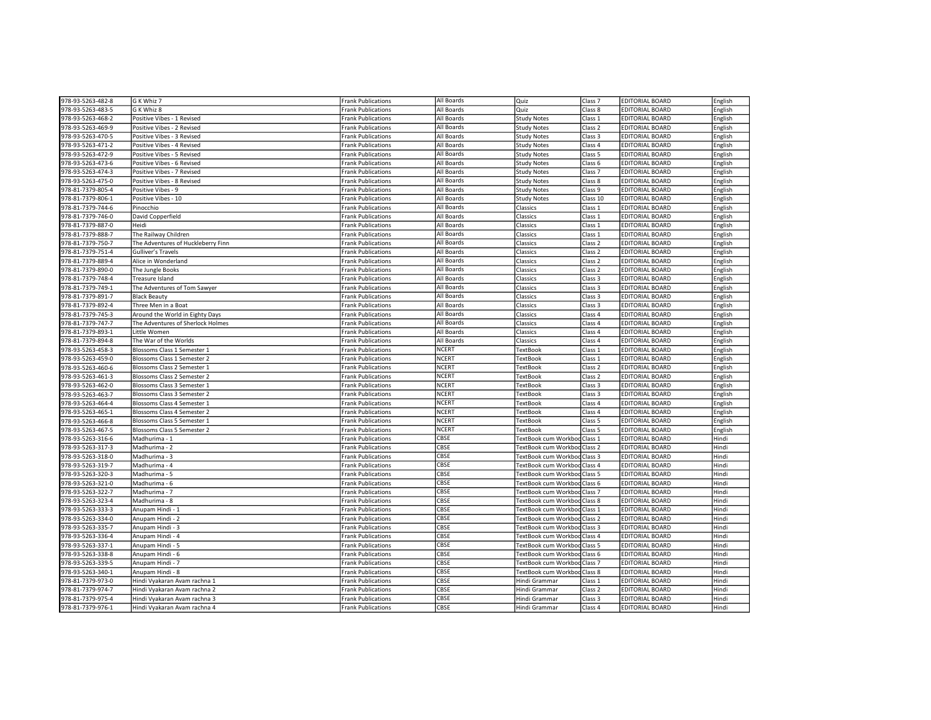| 978-93-5263-482-8                      | G K Whiz 7                                                 | <b>Frank Publications</b>                              | All Boards           | Quiz                                                 | Class <sub>7</sub> | <b>EDITORIAL BOARD</b>                           | English            |
|----------------------------------------|------------------------------------------------------------|--------------------------------------------------------|----------------------|------------------------------------------------------|--------------------|--------------------------------------------------|--------------------|
| 978-93-5263-483-5                      | G K Whiz 8                                                 | <b>Frank Publications</b>                              | All Boards           | Quiz                                                 | Class 8            | <b>EDITORIAL BOARD</b>                           | English            |
| 978-93-5263-468-2                      | Positive Vibes - 1 Revised                                 | <b>Frank Publications</b>                              | All Boards           | <b>Study Notes</b>                                   | Class 1            | <b>EDITORIAL BOARD</b>                           | English            |
| 978-93-5263-469-9                      | Positive Vibes - 2 Revised                                 | <b>Frank Publications</b>                              | All Boards           | <b>Study Notes</b>                                   | Class <sub>2</sub> | <b>EDITORIAL BOARD</b>                           | English            |
| 978-93-5263-470-5                      | Positive Vibes - 3 Revised                                 | <b>Frank Publications</b>                              | All Boards           | <b>Study Notes</b>                                   | Class 3            | <b>EDITORIAL BOARD</b>                           | English            |
| 978-93-5263-471-2                      | Positive Vibes - 4 Revised                                 | <b>Frank Publications</b>                              | All Boards           | <b>Study Notes</b>                                   | Class 4            | <b>EDITORIAL BOARD</b>                           | English            |
| 978-93-5263-472-9                      | Positive Vibes - 5 Revised                                 | Frank Publications                                     | All Boards           | <b>Study Notes</b>                                   | Class 5            | EDITORIAL BOARD                                  | English            |
| 978-93-5263-473-6                      | Positive Vibes - 6 Revised                                 | <b>Frank Publications</b>                              | All Boards           | <b>Study Notes</b>                                   | Class <sub>6</sub> | <b>EDITORIAL BOARD</b>                           | English            |
| 978-93-5263-474-3                      | Positive Vibes - 7 Revised                                 | <b>Frank Publications</b>                              | All Boards           | <b>Study Notes</b>                                   | Class <sub>7</sub> | <b>EDITORIAL BOARD</b>                           | English            |
| 978-93-5263-475-0                      | Positive Vibes - 8 Revised                                 | <b>Frank Publications</b>                              | All Boards           | <b>Study Notes</b>                                   | Class 8            | EDITORIAL BOARD                                  | English            |
| 978-81-7379-805-4                      | Positive Vibes - 9                                         | <b>Frank Publications</b>                              | All Boards           | <b>Study Notes</b>                                   | Class 9            | <b>EDITORIAL BOARD</b>                           | English            |
| 978-81-7379-806-1                      | Positive Vibes - 10                                        | <b>Frank Publications</b>                              | All Boards           | <b>Study Notes</b>                                   | Class 10           | <b>EDITORIAL BOARD</b>                           | English            |
| 978-81-7379-744-6                      | Pinocchio                                                  | <b>Frank Publications</b>                              | All Boards           | Classics                                             | Class 1            | <b>EDITORIAL BOARD</b>                           | English            |
| 978-81-7379-746-0                      | David Copperfield                                          | Frank Publications                                     | All Boards           | Classics                                             | Class 1            | <b>EDITORIAL BOARD</b>                           | English            |
| 978-81-7379-887-0                      | Heidi                                                      | <b>Frank Publications</b>                              | All Boards           | Classics                                             | Class 1            | <b>EDITORIAL BOARD</b>                           | English            |
| 978-81-7379-888-7                      | The Railway Children                                       | <b>Frank Publications</b>                              | All Boards           | Classics                                             | Class 1            | <b>EDITORIAL BOARD</b>                           | English            |
| 978-81-7379-750-7                      | The Adventures of Huckleberry Finn                         | <b>Frank Publications</b>                              | All Boards           | Classics                                             | Class 2            | <b>EDITORIAL BOARD</b>                           | English            |
| 978-81-7379-751-4                      | <b>Gulliver's Travels</b>                                  | <b>Frank Publications</b>                              | All Boards           | Classics                                             | Class <sub>2</sub> | <b>EDITORIAL BOARD</b>                           | English            |
| 978-81-7379-889-4                      | Alice in Wonderland                                        | <b>Frank Publications</b>                              | All Boards           | Classics                                             | Class 2            | <b>EDITORIAL BOARD</b>                           | English            |
| 978-81-7379-890-0                      | The Jungle Books                                           | <b>Frank Publications</b>                              | All Boards           | Classics                                             | Class <sub>2</sub> | <b>EDITORIAL BOARD</b>                           | English            |
| 978-81-7379-748-4                      | Treasure Island                                            | Frank Publications                                     | All Boards           | Classics                                             | Class 3            | <b>EDITORIAL BOARD</b>                           | English            |
| 978-81-7379-749-1                      | The Adventures of Tom Sawyer                               | <b>Frank Publications</b>                              | All Boards           | Classics                                             | Class <sub>3</sub> | <b>EDITORIAL BOARD</b>                           | English            |
| 978-81-7379-891-7                      | <b>Black Beauty</b>                                        | <b>Frank Publications</b>                              | All Boards           | Classics                                             | Class 3            | <b>EDITORIAL BOARD</b>                           | English            |
| 978-81-7379-892-4                      | Three Men in a Boat                                        | <b>Frank Publications</b>                              | All Boards           | Classics                                             | Class 3            | <b>EDITORIAL BOARD</b>                           |                    |
| 978-81-7379-745-3                      | Around the World in Eighty Days                            | <b>Frank Publications</b>                              | All Boards           | Classics                                             | Class 4            | <b>EDITORIAL BOARD</b>                           | English<br>English |
| 978-81-7379-747-7                      | The Adventures of Sherlock Holmes                          |                                                        | All Boards           | Classics                                             | Class 4            | <b>EDITORIAL BOARD</b>                           |                    |
| 978-81-7379-893-1                      | Little Women                                               | <b>Frank Publications</b><br><b>Frank Publications</b> | All Boards           | Classics                                             | Class 4            | <b>EDITORIAL BOARD</b>                           | English<br>English |
|                                        |                                                            |                                                        | All Boards           |                                                      | Class 4            | <b>EDITORIAL BOARD</b>                           |                    |
| 978-81-7379-894-8                      | The War of the Worlds                                      | <b>Frank Publications</b>                              | <b>NCERT</b>         | Classics                                             |                    | <b>EDITORIAL BOARD</b>                           | English            |
| 978-93-5263-458-3<br>978-93-5263-459-0 | Blossoms Class 1 Semester 1<br>Blossoms Class 1 Semester 2 | <b>Frank Publications</b>                              | <b>NCERT</b>         | <b>TextBook</b><br><b>TextBook</b>                   | Class 1<br>Class 1 | <b>EDITORIAL BOARD</b>                           | English            |
|                                        | Blossoms Class 2 Semester 1                                | <b>Frank Publications</b>                              | NCERT                |                                                      |                    | <b>EDITORIAL BOARD</b>                           | English            |
| 978-93-5263-460-6                      |                                                            | <b>Frank Publications</b>                              | <b>NCERT</b>         | TextBook                                             | Class <sub>2</sub> |                                                  | English            |
| 978-93-5263-461-3                      | Blossoms Class 2 Semester 2<br>Blossoms Class 3 Semester 1 | <b>Frank Publications</b><br><b>Frank Publications</b> | <b>NCERT</b>         | <b>TextBook</b>                                      | Class 2            | <b>EDITORIAL BOARD</b><br><b>EDITORIAL BOARD</b> | English            |
| 978-93-5263-462-0                      |                                                            |                                                        | <b>NCERT</b>         | TextBook                                             | Class 3            |                                                  | English            |
| 978-93-5263-463-7                      | Blossoms Class 3 Semester 2                                | <b>Frank Publications</b>                              | <b>NCERT</b>         | <b>TextBook</b>                                      | Class 3            | <b>EDITORIAL BOARD</b>                           | English            |
| 978-93-5263-464-4                      | Blossoms Class 4 Semester 1                                | <b>Frank Publications</b>                              | <b>NCERT</b>         | <b>TextBook</b>                                      | Class 4            | <b>EDITORIAL BOARD</b>                           | English            |
| 978-93-5263-465-1                      | Blossoms Class 4 Semester 2                                | <b>Frank Publications</b>                              | <b>NCERT</b>         | <b>TextBook</b>                                      | Class 4            | <b>EDITORIAL BOARD</b>                           | English            |
| 978-93-5263-466-8                      | Blossoms Class 5 Semester 1                                | <b>Frank Publications</b>                              |                      | <b>TextBook</b>                                      | Class 5            | <b>EDITORIAL BOARD</b>                           | English            |
| 978-93-5263-467-5<br>978-93-5263-316-6 | Blossoms Class 5 Semester 2<br>Madhurima - 1               | <b>Frank Publications</b>                              | <b>NCERT</b><br>CBSE | <b>TextBook</b>                                      | Class 5            | <b>EDITORIAL BOARD</b><br><b>EDITORIAL BOARD</b> | English<br>Hindi   |
| 978-93-5263-317-3                      | Madhurima - 2                                              | <b>Frank Publications</b>                              | CBSE                 | TextBook cum Workbod Class 1<br>TextBook cum Workboo |                    | <b>EDITORIAL BOARD</b>                           | Hindi              |
|                                        |                                                            | Frank Publications                                     |                      |                                                      | Class <sub>2</sub> |                                                  |                    |
| 978-93-5263-318-0                      | Madhurima - 3                                              | <b>Frank Publications</b>                              | CBSE<br>CBSE         | TextBook cum Workboo                                 | Class 3            | <b>EDITORIAL BOARD</b>                           | Hindi              |
| 978-93-5263-319-7                      | Madhurima - 4                                              | <b>Frank Publications</b>                              | CBSE                 | TextBook cum Workbod Class 4                         |                    | <b>EDITORIAL BOARD</b>                           | Hindi              |
| 978-93-5263-320-3                      | Madhurima - 5                                              | <b>Frank Publications</b>                              | CBSE                 | TextBook cum Workboo                                 | Class 5            | <b>EDITORIAL BOARD</b>                           | Hindi              |
| 978-93-5263-321-0                      | Madhurima - 6                                              | <b>Frank Publications</b>                              |                      | TextBook cum Workboo                                 | Class 6            | <b>EDITORIAL BOARD</b>                           | Hindi              |
| 978-93-5263-322-7                      | Madhurima - 7                                              | <b>Frank Publications</b>                              | CBSE                 | TextBook cum Workbod Class 7                         |                    | <b>EDITORIAL BOARD</b>                           | Hindi              |
| 978-93-5263-323-4                      | Madhurima - 8                                              | <b>Frank Publications</b>                              | CBSE                 | TextBook cum Workbod Class 8                         |                    | <b>EDITORIAL BOARD</b>                           | Hindi              |
| 978-93-5263-333-3                      | Anupam Hindi - 1                                           | <b>Frank Publications</b>                              | CBSE                 | TextBook cum Workbod Class 1                         |                    | <b>EDITORIAL BOARD</b>                           | Hindi              |
| 978-93-5263-334-0                      | Anupam Hindi - 2                                           | <b>Frank Publications</b>                              | CBSE                 | TextBook cum Workbod Class 2                         |                    | EDITORIAL BOARD                                  | Hindi              |
| 978-93-5263-335-7                      | Anupam Hindi - 3                                           | <b>Frank Publications</b>                              | CBSE                 | TextBook cum Workbod Class 3                         |                    | <b>EDITORIAL BOARD</b>                           | Hindi              |
| 978-93-5263-336-4                      | Anupam Hindi - 4                                           | Frank Publications                                     | CBSE                 | TextBook cum Workboo                                 | Class 4            | <b>EDITORIAL BOARD</b>                           | Hindi              |
| 978-93-5263-337-1                      | Anupam Hindi - 5                                           | <b>Frank Publications</b>                              | CBSE                 | TextBook cum Workboo                                 | Class 5            | <b>EDITORIAL BOARD</b>                           | Hindi              |
| 978-93-5263-338-8                      | Anupam Hindi - 6                                           | <b>Frank Publications</b>                              | CBSE                 | TextBook cum Workbod Class 6                         |                    | <b>EDITORIAL BOARD</b>                           | Hindi              |
| 978-93-5263-339-5                      | Anupam Hindi - 7                                           | <b>Frank Publications</b>                              | <b>CBSE</b>          | TextBook cum Workboo                                 | Class 7            | <b>EDITORIAL BOARD</b>                           | Hindi              |
| 978-93-5263-340-1                      | Anupam Hindi - 8                                           | <b>Frank Publications</b>                              | CBSE                 | TextBook cum Workbod Class 8                         |                    | <b>EDITORIAL BOARD</b>                           | Hindi              |
| 978-81-7379-973-0                      | Hindi Vyakaran Avam rachna 1                               | <b>Frank Publications</b>                              | CBSE                 | Hindi Grammar                                        | Class 1            | <b>EDITORIAL BOARD</b>                           | Hindi              |
| 978-81-7379-974-7                      | Hindi Vyakaran Avam rachna 2                               | <b>Frank Publications</b>                              | CBSE                 | Hindi Grammar                                        | Class 2            | <b>EDITORIAL BOARD</b>                           | Hindi              |
| 978-81-7379-975-4                      | Hindi Vyakaran Avam rachna 3                               | <b>Frank Publications</b>                              | CBSE                 | Hindi Grammar                                        | Class 3            | <b>EDITORIAL BOARD</b>                           | Hindi              |
| 978-81-7379-976-1                      | Hindi Vyakaran Avam rachna 4                               | <b>Frank Publications</b>                              | CBSE                 | Hindi Grammar                                        | Class 4            | <b>EDITORIAL BOARD</b>                           | Hindi              |